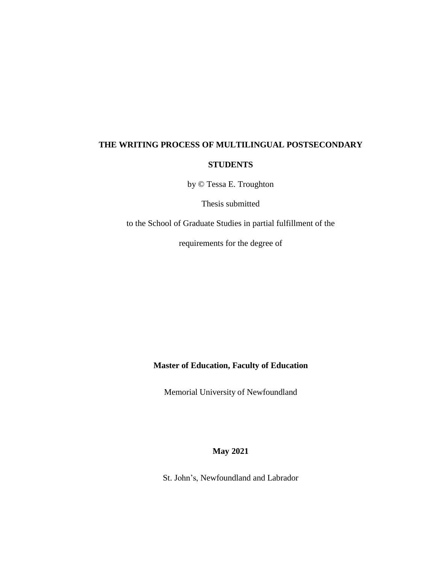# **THE WRITING PROCESS OF MULTILINGUAL POSTSECONDARY STUDENTS**

by © Tessa E. Troughton

Thesis submitted

to the School of Graduate Studies in partial fulfillment of the

requirements for the degree of

**Master of Education, Faculty of Education**

Memorial University of Newfoundland

**May 2021**

St. John's, Newfoundland and Labrador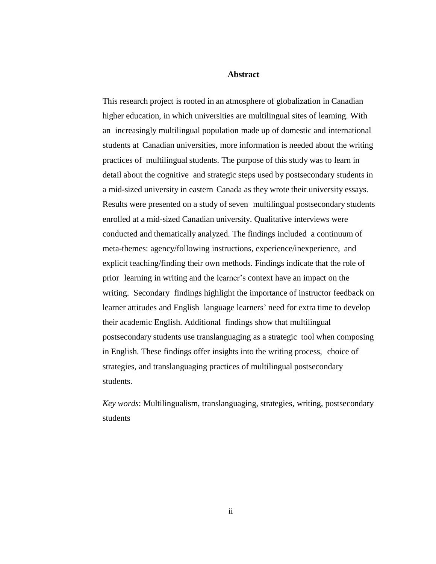#### **Abstract**

This research project is rooted in an atmosphere of globalization in Canadian higher education, in which universities are multilingual sites of learning. With an increasingly multilingual population made up of domestic and international students at Canadian universities, more information is needed about the writing practices of multilingual students. The purpose of this study was to learn in detail about the cognitive and strategic steps used by postsecondary students in a mid-sized university in eastern Canada as they wrote their university essays. Results were presented on a study of seven multilingual postsecondary students enrolled at a mid-sized Canadian university. Qualitative interviews were conducted and thematically analyzed. The findings included a continuum of meta-themes: agency/following instructions, experience/inexperience, and explicit teaching/finding their own methods. Findings indicate that the role of prior learning in writing and the learner's context have an impact on the writing. Secondary findings highlight the importance of instructor feedback on learner attitudes and English language learners' need for extra time to develop their academic English. Additional findings show that multilingual postsecondary students use translanguaging as a strategic tool when composing in English. These findings offer insights into the writing process, choice of strategies, and translanguaging practices of multilingual postsecondary students.

*Key words*: Multilingualism, translanguaging, strategies, writing, postsecondary students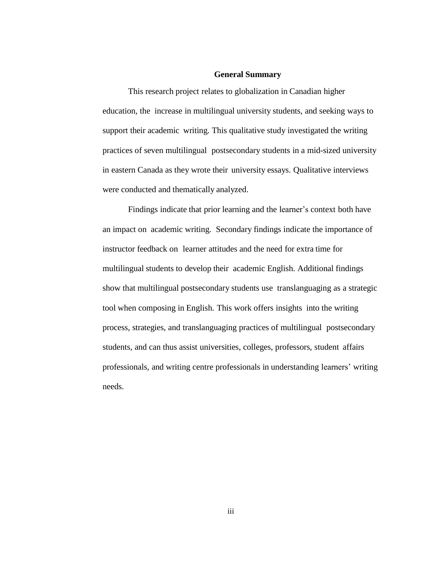#### **General Summary**

This research project relates to globalization in Canadian higher education, the increase in multilingual university students, and seeking ways to support their academic writing. This qualitative study investigated the writing practices of seven multilingual postsecondary students in a mid-sized university in eastern Canada as they wrote their university essays. Qualitative interviews were conducted and thematically analyzed.

Findings indicate that prior learning and the learner's context both have an impact on academic writing. Secondary findings indicate the importance of instructor feedback on learner attitudes and the need for extra time for multilingual students to develop their academic English. Additional findings show that multilingual postsecondary students use translanguaging as a strategic tool when composing in English. This work offers insights into the writing process, strategies, and translanguaging practices of multilingual postsecondary students, and can thus assist universities, colleges, professors, student affairs professionals, and writing centre professionals in understanding learners' writing needs.

iii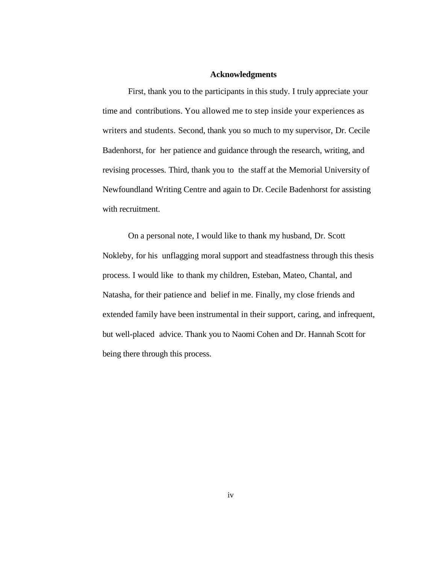#### **Acknowledgments**

First, thank you to the participants in this study. I truly appreciate your time and contributions. You allowed me to step inside your experiences as writers and students. Second, thank you so much to my supervisor, Dr. Cecile Badenhorst, for her patience and guidance through the research, writing, and revising processes. Third, thank you to the staff at the Memorial University of Newfoundland Writing Centre and again to Dr. Cecile Badenhorst for assisting with recruitment.

On a personal note, I would like to thank my husband, Dr. Scott Nokleby, for his unflagging moral support and steadfastness through this thesis process. I would like to thank my children, Esteban, Mateo, Chantal, and Natasha, for their patience and belief in me. Finally, my close friends and extended family have been instrumental in their support, caring, and infrequent, but well-placed advice. Thank you to Naomi Cohen and Dr. Hannah Scott for being there through this process.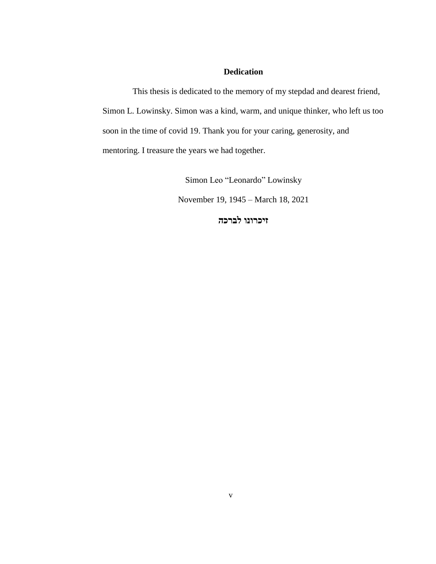## **Dedication**

This thesis is dedicated to the memory of my stepdad and dearest friend, Simon L. Lowinsky. Simon was a kind, warm, and unique thinker, who left us too soon in the time of covid 19. Thank you for your caring, generosity, and mentoring. I treasure the years we had together.

Simon Leo "Leonardo" Lowinsky

November 19, 1945 – March 18, 2021

**זיכרונו לברכה**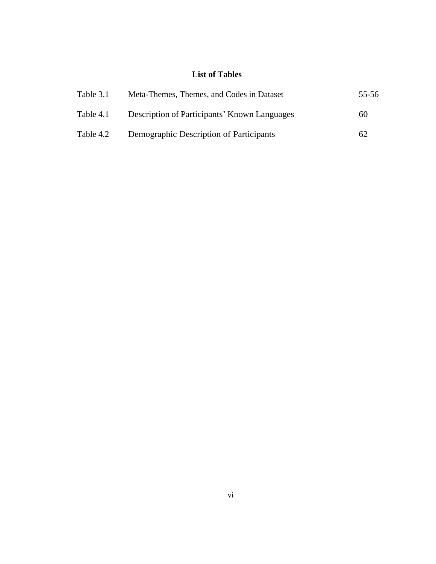# **List of Tables**

| Table 3.1 | Meta-Themes, Themes, and Codes in Dataset    | 55-56 |
|-----------|----------------------------------------------|-------|
| Table 4.1 | Description of Participants' Known Languages | 60    |
| Table 4.2 | Demographic Description of Participants      | 62    |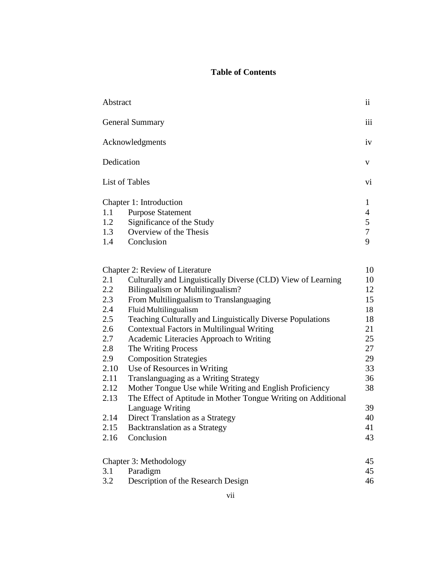# **Table of Contents**

| Abstract               |                                                               | $\ddot{\mathbf{i}}$ |
|------------------------|---------------------------------------------------------------|---------------------|
| <b>General Summary</b> |                                                               |                     |
| Acknowledgments        |                                                               | iv                  |
| Dedication             |                                                               | V                   |
|                        | List of Tables                                                | Vİ.                 |
|                        | Chapter 1: Introduction                                       | 1                   |
| 1.1                    | <b>Purpose Statement</b>                                      | $\overline{4}$      |
| 1.2                    | Significance of the Study                                     | $\mathfrak{S}$      |
| 1.3                    | Overview of the Thesis                                        | $\overline{7}$      |
| 1.4                    | Conclusion                                                    | 9                   |
|                        |                                                               |                     |
|                        | Chapter 2: Review of Literature                               | 10                  |
| 2.1                    | Culturally and Linguistically Diverse (CLD) View of Learning  | 10                  |
| 2.2                    | Bilingualism or Multilingualism?                              | 12                  |
| 2.3                    | From Multilingualism to Translanguaging                       | 15                  |
| 2.4                    | Fluid Multilingualism                                         | 18                  |
| 2.5                    | Teaching Culturally and Linguistically Diverse Populations    | 18                  |
| 2.6                    | <b>Contextual Factors in Multilingual Writing</b>             | 21                  |
| 2.7                    | Academic Literacies Approach to Writing                       | 25                  |
| 2.8                    | The Writing Process                                           | 27                  |
| 2.9                    | <b>Composition Strategies</b>                                 | 29                  |
| 2.10                   | Use of Resources in Writing                                   | 33                  |
| 2.11                   | Translanguaging as a Writing Strategy                         | 36                  |
| 2.12                   | Mother Tongue Use while Writing and English Proficiency       | 38                  |
| 2.13                   | The Effect of Aptitude in Mother Tongue Writing on Additional |                     |
|                        | Language Writing                                              | 39                  |
| 2.14                   | Direct Translation as a Strategy                              | 40                  |
| 2.15                   | Backtranslation as a Strategy                                 | 41                  |
|                        |                                                               |                     |
| 2.16                   | Conclusion                                                    | 43                  |
|                        | Chapter 3: Methodology                                        | 45                  |
| 3.1                    | Paradigm                                                      | 45                  |
| 3.2                    | Description of the Research Design                            | 46                  |

Description of the Research Design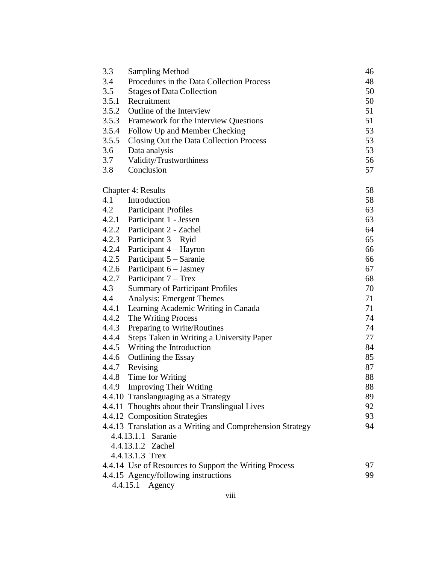| 3.3   | <b>Sampling Method</b>                                     | 46 |
|-------|------------------------------------------------------------|----|
| 3.4   | Procedures in the Data Collection Process                  | 48 |
| 3.5   | <b>Stages of Data Collection</b>                           | 50 |
| 3.5.1 | Recruitment                                                | 50 |
| 3.5.2 | Outline of the Interview                                   | 51 |
| 3.5.3 | Framework for the Interview Questions                      | 51 |
| 3.5.4 | Follow Up and Member Checking                              | 53 |
| 3.5.5 | Closing Out the Data Collection Process                    | 53 |
| 3.6   | Data analysis                                              | 53 |
| 3.7   | Validity/Trustworthiness                                   | 56 |
| 3.8   | Conclusion                                                 | 57 |
|       | <b>Chapter 4: Results</b>                                  | 58 |
| 4.1   | Introduction                                               | 58 |
|       | 4.2 Participant Profiles                                   | 63 |
|       | 4.2.1 Participant 1 - Jessen                               | 63 |
|       | 4.2.2 Participant 2 - Zachel                               | 64 |
| 4.2.3 | Participant 3 – Ryid                                       | 65 |
| 4.2.4 | Participant 4 – Hayron                                     | 66 |
| 4.2.5 | Participant 5 – Saranie                                    | 66 |
| 4.2.6 | Participant 6 - Jasmey                                     | 67 |
| 4.2.7 | Participant $7 - T$ rex                                    | 68 |
| 4.3   | <b>Summary of Participant Profiles</b>                     | 70 |
| 4.4   | Analysis: Emergent Themes                                  | 71 |
| 4.4.1 | Learning Academic Writing in Canada                        | 71 |
| 4.4.2 | The Writing Process                                        | 74 |
| 4.4.3 | Preparing to Write/Routines                                | 74 |
| 4.4.4 | Steps Taken in Writing a University Paper                  | 77 |
| 4.4.5 | Writing the Introduction                                   | 84 |
| 4.4.6 | <b>Outlining the Essay</b>                                 | 85 |
| 4.4.7 | Revising                                                   | 87 |
| 4.4.8 | Time for Writing                                           | 88 |
|       | 4.4.9 Improving Their Writing                              | 88 |
|       | 4.4.10 Translanguaging as a Strategy                       | 89 |
|       | 4.4.11 Thoughts about their Translingual Lives             | 92 |
|       | 4.4.12 Composition Strategies                              | 93 |
|       | 4.4.13 Translation as a Writing and Comprehension Strategy | 94 |
|       | 4.4.13.1.1 Saranie                                         |    |
|       | 4.4.13.1.2 Zachel                                          |    |
|       | 4.4.13.1.3 Trex                                            |    |
|       | 4.4.14 Use of Resources to Support the Writing Process     | 97 |
|       | 4.4.15 Agency/following instructions                       | 99 |
|       | 4.4.15.1 Agency                                            |    |
|       |                                                            |    |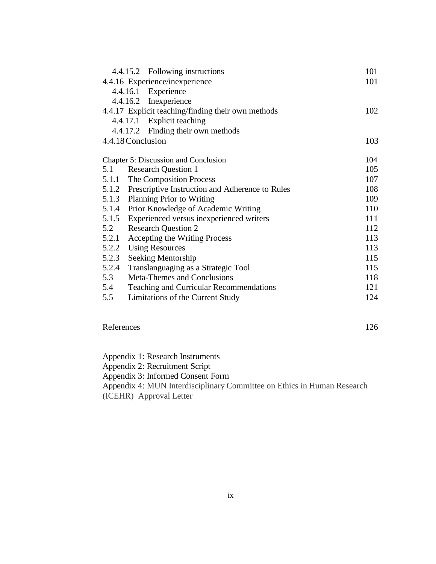|                                                    | 4.4.15.2 Following instructions                 | 101 |
|----------------------------------------------------|-------------------------------------------------|-----|
| 4.4.16 Experience/inexperience                     |                                                 | 101 |
|                                                    | 4.4.16.1 Experience                             |     |
|                                                    | 4.4.16.2 Inexperience                           |     |
| 4.4.17 Explicit teaching/finding their own methods | 102                                             |     |
|                                                    | 4.4.17.1 Explicit teaching                      |     |
|                                                    | 4.4.17.2 Finding their own methods              |     |
| 4.4.18 Conclusion                                  |                                                 | 103 |
|                                                    |                                                 |     |
| Chapter 5: Discussion and Conclusion               |                                                 | 104 |
| 5.1                                                | <b>Research Question 1</b>                      | 105 |
|                                                    | 5.1.1 The Composition Process                   | 107 |
| 5.1.2                                              | Prescriptive Instruction and Adherence to Rules | 108 |
| 5.1.3                                              | <b>Planning Prior to Writing</b>                | 109 |
| 5.1.4                                              | Prior Knowledge of Academic Writing             | 110 |
| 5.1.5                                              | Experienced versus inexperienced writers        | 111 |
| 5.2                                                | <b>Research Question 2</b>                      | 112 |
| 5.2.1                                              | Accepting the Writing Process                   | 113 |
| 5.2.2                                              | <b>Using Resources</b>                          | 113 |
| 5.2.3                                              | Seeking Mentorship                              | 115 |
| 5.2.4                                              | Translanguaging as a Strategic Tool             | 115 |
| 5.3                                                | Meta-Themes and Conclusions                     | 118 |
| 5.4                                                | Teaching and Curricular Recommendations         | 121 |
| 5.5                                                | Limitations of the Current Study                | 124 |
|                                                    |                                                 |     |

# References 126

Appendix 1: Research Instruments Appendix 2: Recruitment Script Appendix 3: Informed Consent Form Appendix 4: MUN Interdisciplinary Committee on Ethics in Human Research (ICEHR) Approval Letter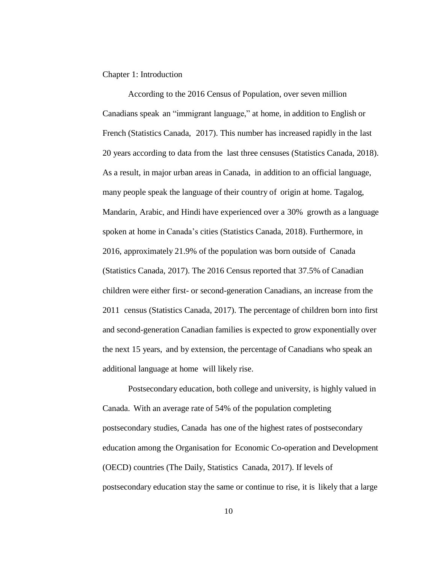#### Chapter 1: Introduction

According to the 2016 Census of Population, over seven million Canadians speak an "immigrant language," at home, in addition to English or French (Statistics Canada, 2017). This number has increased rapidly in the last 20 years according to data from the last three censuses (Statistics Canada, 2018). As a result, in major urban areas in Canada, in addition to an official language, many people speak the language of their country of origin at home. Tagalog, Mandarin, Arabic, and Hindi have experienced over a 30% growth as a language spoken at home in Canada's cities (Statistics Canada, 2018). Furthermore, in 2016, approximately 21.9% of the population was born outside of Canada (Statistics Canada, 2017). The 2016 Census reported that 37.5% of Canadian children were either first- or second-generation Canadians, an increase from the 2011 census (Statistics Canada, 2017). The percentage of children born into first and second-generation Canadian families is expected to grow exponentially over the next 15 years, and by extension, the percentage of Canadians who speak an additional language at home will likely rise.

Postsecondary education, both college and university, is highly valued in Canada. With an average rate of 54% of the population completing postsecondary studies, Canada has one of the highest rates of postsecondary education among the Organisation for Economic Co-operation and Development (OECD) countries (The Daily, Statistics Canada, 2017). If levels of postsecondary education stay the same or continue to rise, it is likely that a large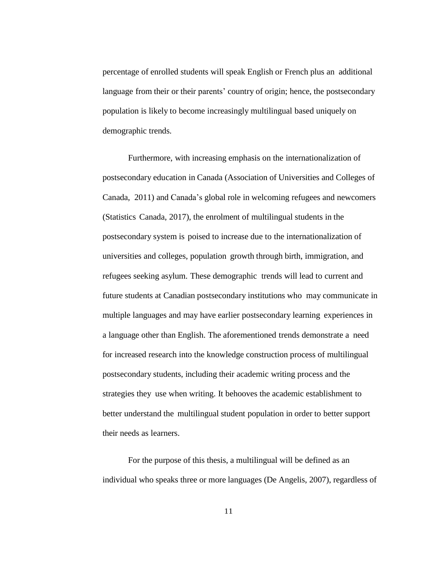percentage of enrolled students will speak English or French plus an additional language from their or their parents' country of origin; hence, the postsecondary population is likely to become increasingly multilingual based uniquely on demographic trends.

Furthermore, with increasing emphasis on the internationalization of postsecondary education in Canada (Association of Universities and Colleges of Canada, 2011) and Canada's global role in welcoming refugees and newcomers (Statistics Canada, 2017), the enrolment of multilingual students in the postsecondary system is poised to increase due to the internationalization of universities and colleges, population growth through birth, immigration, and refugees seeking asylum. These demographic trends will lead to current and future students at Canadian postsecondary institutions who may communicate in multiple languages and may have earlier postsecondary learning experiences in a language other than English. The aforementioned trends demonstrate a need for increased research into the knowledge construction process of multilingual postsecondary students, including their academic writing process and the strategies they use when writing. It behooves the academic establishment to better understand the multilingual student population in order to better support their needs as learners.

For the purpose of this thesis, a multilingual will be defined as an individual who speaks three or more languages (De Angelis, 2007), regardless of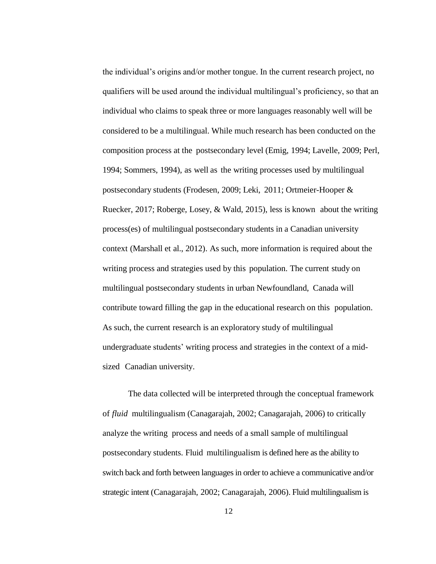the individual's origins and/or mother tongue. In the current research project, no qualifiers will be used around the individual multilingual's proficiency, so that an individual who claims to speak three or more languages reasonably well will be considered to be a multilingual. While much research has been conducted on the composition process at the postsecondary level (Emig, 1994; Lavelle, 2009; Perl, 1994; Sommers, 1994), as well as the writing processes used by multilingual postsecondary students (Frodesen, 2009; Leki, 2011; Ortmeier-Hooper & Ruecker, 2017; Roberge, Losey, & Wald, 2015), less is known about the writing process(es) of multilingual postsecondary students in a Canadian university context (Marshall et al., 2012). As such, more information is required about the writing process and strategies used by this population. The current study on multilingual postsecondary students in urban Newfoundland, Canada will contribute toward filling the gap in the educational research on this population. As such, the current research is an exploratory study of multilingual undergraduate students' writing process and strategies in the context of a midsized Canadian university.

The data collected will be interpreted through the conceptual framework of *fluid* multilingualism (Canagarajah, 2002; Canagarajah, 2006) to critically analyze the writing process and needs of a small sample of multilingual postsecondary students. Fluid multilingualism is defined here as the ability to switch back and forth between languages in order to achieve a communicative and/or strategic intent (Canagarajah, 2002; Canagarajah, 2006). Fluid multilingualism is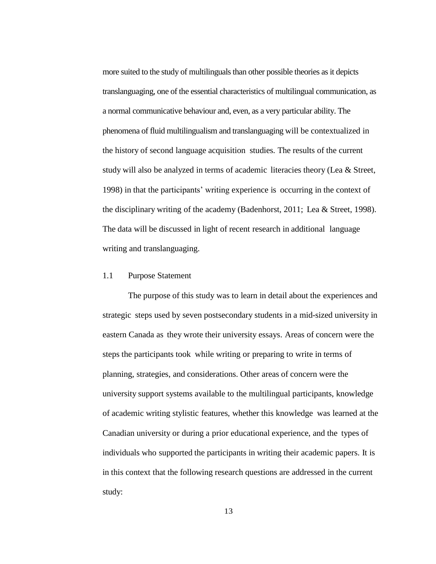more suited to the study of multilinguals than other possible theories as it depicts translanguaging, one of the essential characteristics of multilingual communication, as a normal communicative behaviour and, even, as a very particular ability. The phenomena of fluid multilingualism and translanguaging will be contextualized in the history of second language acquisition studies. The results of the current study will also be analyzed in terms of academic literacies theory (Lea & Street, 1998) in that the participants' writing experience is occurring in the context of the disciplinary writing of the academy (Badenhorst, 2011; Lea & Street, 1998). The data will be discussed in light of recent research in additional language writing and translanguaging.

#### 1.1 Purpose Statement

The purpose of this study was to learn in detail about the experiences and strategic steps used by seven postsecondary students in a mid-sized university in eastern Canada as they wrote their university essays. Areas of concern were the steps the participants took while writing or preparing to write in terms of planning, strategies, and considerations. Other areas of concern were the university support systems available to the multilingual participants, knowledge of academic writing stylistic features, whether this knowledge was learned at the Canadian university or during a prior educational experience, and the types of individuals who supported the participants in writing their academic papers. It is in this context that the following research questions are addressed in the current study: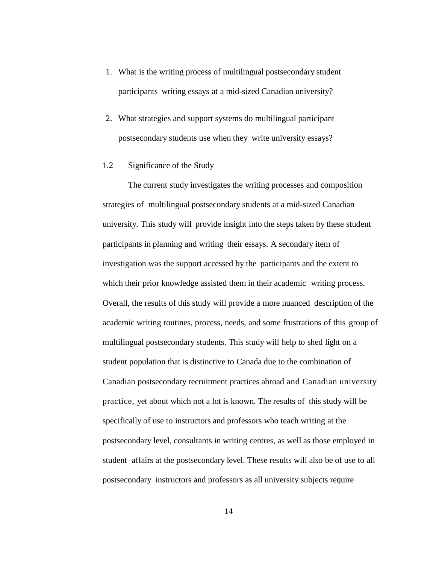- 1. What is the writing process of multilingual postsecondary student participants writing essays at a mid-sized Canadian university?
- 2. What strategies and support systems do multilingual participant postsecondary students use when they write university essays?
- 1.2 Significance of the Study

The current study investigates the writing processes and composition strategies of multilingual postsecondary students at a mid-sized Canadian university. This study will provide insight into the steps taken by these student participants in planning and writing their essays. A secondary item of investigation was the support accessed by the participants and the extent to which their prior knowledge assisted them in their academic writing process. Overall, the results of this study will provide a more nuanced description of the academic writing routines, process, needs, and some frustrations of this group of multilingual postsecondary students. This study will help to shed light on a student population that is distinctive to Canada due to the combination of Canadian postsecondary recruitment practices abroad and Canadian university practice, yet about which not a lot is known. The results of this study will be specifically of use to instructors and professors who teach writing at the postsecondary level, consultants in writing centres, as well as those employed in student affairs at the postsecondary level. These results will also be of use to all postsecondary instructors and professors as all university subjects require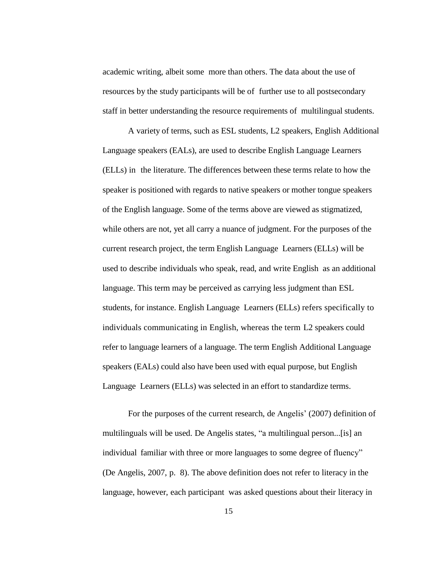academic writing, albeit some more than others. The data about the use of resources by the study participants will be of further use to all postsecondary staff in better understanding the resource requirements of multilingual students.

A variety of terms, such as ESL students, L2 speakers, English Additional Language speakers (EALs), are used to describe English Language Learners (ELLs) in the literature. The differences between these terms relate to how the speaker is positioned with regards to native speakers or mother tongue speakers of the English language. Some of the terms above are viewed as stigmatized, while others are not, yet all carry a nuance of judgment. For the purposes of the current research project, the term English Language Learners (ELLs) will be used to describe individuals who speak, read, and write English as an additional language. This term may be perceived as carrying less judgment than ESL students, for instance. English Language Learners (ELLs) refers specifically to individuals communicating in English, whereas the term L2 speakers could refer to language learners of a language. The term English Additional Language speakers (EALs) could also have been used with equal purpose, but English Language Learners (ELLs) was selected in an effort to standardize terms.

For the purposes of the current research, de Angelis' (2007) definition of multilinguals will be used. De Angelis states, "a multilingual person...[is] an individual familiar with three or more languages to some degree of fluency" (De Angelis, 2007, p. 8). The above definition does not refer to literacy in the language, however, each participant was asked questions about their literacy in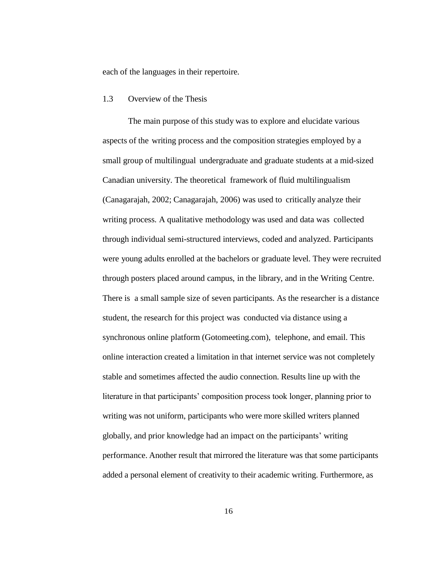each of the languages in their repertoire.

#### 1.3 Overview of the Thesis

The main purpose of this study was to explore and elucidate various aspects of the writing process and the composition strategies employed by a small group of multilingual undergraduate and graduate students at a mid-sized Canadian university. The theoretical framework of fluid multilingualism (Canagarajah, 2002; Canagarajah, 2006) was used to critically analyze their writing process. A qualitative methodology was used and data was collected through individual semi-structured interviews, coded and analyzed. Participants were young adults enrolled at the bachelors or graduate level. They were recruited through posters placed around campus, in the library, and in the Writing Centre. There is a small sample size of seven participants. As the researcher is a distance student, the research for this project was conducted via distance using a synchronous online platform (Gotomeeting.com), telephone, and email. This online interaction created a limitation in that internet service was not completely stable and sometimes affected the audio connection. Results line up with the literature in that participants' composition process took longer, planning prior to writing was not uniform, participants who were more skilled writers planned globally, and prior knowledge had an impact on the participants' writing performance. Another result that mirrored the literature was that some participants added a personal element of creativity to their academic writing. Furthermore, as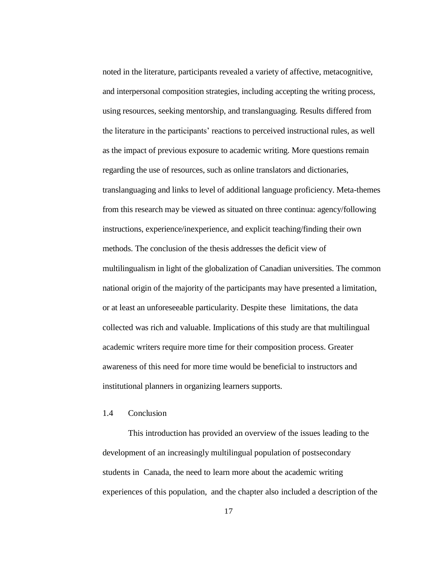noted in the literature, participants revealed a variety of affective, metacognitive, and interpersonal composition strategies, including accepting the writing process, using resources, seeking mentorship, and translanguaging. Results differed from the literature in the participants' reactions to perceived instructional rules, as well as the impact of previous exposure to academic writing. More questions remain regarding the use of resources, such as online translators and dictionaries, translanguaging and links to level of additional language proficiency. Meta-themes from this research may be viewed as situated on three continua: agency/following instructions, experience/inexperience, and explicit teaching/finding their own methods. The conclusion of the thesis addresses the deficit view of multilingualism in light of the globalization of Canadian universities. The common national origin of the majority of the participants may have presented a limitation, or at least an unforeseeable particularity. Despite these limitations, the data collected was rich and valuable. Implications of this study are that multilingual academic writers require more time for their composition process. Greater awareness of this need for more time would be beneficial to instructors and institutional planners in organizing learners supports.

### 1.4 Conclusion

This introduction has provided an overview of the issues leading to the development of an increasingly multilingual population of postsecondary students in Canada, the need to learn more about the academic writing experiences of this population, and the chapter also included a description of the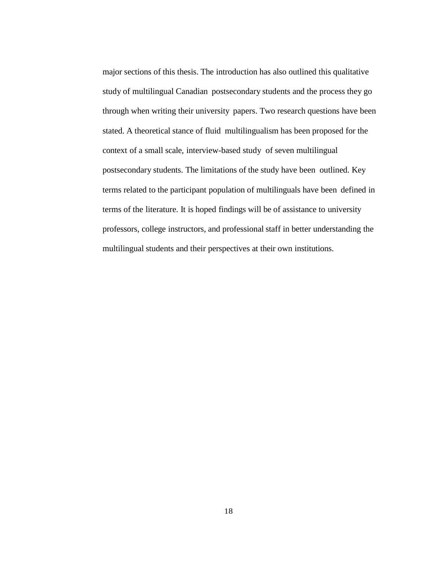major sections of this thesis. The introduction has also outlined this qualitative study of multilingual Canadian postsecondary students and the process they go through when writing their university papers. Two research questions have been stated. A theoretical stance of fluid multilingualism has been proposed for the context of a small scale, interview-based study of seven multilingual postsecondary students. The limitations of the study have been outlined. Key terms related to the participant population of multilinguals have been defined in terms of the literature. It is hoped findings will be of assistance to university professors, college instructors, and professional staff in better understanding the multilingual students and their perspectives at their own institutions.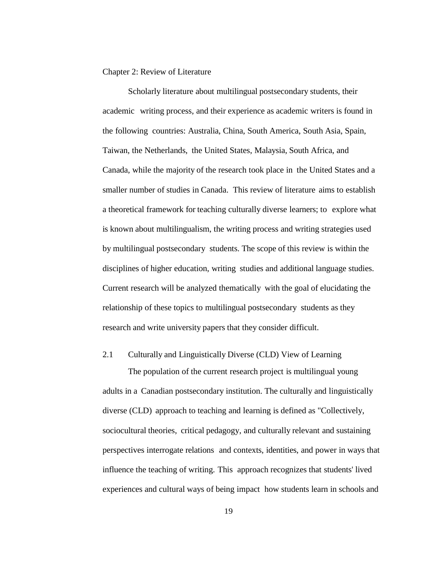#### Chapter 2: Review of Literature

Scholarly literature about multilingual postsecondary students, their academic writing process, and their experience as academic writers is found in the following countries: Australia, China, South America, South Asia, Spain, Taiwan, the Netherlands, the United States, Malaysia, South Africa, and Canada, while the majority of the research took place in the United States and a smaller number of studies in Canada. This review of literature aims to establish a theoretical framework for teaching culturally diverse learners; to explore what is known about multilingualism, the writing process and writing strategies used by multilingual postsecondary students. The scope of this review is within the disciplines of higher education, writing studies and additional language studies. Current research will be analyzed thematically with the goal of elucidating the relationship of these topics to multilingual postsecondary students as they research and write university papers that they consider difficult.

#### 2.1 Culturally and Linguistically Diverse (CLD) View of Learning

The population of the current research project is multilingual young adults in a Canadian postsecondary institution. The culturally and linguistically diverse (CLD) approach to teaching and learning is defined as "Collectively, sociocultural theories, critical pedagogy, and culturally relevant and sustaining perspectives interrogate relations and contexts, identities, and power in ways that influence the teaching of writing. This approach recognizes that students' lived experiences and cultural ways of being impact how students learn in schools and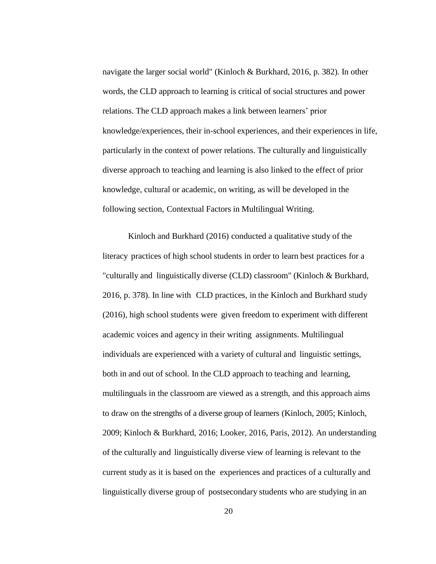navigate the larger social world" (Kinloch & Burkhard, 2016, p. 382). In other words, the CLD approach to learning is critical of social structures and power relations. The CLD approach makes a link between learners' prior knowledge/experiences, their in-school experiences, and their experiences in life, particularly in the context of power relations. The culturally and linguistically diverse approach to teaching and learning is also linked to the effect of prior knowledge, cultural or academic, on writing, as will be developed in the following section, Contextual Factors in Multilingual Writing.

Kinloch and Burkhard (2016) conducted a qualitative study of the literacy practices of high school students in order to learn best practices for a "culturally and linguistically diverse (CLD) classroom" (Kinloch & Burkhard, 2016, p. 378). In line with CLD practices, in the Kinloch and Burkhard study (2016), high school students were given freedom to experiment with different academic voices and agency in their writing assignments. Multilingual individuals are experienced with a variety of cultural and linguistic settings, both in and out of school. In the CLD approach to teaching and learning, multilinguals in the classroom are viewed as a strength, and this approach aims to draw on the strengths of a diverse group of learners (Kinloch, 2005; Kinloch, 2009; Kinloch & Burkhard, 2016; Looker, 2016, Paris, 2012). An understanding of the culturally and linguistically diverse view of learning is relevant to the current study as it is based on the experiences and practices of a culturally and linguistically diverse group of postsecondary students who are studying in an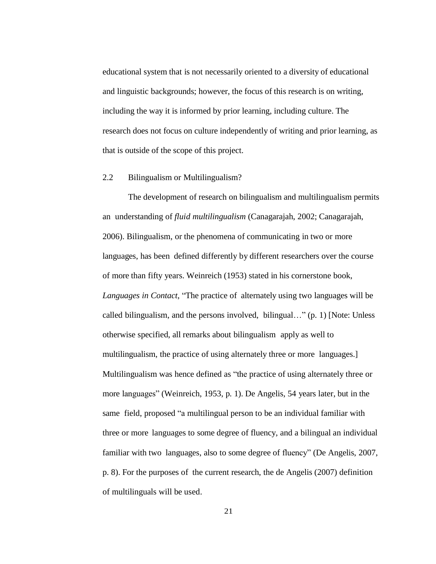educational system that is not necessarily oriented to a diversity of educational and linguistic backgrounds; however, the focus of this research is on writing, including the way it is informed by prior learning, including culture. The research does not focus on culture independently of writing and prior learning, as that is outside of the scope of this project.

#### 2.2 Bilingualism or Multilingualism?

The development of research on bilingualism and multilingualism permits an understanding of *fluid multilingualism* (Canagarajah, 2002; Canagarajah, 2006). Bilingualism, or the phenomena of communicating in two or more languages, has been defined differently by different researchers over the course of more than fifty years. Weinreich (1953) stated in his cornerstone book, *Languages in Contact*, "The practice of alternately using two languages will be called bilingualism, and the persons involved, bilingual…" (p. 1) [Note: Unless otherwise specified, all remarks about bilingualism apply as well to multilingualism, the practice of using alternately three or more languages.] Multilingualism was hence defined as "the practice of using alternately three or more languages" (Weinreich, 1953, p. 1). De Angelis, 54 years later, but in the same field, proposed "a multilingual person to be an individual familiar with three or more languages to some degree of fluency, and a bilingual an individual familiar with two languages, also to some degree of fluency" (De Angelis, 2007, p. 8). For the purposes of the current research, the de Angelis (2007) definition of multilinguals will be used.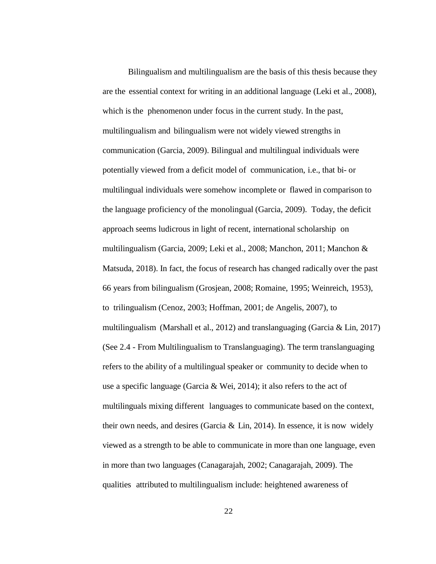Bilingualism and multilingualism are the basis of this thesis because they are the essential context for writing in an additional language (Leki et al., 2008), which is the phenomenon under focus in the current study. In the past, multilingualism and bilingualism were not widely viewed strengths in communication (Garcia, 2009). Bilingual and multilingual individuals were potentially viewed from a deficit model of communication, i.e., that bi- or multilingual individuals were somehow incomplete or flawed in comparison to the language proficiency of the monolingual (Garcia, 2009). Today, the deficit approach seems ludicrous in light of recent, international scholarship on multilingualism (Garcia, 2009; Leki et al., 2008; Manchon, 2011; Manchon & Matsuda, 2018). In fact, the focus of research has changed radically over the past 66 years from bilingualism (Grosjean, 2008; Romaine, 1995; Weinreich, 1953), to trilingualism (Cenoz, 2003; Hoffman, 2001; de Angelis, 2007), to multilingualism (Marshall et al., 2012) and translanguaging (Garcia & Lin, 2017) (See 2.4 - From Multilingualism to Translanguaging). The term translanguaging refers to the ability of a multilingual speaker or community to decide when to use a specific language (Garcia & Wei, 2014); it also refers to the act of multilinguals mixing different languages to communicate based on the context, their own needs, and desires (Garcia & Lin, 2014). In essence, it is now widely viewed as a strength to be able to communicate in more than one language, even in more than two languages (Canagarajah, 2002; Canagarajah, 2009). The qualities attributed to multilingualism include: heightened awareness of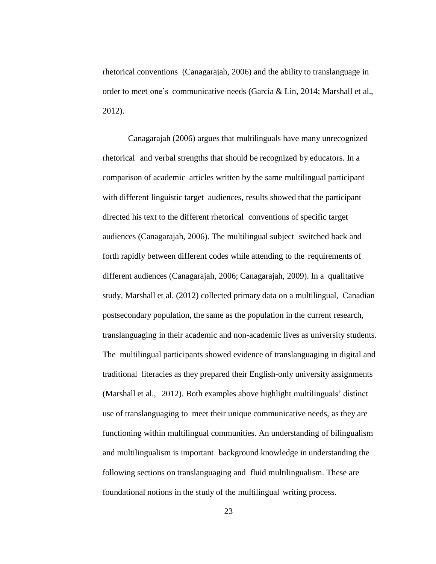rhetorical conventions (Canagarajah, 2006) and the ability to translanguage in order to meet one's communicative needs (Garcia & Lin, 2014; Marshall et al., 2012).

Canagarajah (2006) argues that multilinguals have many unrecognized rhetorical and verbal strengths that should be recognized by educators. In a comparison of academic articles written by the same multilingual participant with different linguistic target audiences, results showed that the participant directed his text to the different rhetorical conventions of specific target audiences (Canagarajah, 2006). The multilingual subject switched back and forth rapidly between different codes while attending to the requirements of different audiences (Canagarajah, 2006; Canagarajah, 2009). In a qualitative study, Marshall et al. (2012) collected primary data on a multilingual, Canadian postsecondary population, the same as the population in the current research, translanguaging in their academic and non-academic lives as university students. The multilingual participants showed evidence of translanguaging in digital and traditional literacies as they prepared their English-only university assignments (Marshall et al., 2012). Both examples above highlight multilinguals' distinct use of translanguaging to meet their unique communicative needs, as they are functioning within multilingual communities. An understanding of bilingualism and multilingualism is important background knowledge in understanding the following sections on translanguaging and fluid multilingualism. These are foundational notions in the study of the multilingual writing process.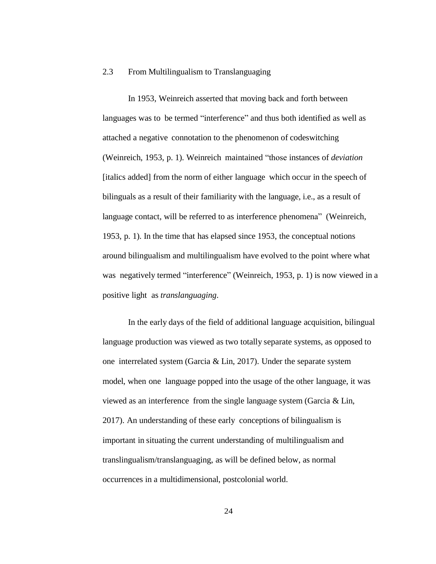#### 2.3 From Multilingualism to Translanguaging

In 1953, Weinreich asserted that moving back and forth between languages was to be termed "interference" and thus both identified as well as attached a negative connotation to the phenomenon of codeswitching (Weinreich, 1953, p. 1). Weinreich maintained "those instances of *deviation* [italics added] from the norm of either language which occur in the speech of bilinguals as a result of their familiarity with the language, i.e., as a result of language contact, will be referred to as interference phenomena" (Weinreich, 1953, p. 1). In the time that has elapsed since 1953, the conceptual notions around bilingualism and multilingualism have evolved to the point where what was negatively termed "interference" (Weinreich, 1953, p. 1) is now viewed in a positive light as *translanguaging*.

In the early days of the field of additional language acquisition, bilingual language production was viewed as two totally separate systems, as opposed to one interrelated system (Garcia & Lin, 2017). Under the separate system model, when one language popped into the usage of the other language, it was viewed as an interference from the single language system (Garcia & Lin, 2017). An understanding of these early conceptions of bilingualism is important in situating the current understanding of multilingualism and translingualism/translanguaging, as will be defined below, as normal occurrences in a multidimensional, postcolonial world.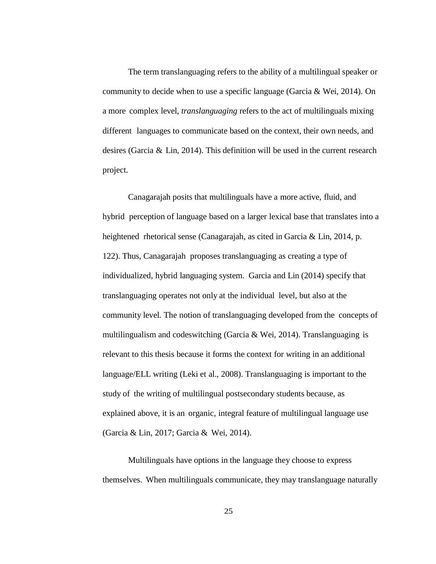The term translanguaging refers to the ability of a multilingual speaker or community to decide when to use a specific language (Garcia & Wei, 2014). On a more complex level, *translanguaging* refers to the act of multilinguals mixing different languages to communicate based on the context, their own needs, and desires (Garcia & Lin, 2014). This definition will be used in the current research project.

Canagarajah posits that multilinguals have a more active, fluid, and hybrid perception of language based on a larger lexical base that translates into a heightened rhetorical sense (Canagarajah, as cited in Garcia & Lin, 2014, p. 122). Thus, Canagarajah proposes translanguaging as creating a type of individualized, hybrid languaging system. Garcia and Lin (2014) specify that translanguaging operates not only at the individual level, but also at the community level. The notion of translanguaging developed from the concepts of multilingualism and codeswitching (Garcia & Wei, 2014). Translanguaging is relevant to this thesis because it forms the context for writing in an additional language/ELL writing (Leki et al., 2008). Translanguaging is important to the study of the writing of multilingual postsecondary students because, as explained above, it is an organic, integral feature of multilingual language use (Garcia & Lin, 2017; Garcia & Wei, 2014).

Multilinguals have options in the language they choose to express themselves. When multilinguals communicate, they may translanguage naturally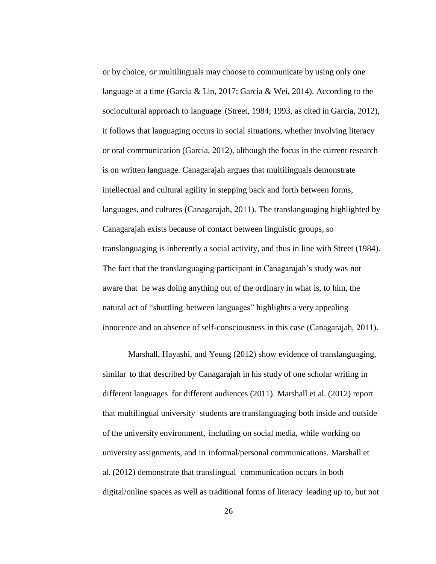or by choice, *or* multilinguals may choose to communicate by using only one language at a time (Garcia & Lin, 2017; Garcia & Wei, 2014). According to the sociocultural approach to language (Street, 1984; 1993, as cited in Garcia, 2012), it follows that languaging occurs in social situations, whether involving literacy or oral communication (Garcia, 2012), although the focus in the current research is on written language. Canagarajah argues that multilinguals demonstrate intellectual and cultural agility in stepping back and forth between forms, languages, and cultures (Canagarajah, 2011). The translanguaging highlighted by Canagarajah exists because of contact between linguistic groups, so translanguaging is inherently a social activity, and thus in line with Street (1984). The fact that the translanguaging participant in Canagarajah's study was not aware that he was doing anything out of the ordinary in what is, to him, the natural act of "shuttling between languages" highlights a very appealing innocence and an absence of self-consciousness in this case (Canagarajah, 2011).

Marshall, Hayashi, and Yeung (2012) show evidence of translanguaging, similar to that described by Canagarajah in his study of one scholar writing in different languages for different audiences (2011). Marshall et al. (2012) report that multilingual university students are translanguaging both inside and outside of the university environment, including on social media, while working on university assignments, and in informal/personal communications. Marshall et al. (2012) demonstrate that translingual communication occurs in both digital/online spaces as well as traditional forms of literacy leading up to, but not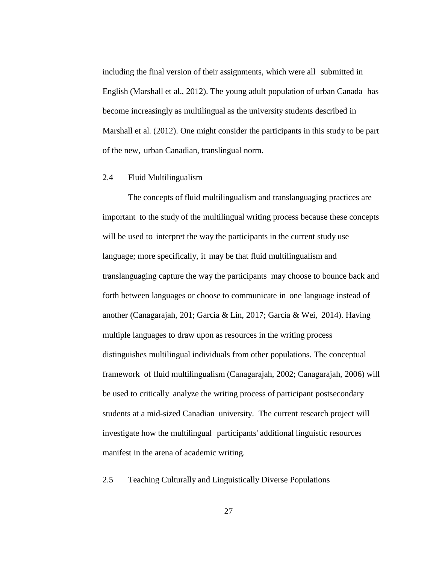including the final version of their assignments, which were all submitted in English (Marshall et al., 2012). The young adult population of urban Canada has become increasingly as multilingual as the university students described in Marshall et al. (2012). One might consider the participants in this study to be part of the new, urban Canadian, translingual norm.

### 2.4 Fluid Multilingualism

The concepts of fluid multilingualism and translanguaging practices are important to the study of the multilingual writing process because these concepts will be used to interpret the way the participants in the current study use language; more specifically, it may be that fluid multilingualism and translanguaging capture the way the participants may choose to bounce back and forth between languages or choose to communicate in one language instead of another (Canagarajah, 201; Garcia & Lin, 2017; Garcia & Wei, 2014). Having multiple languages to draw upon as resources in the writing process distinguishes multilingual individuals from other populations. The conceptual framework of fluid multilingualism (Canagarajah, 2002; Canagarajah, 2006) will be used to critically analyze the writing process of participant postsecondary students at a mid-sized Canadian university. The current research project will investigate how the multilingual participants' additional linguistic resources manifest in the arena of academic writing.

2.5 Teaching Culturally and Linguistically Diverse Populations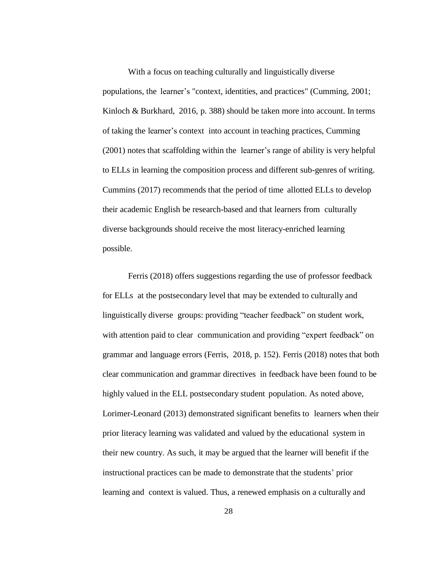With a focus on teaching culturally and linguistically diverse populations, the learner's "context, identities, and practices" (Cumming, 2001; Kinloch & Burkhard, 2016, p. 388) should be taken more into account. In terms of taking the learner's context into account in teaching practices, Cumming (2001) notes that scaffolding within the learner's range of ability is very helpful to ELLs in learning the composition process and different sub-genres of writing. Cummins (2017) recommends that the period of time allotted ELLs to develop their academic English be research-based and that learners from culturally diverse backgrounds should receive the most literacy-enriched learning possible.

Ferris (2018) offers suggestions regarding the use of professor feedback for ELLs at the postsecondary level that may be extended to culturally and linguistically diverse groups: providing "teacher feedback" on student work, with attention paid to clear communication and providing "expert feedback" on grammar and language errors (Ferris, 2018, p. 152). Ferris (2018) notes that both clear communication and grammar directives in feedback have been found to be highly valued in the ELL postsecondary student population. As noted above, Lorimer-Leonard (2013) demonstrated significant benefits to learners when their prior literacy learning was validated and valued by the educational system in their new country. As such, it may be argued that the learner will benefit if the instructional practices can be made to demonstrate that the students' prior learning and context is valued. Thus, a renewed emphasis on a culturally and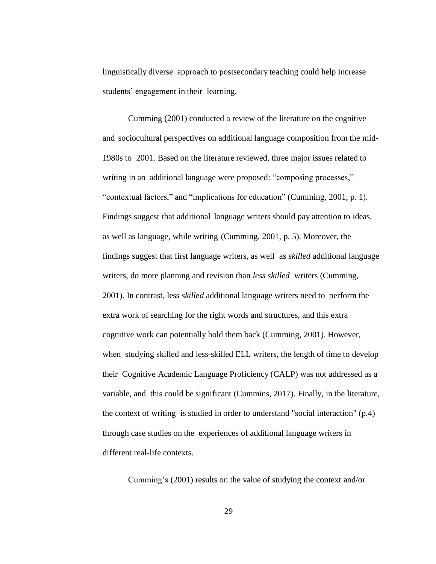linguistically diverse approach to postsecondary teaching could help increase students' engagement in their learning.

Cumming (2001) conducted a review of the literature on the cognitive and sociocultural perspectives on additional language composition from the mid-1980s to 2001. Based on the literature reviewed, three major issues related to writing in an additional language were proposed: "composing processes," "contextual factors," and "implications for education" (Cumming, 2001, p. 1). Findings suggest that additional language writers should pay attention to ideas, as well as language, while writing (Cumming, 2001, p. 5). Moreover, the findings suggest that first language writers, as well as *skilled* additional language writers, do more planning and revision than *less skilled* writers (Cumming, 2001). In contrast, less *skilled* additional language writers need to perform the extra work of searching for the right words and structures, and this extra cognitive work can potentially hold them back (Cumming, 2001). However, when studying skilled and less-skilled ELL writers, the length of time to develop their Cognitive Academic Language Proficiency (CALP) was not addressed as a variable, and this could be significant (Cummins, 2017). Finally, in the literature, the context of writing is studied in order to understand "social interaction" (p.4) through case studies on the experiences of additional language writers in different real-life contexts.

Cumming's (2001) results on the value of studying the context and/or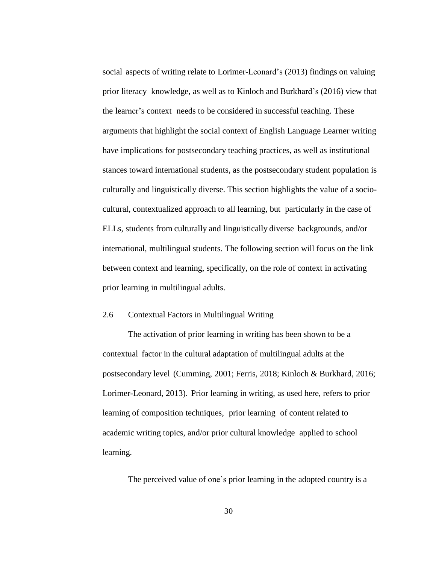social aspects of writing relate to Lorimer-Leonard's (2013) findings on valuing prior literacy knowledge, as well as to Kinloch and Burkhard's (2016) view that the learner's context needs to be considered in successful teaching. These arguments that highlight the social context of English Language Learner writing have implications for postsecondary teaching practices, as well as institutional stances toward international students, as the postsecondary student population is culturally and linguistically diverse. This section highlights the value of a sociocultural, contextualized approach to all learning, but particularly in the case of ELLs, students from culturally and linguistically diverse backgrounds, and/or international, multilingual students. The following section will focus on the link between context and learning, specifically, on the role of context in activating prior learning in multilingual adults.

### 2.6 Contextual Factors in Multilingual Writing

The activation of prior learning in writing has been shown to be a contextual factor in the cultural adaptation of multilingual adults at the postsecondary level (Cumming, 2001; Ferris, 2018; Kinloch & Burkhard, 2016; Lorimer-Leonard, 2013). Prior learning in writing, as used here, refers to prior learning of composition techniques, prior learning of content related to academic writing topics, and/or prior cultural knowledge applied to school learning.

The perceived value of one's prior learning in the adopted country is a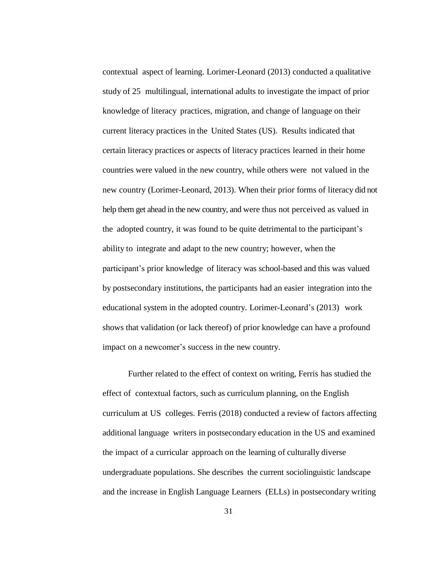contextual aspect of learning. Lorimer-Leonard (2013) conducted a qualitative study of 25 multilingual, international adults to investigate the impact of prior knowledge of literacy practices, migration, and change of language on their current literacy practices in the United States (US). Results indicated that certain literacy practices or aspects of literacy practices learned in their home countries were valued in the new country, while others were not valued in the new country (Lorimer-Leonard, 2013). When their prior forms of literacy did not help them get ahead in the new country, and were thus not perceived as valued in the adopted country, it was found to be quite detrimental to the participant's ability to integrate and adapt to the new country; however, when the participant's prior knowledge of literacy was school-based and this was valued by postsecondary institutions, the participants had an easier integration into the educational system in the adopted country. Lorimer-Leonard's (2013) work shows that validation (or lack thereof) of prior knowledge can have a profound impact on a newcomer's success in the new country.

Further related to the effect of context on writing, Ferris has studied the effect of contextual factors, such as curriculum planning, on the English curriculum at US colleges. Ferris (2018) conducted a review of factors affecting additional language writers in postsecondary education in the US and examined the impact of a curricular approach on the learning of culturally diverse undergraduate populations. She describes the current sociolinguistic landscape and the increase in English Language Learners (ELLs) in postsecondary writing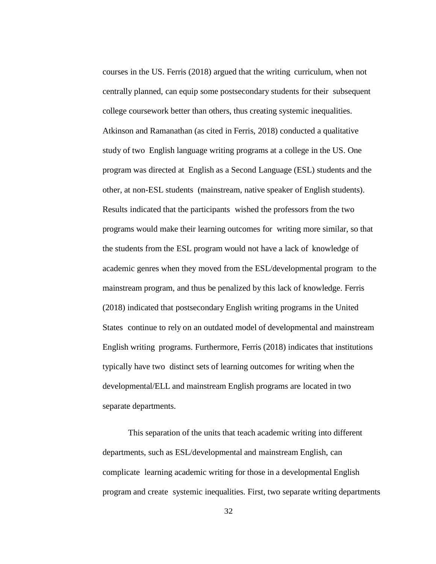courses in the US. Ferris (2018) argued that the writing curriculum, when not centrally planned, can equip some postsecondary students for their subsequent college coursework better than others, thus creating systemic inequalities. Atkinson and Ramanathan (as cited in Ferris, 2018) conducted a qualitative study of two English language writing programs at a college in the US. One program was directed at English as a Second Language (ESL) students and the other, at non-ESL students (mainstream, native speaker of English students). Results indicated that the participants wished the professors from the two programs would make their learning outcomes for writing more similar, so that the students from the ESL program would not have a lack of knowledge of academic genres when they moved from the ESL/developmental program to the mainstream program, and thus be penalized by this lack of knowledge. Ferris (2018) indicated that postsecondary English writing programs in the United States continue to rely on an outdated model of developmental and mainstream English writing programs. Furthermore, Ferris (2018) indicates that institutions typically have two distinct sets of learning outcomes for writing when the developmental/ELL and mainstream English programs are located in two separate departments.

This separation of the units that teach academic writing into different departments, such as ESL/developmental and mainstream English, can complicate learning academic writing for those in a developmental English program and create systemic inequalities. First, two separate writing departments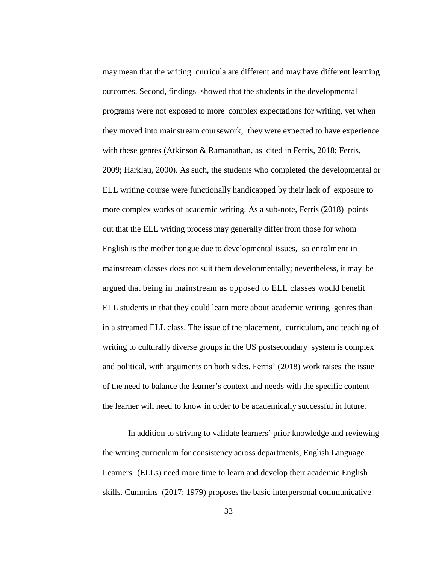may mean that the writing curricula are different and may have different learning outcomes. Second, findings showed that the students in the developmental programs were not exposed to more complex expectations for writing, yet when they moved into mainstream coursework, they were expected to have experience with these genres (Atkinson & Ramanathan, as cited in Ferris, 2018; Ferris, 2009; Harklau, 2000). As such, the students who completed the developmental or ELL writing course were functionally handicapped by their lack of exposure to more complex works of academic writing. As a sub-note, Ferris (2018) points out that the ELL writing process may generally differ from those for whom English is the mother tongue due to developmental issues, so enrolment in mainstream classes does not suit them developmentally; nevertheless, it may be argued that being in mainstream as opposed to ELL classes would benefit ELL students in that they could learn more about academic writing genres than in a streamed ELL class. The issue of the placement, curriculum, and teaching of writing to culturally diverse groups in the US postsecondary system is complex and political, with arguments on both sides. Ferris' (2018) work raises the issue of the need to balance the learner's context and needs with the specific content the learner will need to know in order to be academically successful in future.

In addition to striving to validate learners' prior knowledge and reviewing the writing curriculum for consistency across departments, English Language Learners (ELLs) need more time to learn and develop their academic English skills. Cummins (2017; 1979) proposes the basic interpersonal communicative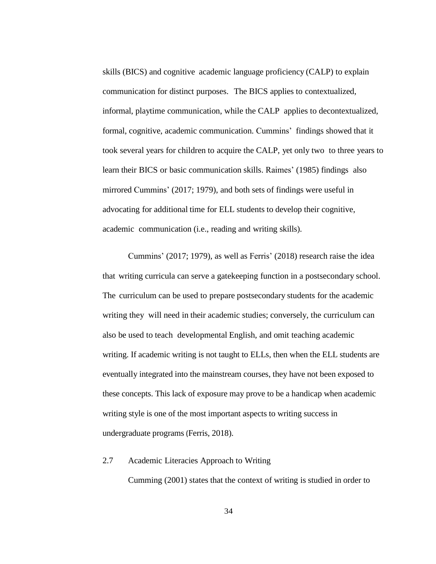skills (BICS) and cognitive academic language proficiency (CALP) to explain communication for distinct purposes. The BICS applies to contextualized, informal, playtime communication, while the CALP applies to decontextualized, formal, cognitive, academic communication. Cummins' findings showed that it took several years for children to acquire the CALP, yet only two to three years to learn their BICS or basic communication skills. Raimes' (1985) findings also mirrored Cummins' (2017; 1979), and both sets of findings were useful in advocating for additional time for ELL students to develop their cognitive, academic communication (i.e., reading and writing skills).

Cummins' (2017; 1979), as well as Ferris' (2018) research raise the idea that writing curricula can serve a gatekeeping function in a postsecondary school. The curriculum can be used to prepare postsecondary students for the academic writing they will need in their academic studies; conversely, the curriculum can also be used to teach developmental English, and omit teaching academic writing. If academic writing is not taught to ELLs, then when the ELL students are eventually integrated into the mainstream courses, they have not been exposed to these concepts. This lack of exposure may prove to be a handicap when academic writing style is one of the most important aspects to writing success in undergraduate programs (Ferris, 2018).

#### 2.7 Academic Literacies Approach to Writing

Cumming (2001) states that the context of writing is studied in order to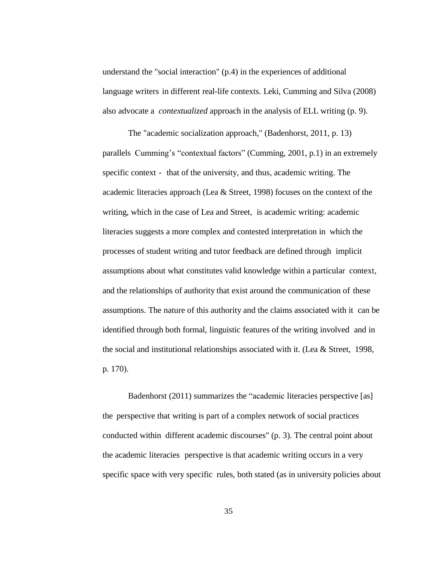understand the "social interaction" (p.4) in the experiences of additional language writers in different real-life contexts. Leki, Cumming and Silva (2008) also advocate a *contextualized* approach in the analysis of ELL writing (p. 9).

The "academic socialization approach," (Badenhorst, 2011, p. 13) parallels Cumming's "contextual factors" (Cumming, 2001, p.1) in an extremely specific context - that of the university, and thus, academic writing. The academic literacies approach (Lea & Street, 1998) focuses on the context of the writing, which in the case of Lea and Street, is academic writing: academic literacies suggests a more complex and contested interpretation in which the processes of student writing and tutor feedback are defined through implicit assumptions about what constitutes valid knowledge within a particular context, and the relationships of authority that exist around the communication of these assumptions. The nature of this authority and the claims associated with it can be identified through both formal, linguistic features of the writing involved and in the social and institutional relationships associated with it. (Lea  $&$  Street, 1998, p. 170).

Badenhorst (2011) summarizes the "academic literacies perspective [as] the perspective that writing is part of a complex network of social practices conducted within different academic discourses" (p. 3). The central point about the academic literacies perspective is that academic writing occurs in a very specific space with very specific rules, both stated (as in university policies about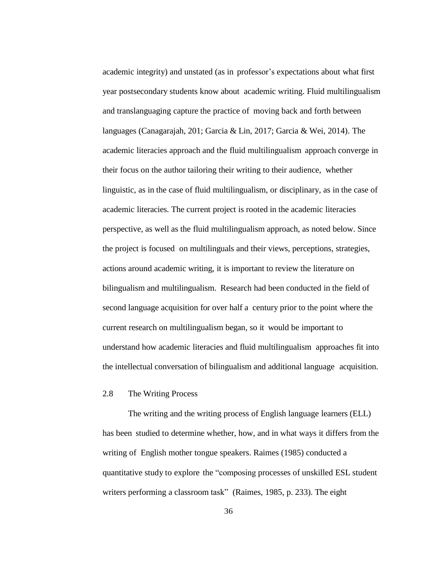academic integrity) and unstated (as in professor's expectations about what first year postsecondary students know about academic writing. Fluid multilingualism and translanguaging capture the practice of moving back and forth between languages (Canagarajah, 201; Garcia & Lin, 2017; Garcia & Wei, 2014). The academic literacies approach and the fluid multilingualism approach converge in their focus on the author tailoring their writing to their audience, whether linguistic, as in the case of fluid multilingualism, or disciplinary, as in the case of academic literacies. The current project is rooted in the academic literacies perspective, as well as the fluid multilingualism approach, as noted below. Since the project is focused on multilinguals and their views, perceptions, strategies, actions around academic writing, it is important to review the literature on bilingualism and multilingualism. Research had been conducted in the field of second language acquisition for over half a century prior to the point where the current research on multilingualism began, so it would be important to understand how academic literacies and fluid multilingualism approaches fit into the intellectual conversation of bilingualism and additional language acquisition.

#### 2.8 The Writing Process

The writing and the writing process of English language learners (ELL) has been studied to determine whether, how, and in what ways it differs from the writing of English mother tongue speakers. Raimes (1985) conducted a quantitative study to explore the "composing processes of unskilled ESL student writers performing a classroom task" (Raimes, 1985, p. 233). The eight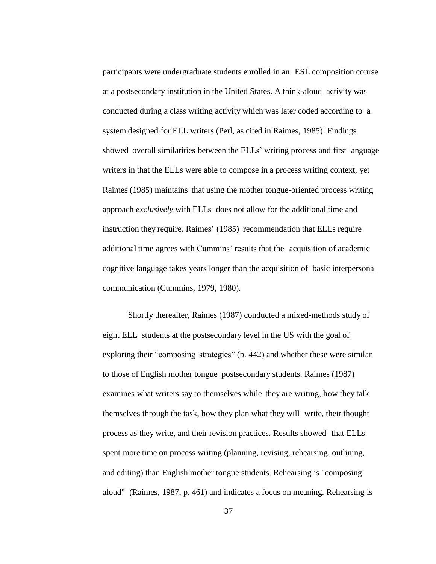participants were undergraduate students enrolled in an ESL composition course at a postsecondary institution in the United States. A think-aloud activity was conducted during a class writing activity which was later coded according to a system designed for ELL writers (Perl, as cited in Raimes, 1985). Findings showed overall similarities between the ELLs' writing process and first language writers in that the ELLs were able to compose in a process writing context, yet Raimes (1985) maintains that using the mother tongue-oriented process writing approach *exclusively* with ELLs does not allow for the additional time and instruction they require. Raimes' (1985) recommendation that ELLs require additional time agrees with Cummins' results that the acquisition of academic cognitive language takes years longer than the acquisition of basic interpersonal communication (Cummins, 1979, 1980).

Shortly thereafter, Raimes (1987) conducted a mixed-methods study of eight ELL students at the postsecondary level in the US with the goal of exploring their "composing strategies" (p. 442) and whether these were similar to those of English mother tongue postsecondary students. Raimes (1987) examines what writers say to themselves while they are writing, how they talk themselves through the task, how they plan what they will write, their thought process as they write, and their revision practices. Results showed that ELLs spent more time on process writing (planning, revising, rehearsing, outlining, and editing) than English mother tongue students. Rehearsing is "composing aloud" (Raimes, 1987, p. 461) and indicates a focus on meaning. Rehearsing is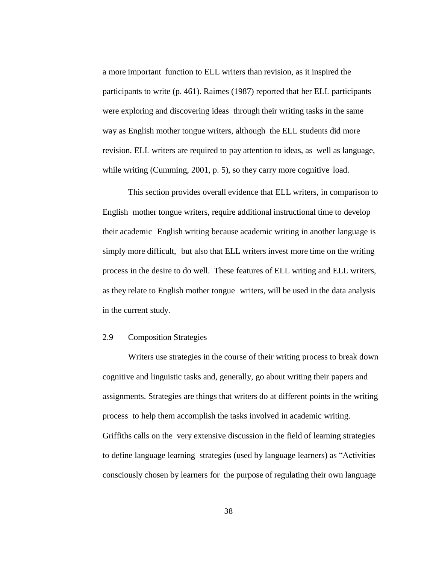a more important function to ELL writers than revision, as it inspired the participants to write (p. 461). Raimes (1987) reported that her ELL participants were exploring and discovering ideas through their writing tasks in the same way as English mother tongue writers, although the ELL students did more revision. ELL writers are required to pay attention to ideas, as well as language, while writing (Cumming, 2001, p. 5), so they carry more cognitive load.

This section provides overall evidence that ELL writers, in comparison to English mother tongue writers, require additional instructional time to develop their academic English writing because academic writing in another language is simply more difficult, but also that ELL writers invest more time on the writing process in the desire to do well. These features of ELL writing and ELL writers, as they relate to English mother tongue writers, will be used in the data analysis in the current study.

# 2.9 Composition Strategies

Writers use strategies in the course of their writing process to break down cognitive and linguistic tasks and, generally, go about writing their papers and assignments. Strategies are things that writers do at different points in the writing process to help them accomplish the tasks involved in academic writing. Griffiths calls on the very extensive discussion in the field of learning strategies to define language learning strategies (used by language learners) as "Activities consciously chosen by learners for the purpose of regulating their own language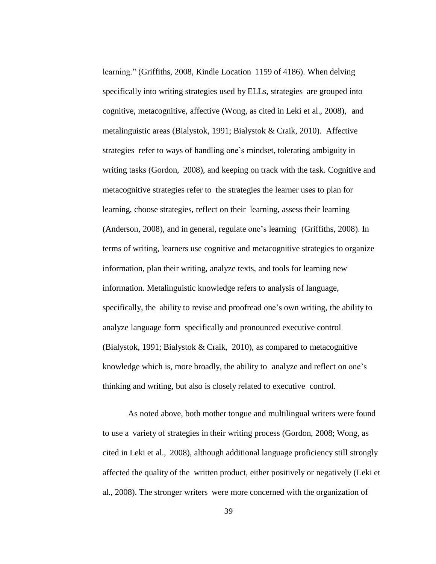learning." (Griffiths, 2008, Kindle Location 1159 of 4186). When delving specifically into writing strategies used by ELLs, strategies are grouped into cognitive, metacognitive, affective (Wong, as cited in Leki et al., 2008), and metalinguistic areas (Bialystok, 1991; Bialystok & Craik, 2010). Affective strategies refer to ways of handling one's mindset, tolerating ambiguity in writing tasks (Gordon, 2008), and keeping on track with the task. Cognitive and metacognitive strategies refer to the strategies the learner uses to plan for learning, choose strategies, reflect on their learning, assess their learning (Anderson, 2008), and in general, regulate one's learning (Griffiths, 2008). In terms of writing, learners use cognitive and metacognitive strategies to organize information, plan their writing, analyze texts, and tools for learning new information. Metalinguistic knowledge refers to analysis of language, specifically, the ability to revise and proofread one's own writing, the ability to analyze language form specifically and pronounced executive control (Bialystok, 1991; Bialystok & Craik, 2010), as compared to metacognitive knowledge which is, more broadly, the ability to analyze and reflect on one's thinking and writing, but also is closely related to executive control.

As noted above, both mother tongue and multilingual writers were found to use a variety of strategies in their writing process (Gordon, 2008; Wong, as cited in Leki et al., 2008), although additional language proficiency still strongly affected the quality of the written product, either positively or negatively (Leki et al., 2008). The stronger writers were more concerned with the organization of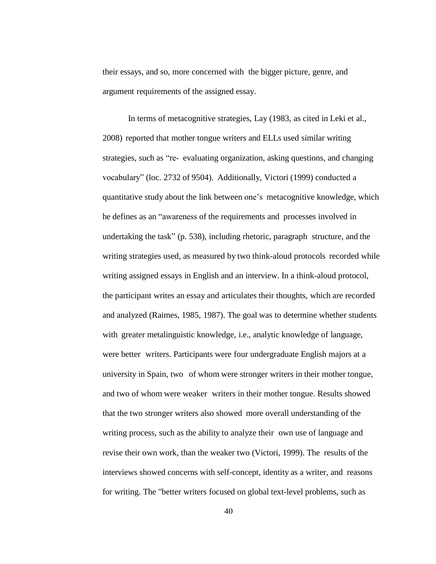their essays, and so, more concerned with the bigger picture, genre, and argument requirements of the assigned essay.

In terms of metacognitive strategies, Lay (1983, as cited in Leki et al., 2008) reported that mother tongue writers and ELLs used similar writing strategies, such as "re- evaluating organization, asking questions, and changing vocabulary" (loc. 2732 of 9504). Additionally, Victori (1999) conducted a quantitative study about the link between one's metacognitive knowledge, which he defines as an "awareness of the requirements and processes involved in undertaking the task" (p. 538), including rhetoric, paragraph structure, and the writing strategies used, as measured by two think-aloud protocols recorded while writing assigned essays in English and an interview. In a think-aloud protocol, the participant writes an essay and articulates their thoughts, which are recorded and analyzed (Raimes, 1985, 1987). The goal was to determine whether students with greater metalinguistic knowledge, i.e., analytic knowledge of language, were better writers. Participants were four undergraduate English majors at a university in Spain, two of whom were stronger writers in their mother tongue, and two of whom were weaker writers in their mother tongue. Results showed that the two stronger writers also showed more overall understanding of the writing process, such as the ability to analyze their own use of language and revise their own work, than the weaker two (Victori, 1999). The results of the interviews showed concerns with self-concept, identity as a writer, and reasons for writing. The "better writers focused on global text-level problems, such as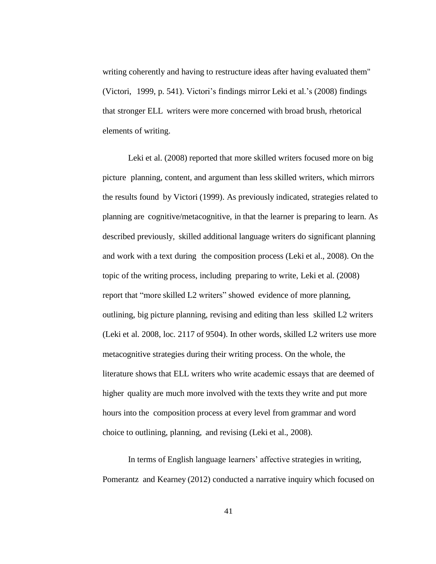writing coherently and having to restructure ideas after having evaluated them" (Victori, 1999, p. 541). Victori's findings mirror Leki et al.'s (2008) findings that stronger ELL writers were more concerned with broad brush, rhetorical elements of writing.

Leki et al. (2008) reported that more skilled writers focused more on big picture planning, content, and argument than less skilled writers, which mirrors the results found by Victori (1999). As previously indicated, strategies related to planning are cognitive/metacognitive, in that the learner is preparing to learn. As described previously, skilled additional language writers do significant planning and work with a text during the composition process (Leki et al., 2008). On the topic of the writing process, including preparing to write, Leki et al. (2008) report that "more skilled L2 writers" showed evidence of more planning, outlining, big picture planning, revising and editing than less skilled L2 writers (Leki et al. 2008, loc. 2117 of 9504). In other words, skilled L2 writers use more metacognitive strategies during their writing process. On the whole, the literature shows that ELL writers who write academic essays that are deemed of higher quality are much more involved with the texts they write and put more hours into the composition process at every level from grammar and word choice to outlining, planning, and revising (Leki et al., 2008).

In terms of English language learners' affective strategies in writing, Pomerantz and Kearney (2012) conducted a narrative inquiry which focused on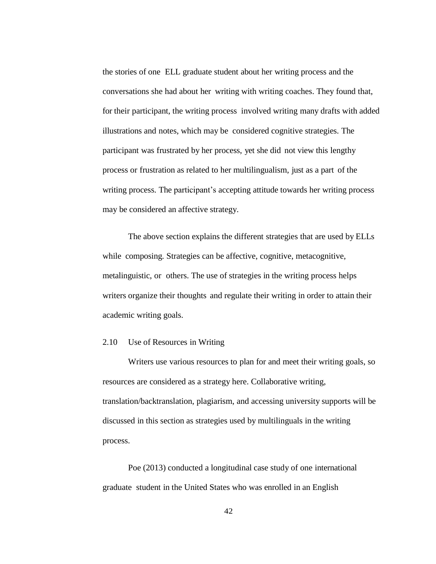the stories of one ELL graduate student about her writing process and the conversations she had about her writing with writing coaches. They found that, for their participant, the writing process involved writing many drafts with added illustrations and notes, which may be considered cognitive strategies. The participant was frustrated by her process, yet she did not view this lengthy process or frustration as related to her multilingualism, just as a part of the writing process. The participant's accepting attitude towards her writing process may be considered an affective strategy.

The above section explains the different strategies that are used by ELLs while composing. Strategies can be affective, cognitive, metacognitive, metalinguistic, or others. The use of strategies in the writing process helps writers organize their thoughts and regulate their writing in order to attain their academic writing goals.

# 2.10 Use of Resources in Writing

Writers use various resources to plan for and meet their writing goals, so resources are considered as a strategy here. Collaborative writing, translation/backtranslation, plagiarism, and accessing university supports will be discussed in this section as strategies used by multilinguals in the writing process.

Poe (2013) conducted a longitudinal case study of one international graduate student in the United States who was enrolled in an English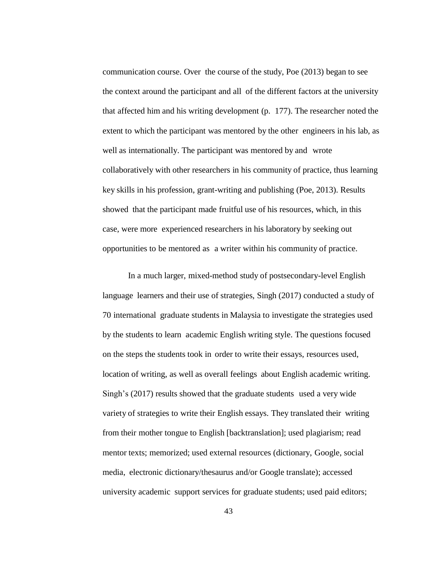communication course. Over the course of the study, Poe (2013) began to see the context around the participant and all of the different factors at the university that affected him and his writing development (p. 177). The researcher noted the extent to which the participant was mentored by the other engineers in his lab, as well as internationally. The participant was mentored by and wrote collaboratively with other researchers in his community of practice, thus learning key skills in his profession, grant-writing and publishing (Poe, 2013). Results showed that the participant made fruitful use of his resources, which, in this case, were more experienced researchers in his laboratory by seeking out opportunities to be mentored as a writer within his community of practice.

In a much larger, mixed-method study of postsecondary-level English language learners and their use of strategies, Singh (2017) conducted a study of 70 international graduate students in Malaysia to investigate the strategies used by the students to learn academic English writing style. The questions focused on the steps the students took in order to write their essays, resources used, location of writing, as well as overall feelings about English academic writing. Singh's (2017) results showed that the graduate students used a very wide variety of strategies to write their English essays. They translated their writing from their mother tongue to English [backtranslation]; used plagiarism; read mentor texts; memorized; used external resources (dictionary, Google, social media, electronic dictionary/thesaurus and/or Google translate); accessed university academic support services for graduate students; used paid editors;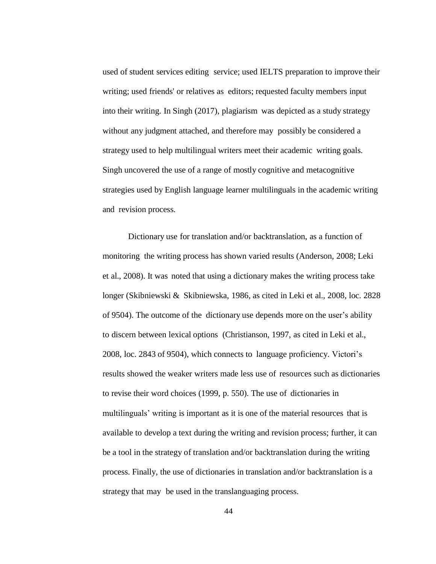used of student services editing service; used IELTS preparation to improve their writing; used friends' or relatives as editors; requested faculty members input into their writing. In Singh (2017), plagiarism was depicted as a study strategy without any judgment attached, and therefore may possibly be considered a strategy used to help multilingual writers meet their academic writing goals. Singh uncovered the use of a range of mostly cognitive and metacognitive strategies used by English language learner multilinguals in the academic writing and revision process.

Dictionary use for translation and/or backtranslation, as a function of monitoring the writing process has shown varied results (Anderson, 2008; Leki et al., 2008). It was noted that using a dictionary makes the writing process take longer (Skibniewski & Skibniewska, 1986, as cited in Leki et al., 2008, loc. 2828 of 9504). The outcome of the dictionary use depends more on the user's ability to discern between lexical options (Christianson, 1997, as cited in Leki et al., 2008, loc. 2843 of 9504), which connects to language proficiency. Victori's results showed the weaker writers made less use of resources such as dictionaries to revise their word choices (1999, p. 550). The use of dictionaries in multilinguals' writing is important as it is one of the material resources that is available to develop a text during the writing and revision process; further, it can be a tool in the strategy of translation and/or backtranslation during the writing process. Finally, the use of dictionaries in translation and/or backtranslation is a strategy that may be used in the translanguaging process.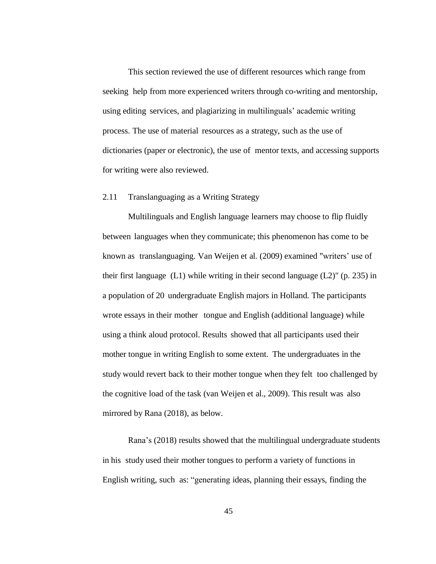This section reviewed the use of different resources which range from seeking help from more experienced writers through co-writing and mentorship, using editing services, and plagiarizing in multilinguals' academic writing process. The use of material resources as a strategy, such as the use of dictionaries (paper or electronic), the use of mentor texts, and accessing supports for writing were also reviewed.

## 2.11 Translanguaging as a Writing Strategy

Multilinguals and English language learners may choose to flip fluidly between languages when they communicate; this phenomenon has come to be known as translanguaging. Van Weijen et al. (2009) examined "writers' use of their first language (L1) while writing in their second language (L2)" (p. 235) in a population of 20 undergraduate English majors in Holland. The participants wrote essays in their mother tongue and English (additional language) while using a think aloud protocol. Results showed that all participants used their mother tongue in writing English to some extent. The undergraduates in the study would revert back to their mother tongue when they felt too challenged by the cognitive load of the task (van Weijen et al., 2009). This result was also mirrored by Rana (2018), as below.

Rana's (2018) results showed that the multilingual undergraduate students in his study used their mother tongues to perform a variety of functions in English writing, such as: "generating ideas, planning their essays, finding the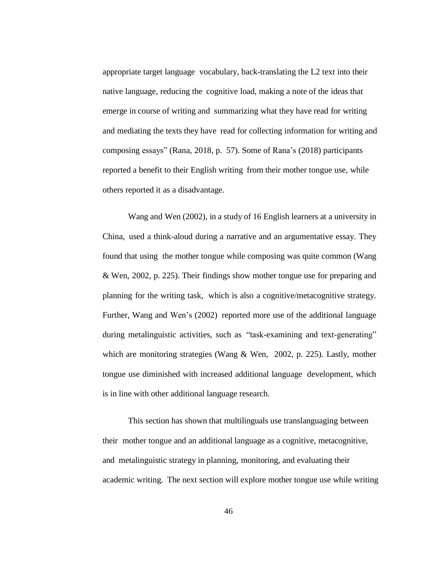appropriate target language vocabulary, back-translating the L2 text into their native language, reducing the cognitive load, making a note of the ideas that emerge in course of writing and summarizing what they have read for writing and mediating the texts they have read for collecting information for writing and composing essays" (Rana, 2018, p. 57). Some of Rana's (2018) participants reported a benefit to their English writing from their mother tongue use, while others reported it as a disadvantage.

Wang and Wen (2002), in a study of 16 English learners at a university in China, used a think-aloud during a narrative and an argumentative essay. They found that using the mother tongue while composing was quite common (Wang & Wen, 2002, p. 225). Their findings show mother tongue use for preparing and planning for the writing task, which is also a cognitive/metacognitive strategy. Further, Wang and Wen's (2002) reported more use of the additional language during metalinguistic activities, such as "task-examining and text-generating" which are monitoring strategies (Wang & Wen, 2002, p. 225). Lastly, mother tongue use diminished with increased additional language development, which is in line with other additional language research.

This section has shown that multilinguals use translanguaging between their mother tongue and an additional language as a cognitive, metacognitive, and metalinguistic strategy in planning, monitoring, and evaluating their academic writing. The next section will explore mother tongue use while writing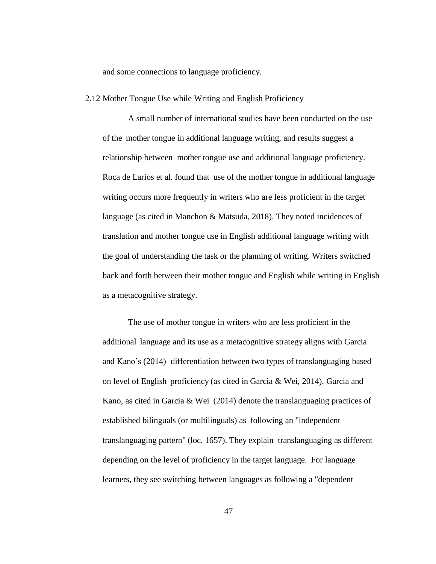and some connections to language proficiency.

#### 2.12 Mother Tongue Use while Writing and English Proficiency

A small number of international studies have been conducted on the use of the mother tongue in additional language writing, and results suggest a relationship between mother tongue use and additional language proficiency. Roca de Larios et al. found that use of the mother tongue in additional language writing occurs more frequently in writers who are less proficient in the target language (as cited in Manchon & Matsuda, 2018). They noted incidences of translation and mother tongue use in English additional language writing with the goal of understanding the task or the planning of writing. Writers switched back and forth between their mother tongue and English while writing in English as a metacognitive strategy.

The use of mother tongue in writers who are less proficient in the additional language and its use as a metacognitive strategy aligns with Garcia and Kano's (2014) differentiation between two types of translanguaging based on level of English proficiency (as cited in Garcia & Wei, 2014). Garcia and Kano, as cited in Garcia & Wei (2014) denote the translanguaging practices of established bilinguals (or multilinguals) as following an "independent translanguaging pattern" (loc. 1657). They explain translanguaging as different depending on the level of proficiency in the target language. For language learners, they see switching between languages as following a "dependent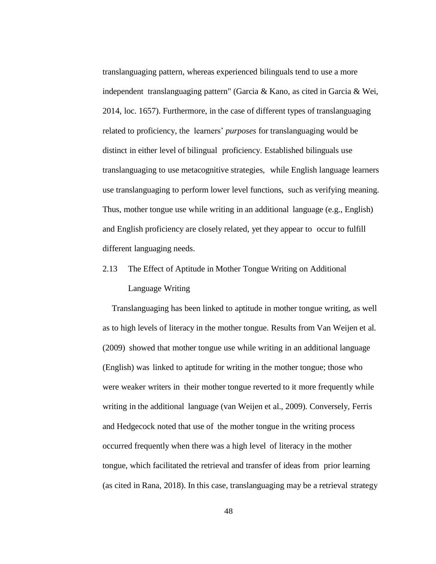translanguaging pattern, whereas experienced bilinguals tend to use a more independent translanguaging pattern" (Garcia & Kano, as cited in Garcia & Wei, 2014, loc. 1657). Furthermore, in the case of different types of translanguaging related to proficiency, the learners' *purposes* for translanguaging would be distinct in either level of bilingual proficiency. Established bilinguals use translanguaging to use metacognitive strategies, while English language learners use translanguaging to perform lower level functions, such as verifying meaning. Thus, mother tongue use while writing in an additional language (e.g., English) and English proficiency are closely related, yet they appear to occur to fulfill different languaging needs.

2.13 The Effect of Aptitude in Mother Tongue Writing on Additional Language Writing

Translanguaging has been linked to aptitude in mother tongue writing, as well as to high levels of literacy in the mother tongue. Results from Van Weijen et al. (2009) showed that mother tongue use while writing in an additional language (English) was linked to aptitude for writing in the mother tongue; those who were weaker writers in their mother tongue reverted to it more frequently while writing in the additional language (van Weijen et al., 2009). Conversely, Ferris and Hedgecock noted that use of the mother tongue in the writing process occurred frequently when there was a high level of literacy in the mother tongue, which facilitated the retrieval and transfer of ideas from prior learning (as cited in Rana, 2018). In this case, translanguaging may be a retrieval strategy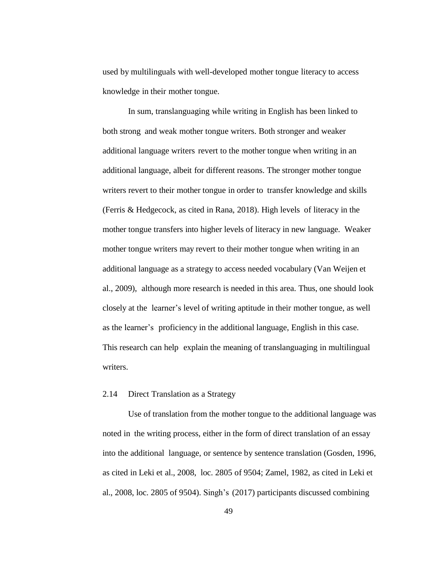used by multilinguals with well-developed mother tongue literacy to access knowledge in their mother tongue.

In sum, translanguaging while writing in English has been linked to both strong and weak mother tongue writers. Both stronger and weaker additional language writers revert to the mother tongue when writing in an additional language, albeit for different reasons. The stronger mother tongue writers revert to their mother tongue in order to transfer knowledge and skills (Ferris & Hedgecock, as cited in Rana, 2018). High levels of literacy in the mother tongue transfers into higher levels of literacy in new language. Weaker mother tongue writers may revert to their mother tongue when writing in an additional language as a strategy to access needed vocabulary (Van Weijen et al., 2009), although more research is needed in this area. Thus, one should look closely at the learner's level of writing aptitude in their mother tongue, as well as the learner's proficiency in the additional language, English in this case. This research can help explain the meaning of translanguaging in multilingual writers.

#### 2.14 Direct Translation as a Strategy

Use of translation from the mother tongue to the additional language was noted in the writing process, either in the form of direct translation of an essay into the additional language, or sentence by sentence translation (Gosden, 1996, as cited in Leki et al., 2008, loc. 2805 of 9504; Zamel, 1982, as cited in Leki et al., 2008, loc. 2805 of 9504). Singh's (2017) participants discussed combining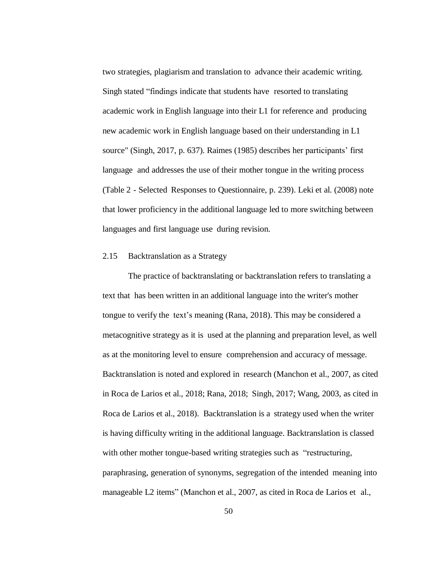two strategies, plagiarism and translation to advance their academic writing. Singh stated "findings indicate that students have resorted to translating academic work in English language into their L1 for reference and producing new academic work in English language based on their understanding in L1 source" (Singh, 2017, p. 637). Raimes (1985) describes her participants' first language and addresses the use of their mother tongue in the writing process (Table 2 - Selected Responses to Questionnaire, p. 239). Leki et al. (2008) note that lower proficiency in the additional language led to more switching between languages and first language use during revision.

### 2.15 Backtranslation as a Strategy

The practice of backtranslating or backtranslation refers to translating a text that has been written in an additional language into the writer's mother tongue to verify the text's meaning (Rana, 2018). This may be considered a metacognitive strategy as it is used at the planning and preparation level, as well as at the monitoring level to ensure comprehension and accuracy of message. Backtranslation is noted and explored in research (Manchon et al., 2007, as cited in Roca de Larios et al., 2018; Rana, 2018; Singh, 2017; Wang, 2003, as cited in Roca de Larios et al., 2018). Backtranslation is a strategy used when the writer is having difficulty writing in the additional language. Backtranslation is classed with other mother tongue-based writing strategies such as "restructuring, paraphrasing, generation of synonyms, segregation of the intended meaning into manageable L2 items" (Manchon et al., 2007, as cited in Roca de Larios et al.,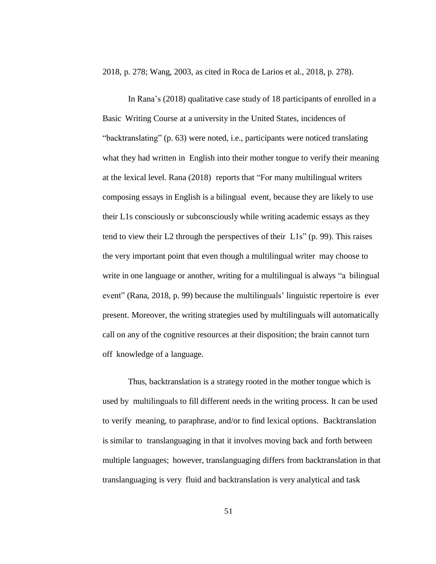2018, p. 278; Wang, 2003, as cited in Roca de Larios et al., 2018, p. 278).

In Rana's (2018) qualitative case study of 18 participants of enrolled in a Basic Writing Course at a university in the United States, incidences of "backtranslating" (p. 63) were noted, i.e., participants were noticed translating what they had written in English into their mother tongue to verify their meaning at the lexical level. Rana (2018) reports that "For many multilingual writers composing essays in English is a bilingual event, because they are likely to use their L1s consciously or subconsciously while writing academic essays as they tend to view their L2 through the perspectives of their L1s" (p. 99). This raises the very important point that even though a multilingual writer may choose to write in one language or another, writing for a multilingual is always "a bilingual event" (Rana, 2018, p. 99) because the multilinguals' linguistic repertoire is ever present. Moreover, the writing strategies used by multilinguals will automatically call on any of the cognitive resources at their disposition; the brain cannot turn off knowledge of a language.

Thus, backtranslation is a strategy rooted in the mother tongue which is used by multilinguals to fill different needs in the writing process. It can be used to verify meaning, to paraphrase, and/or to find lexical options. Backtranslation is similar to translanguaging in that it involves moving back and forth between multiple languages; however, translanguaging differs from backtranslation in that translanguaging is very fluid and backtranslation is very analytical and task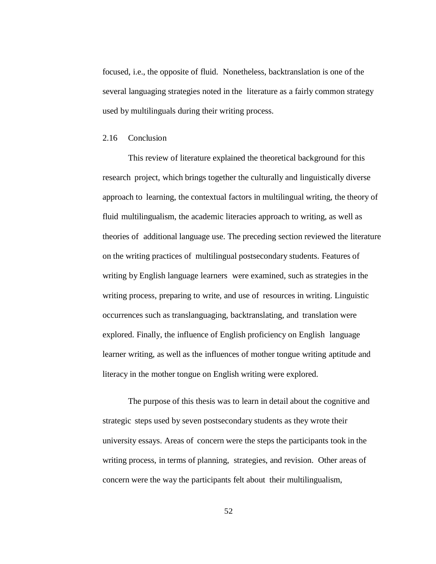focused, i.e., the opposite of fluid. Nonetheless, backtranslation is one of the several languaging strategies noted in the literature as a fairly common strategy used by multilinguals during their writing process.

### 2.16 Conclusion

This review of literature explained the theoretical background for this research project, which brings together the culturally and linguistically diverse approach to learning, the contextual factors in multilingual writing, the theory of fluid multilingualism, the academic literacies approach to writing, as well as theories of additional language use. The preceding section reviewed the literature on the writing practices of multilingual postsecondary students. Features of writing by English language learners were examined, such as strategies in the writing process, preparing to write, and use of resources in writing. Linguistic occurrences such as translanguaging, backtranslating, and translation were explored. Finally, the influence of English proficiency on English language learner writing, as well as the influences of mother tongue writing aptitude and literacy in the mother tongue on English writing were explored.

The purpose of this thesis was to learn in detail about the cognitive and strategic steps used by seven postsecondary students as they wrote their university essays. Areas of concern were the steps the participants took in the writing process, in terms of planning, strategies, and revision. Other areas of concern were the way the participants felt about their multilingualism,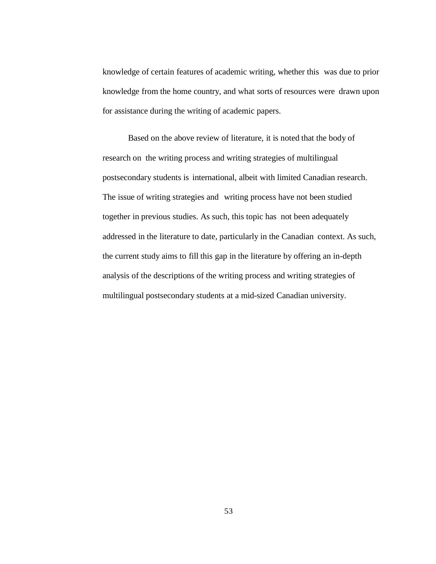knowledge of certain features of academic writing, whether this was due to prior knowledge from the home country, and what sorts of resources were drawn upon for assistance during the writing of academic papers.

Based on the above review of literature, it is noted that the body of research on the writing process and writing strategies of multilingual postsecondary students is international, albeit with limited Canadian research. The issue of writing strategies and writing process have not been studied together in previous studies. As such, this topic has not been adequately addressed in the literature to date, particularly in the Canadian context. As such, the current study aims to fill this gap in the literature by offering an in-depth analysis of the descriptions of the writing process and writing strategies of multilingual postsecondary students at a mid-sized Canadian university.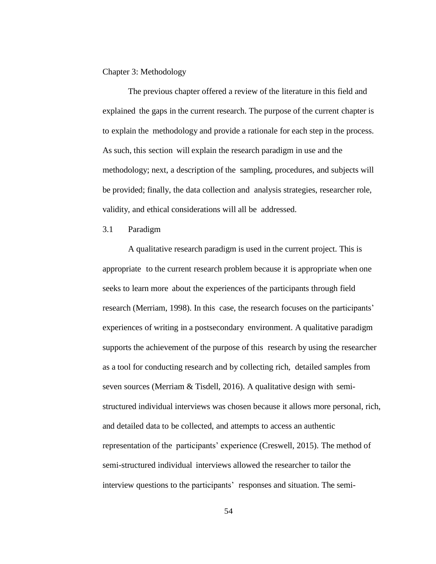## Chapter 3: Methodology

The previous chapter offered a review of the literature in this field and explained the gaps in the current research. The purpose of the current chapter is to explain the methodology and provide a rationale for each step in the process. As such, this section will explain the research paradigm in use and the methodology; next, a description of the sampling, procedures, and subjects will be provided; finally, the data collection and analysis strategies, researcher role, validity, and ethical considerations will all be addressed.

### 3.1 Paradigm

A qualitative research paradigm is used in the current project. This is appropriate to the current research problem because it is appropriate when one seeks to learn more about the experiences of the participants through field research (Merriam, 1998). In this case, the research focuses on the participants' experiences of writing in a postsecondary environment. A qualitative paradigm supports the achievement of the purpose of this research by using the researcher as a tool for conducting research and by collecting rich, detailed samples from seven sources (Merriam & Tisdell, 2016). A qualitative design with semistructured individual interviews was chosen because it allows more personal, rich, and detailed data to be collected, and attempts to access an authentic representation of the participants' experience (Creswell, 2015). The method of semi-structured individual interviews allowed the researcher to tailor the interview questions to the participants' responses and situation. The semi-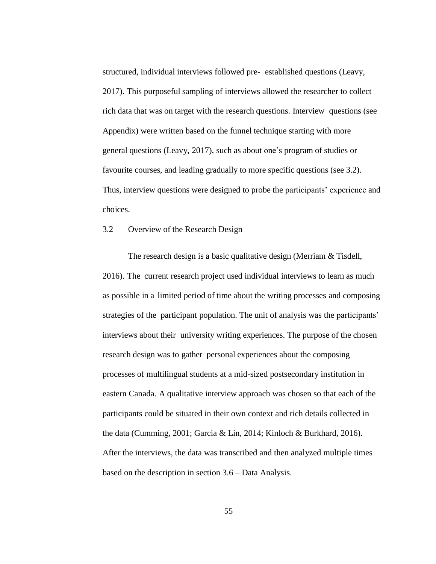structured, individual interviews followed pre- established questions (Leavy, 2017). This purposeful sampling of interviews allowed the researcher to collect rich data that was on target with the research questions. Interview questions (see Appendix) were written based on the funnel technique starting with more general questions (Leavy, 2017), such as about one's program of studies or favourite courses, and leading gradually to more specific questions (see 3.2). Thus, interview questions were designed to probe the participants' experience and choices.

### 3.2 Overview of the Research Design

The research design is a basic qualitative design (Merriam & Tisdell, 2016). The current research project used individual interviews to learn as much as possible in a limited period of time about the writing processes and composing strategies of the participant population. The unit of analysis was the participants' interviews about their university writing experiences. The purpose of the chosen research design was to gather personal experiences about the composing processes of multilingual students at a mid-sized postsecondary institution in eastern Canada. A qualitative interview approach was chosen so that each of the participants could be situated in their own context and rich details collected in the data (Cumming, 2001; Garcia & Lin, 2014; Kinloch & Burkhard, 2016). After the interviews, the data was transcribed and then analyzed multiple times based on the description in section 3.6 – Data Analysis.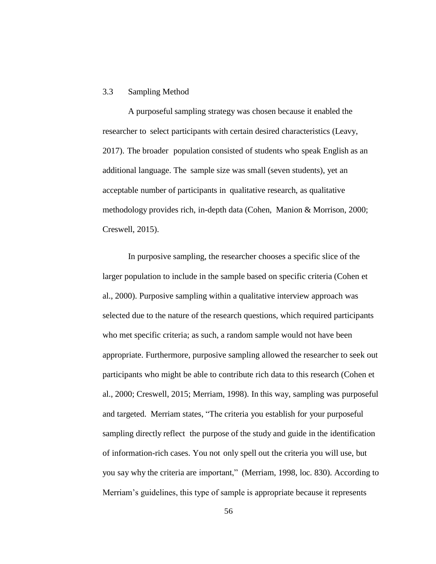### 3.3 Sampling Method

A purposeful sampling strategy was chosen because it enabled the researcher to select participants with certain desired characteristics (Leavy, 2017). The broader population consisted of students who speak English as an additional language. The sample size was small (seven students), yet an acceptable number of participants in qualitative research, as qualitative methodology provides rich, in-depth data (Cohen, Manion & Morrison, 2000; Creswell, 2015).

In purposive sampling, the researcher chooses a specific slice of the larger population to include in the sample based on specific criteria (Cohen et al., 2000). Purposive sampling within a qualitative interview approach was selected due to the nature of the research questions, which required participants who met specific criteria; as such, a random sample would not have been appropriate. Furthermore, purposive sampling allowed the researcher to seek out participants who might be able to contribute rich data to this research (Cohen et al., 2000; Creswell, 2015; Merriam, 1998). In this way, sampling was purposeful and targeted. Merriam states, "The criteria you establish for your purposeful sampling directly reflect the purpose of the study and guide in the identification of information-rich cases. You not only spell out the criteria you will use, but you say why the criteria are important," (Merriam, 1998, loc. 830). According to Merriam's guidelines, this type of sample is appropriate because it represents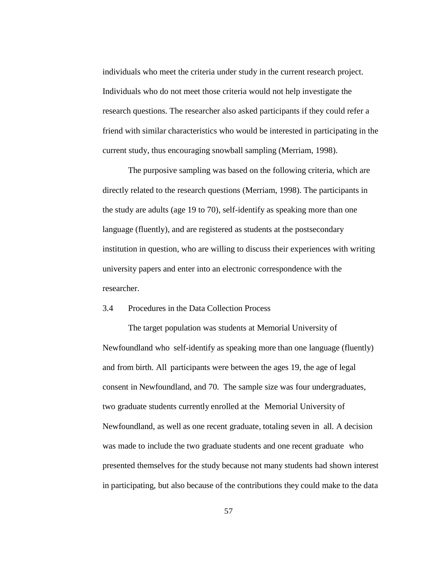individuals who meet the criteria under study in the current research project. Individuals who do not meet those criteria would not help investigate the research questions. The researcher also asked participants if they could refer a friend with similar characteristics who would be interested in participating in the current study, thus encouraging snowball sampling (Merriam, 1998).

The purposive sampling was based on the following criteria, which are directly related to the research questions (Merriam, 1998). The participants in the study are adults (age 19 to 70), self-identify as speaking more than one language (fluently), and are registered as students at the postsecondary institution in question, who are willing to discuss their experiences with writing university papers and enter into an electronic correspondence with the researcher.

### 3.4 Procedures in the Data Collection Process

The target population was students at Memorial University of Newfoundland who self-identify as speaking more than one language (fluently) and from birth. All participants were between the ages 19, the age of legal consent in Newfoundland, and 70. The sample size was four undergraduates, two graduate students currently enrolled at the Memorial University of Newfoundland, as well as one recent graduate, totaling seven in all. A decision was made to include the two graduate students and one recent graduate who presented themselves for the study because not many students had shown interest in participating, but also because of the contributions they could make to the data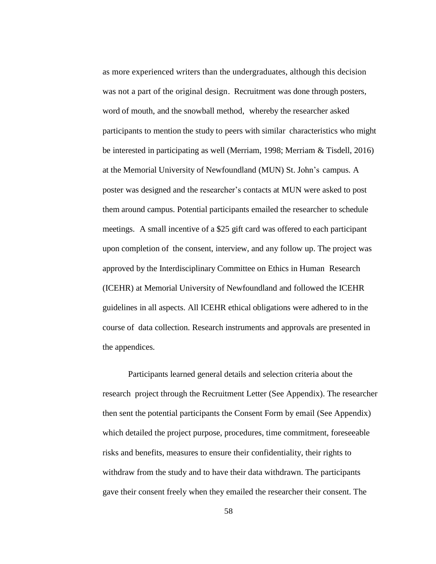as more experienced writers than the undergraduates, although this decision was not a part of the original design. Recruitment was done through posters, word of mouth, and the snowball method, whereby the researcher asked participants to mention the study to peers with similar characteristics who might be interested in participating as well (Merriam, 1998; Merriam & Tisdell, 2016) at the Memorial University of Newfoundland (MUN) St. John's campus. A poster was designed and the researcher's contacts at MUN were asked to post them around campus. Potential participants emailed the researcher to schedule meetings. A small incentive of a \$25 gift card was offered to each participant upon completion of the consent, interview, and any follow up. The project was approved by the Interdisciplinary Committee on Ethics in Human Research (ICEHR) at Memorial University of Newfoundland and followed the ICEHR guidelines in all aspects. All ICEHR ethical obligations were adhered to in the course of data collection. Research instruments and approvals are presented in the appendices.

Participants learned general details and selection criteria about the research project through the Recruitment Letter (See Appendix). The researcher then sent the potential participants the Consent Form by email (See Appendix) which detailed the project purpose, procedures, time commitment, foreseeable risks and benefits, measures to ensure their confidentiality, their rights to withdraw from the study and to have their data withdrawn. The participants gave their consent freely when they emailed the researcher their consent. The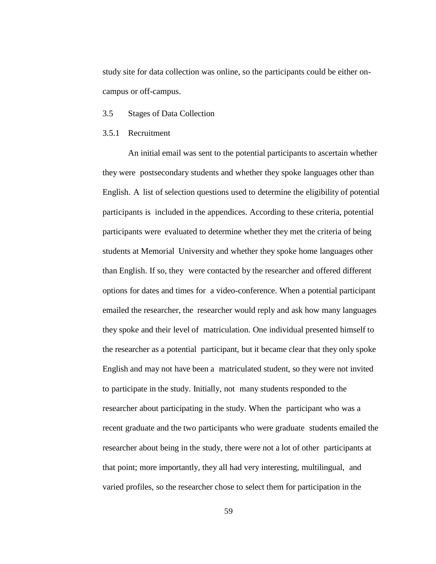study site for data collection was online, so the participants could be either oncampus or off-campus.

- 3.5 Stages of Data Collection
- 3.5.1 Recruitment

An initial email was sent to the potential participants to ascertain whether they were postsecondary students and whether they spoke languages other than English. A list of selection questions used to determine the eligibility of potential participants is included in the appendices. According to these criteria, potential participants were evaluated to determine whether they met the criteria of being students at Memorial University and whether they spoke home languages other than English. If so, they were contacted by the researcher and offered different options for dates and times for a video-conference. When a potential participant emailed the researcher, the researcher would reply and ask how many languages they spoke and their level of matriculation. One individual presented himself to the researcher as a potential participant, but it became clear that they only spoke English and may not have been a matriculated student, so they were not invited to participate in the study. Initially, not many students responded to the researcher about participating in the study. When the participant who was a recent graduate and the two participants who were graduate students emailed the researcher about being in the study, there were not a lot of other participants at that point; more importantly, they all had very interesting, multilingual, and varied profiles, so the researcher chose to select them for participation in the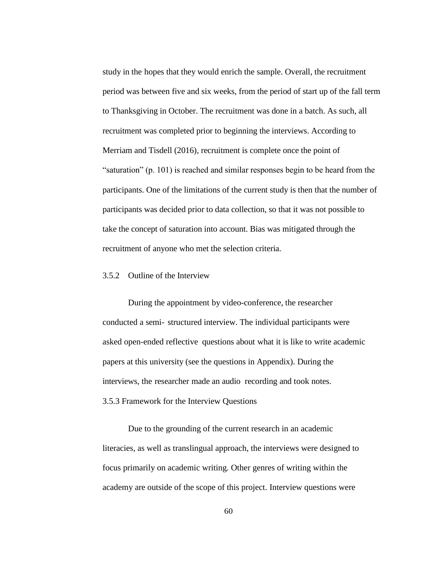study in the hopes that they would enrich the sample. Overall, the recruitment period was between five and six weeks, from the period of start up of the fall term to Thanksgiving in October. The recruitment was done in a batch. As such, all recruitment was completed prior to beginning the interviews. According to Merriam and Tisdell (2016), recruitment is complete once the point of "saturation" (p. 101) is reached and similar responses begin to be heard from the participants. One of the limitations of the current study is then that the number of participants was decided prior to data collection, so that it was not possible to take the concept of saturation into account. Bias was mitigated through the recruitment of anyone who met the selection criteria.

# 3.5.2 Outline of the Interview

During the appointment by video-conference, the researcher conducted a semi- structured interview. The individual participants were asked open-ended reflective questions about what it is like to write academic papers at this university (see the questions in Appendix). During the interviews, the researcher made an audio recording and took notes.

3.5.3 Framework for the Interview Questions

Due to the grounding of the current research in an academic literacies, as well as translingual approach, the interviews were designed to focus primarily on academic writing. Other genres of writing within the academy are outside of the scope of this project. Interview questions were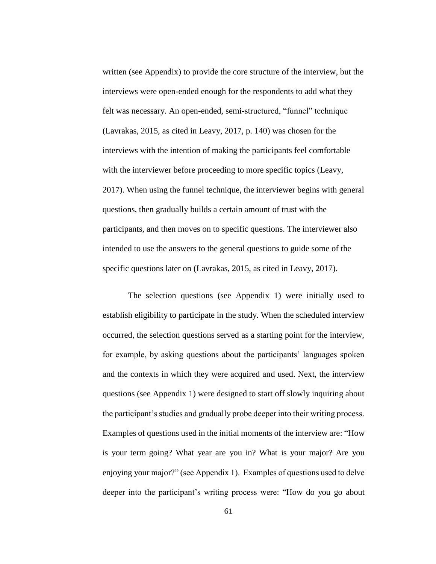written (see Appendix) to provide the core structure of the interview, but the interviews were open-ended enough for the respondents to add what they felt was necessary. An open-ended, semi-structured, "funnel" technique (Lavrakas, 2015, as cited in Leavy, 2017, p. 140) was chosen for the interviews with the intention of making the participants feel comfortable with the interviewer before proceeding to more specific topics (Leavy, 2017). When using the funnel technique, the interviewer begins with general questions, then gradually builds a certain amount of trust with the participants, and then moves on to specific questions. The interviewer also intended to use the answers to the general questions to guide some of the specific questions later on (Lavrakas, 2015, as cited in Leavy, 2017).

The selection questions (see Appendix 1) were initially used to establish eligibility to participate in the study. When the scheduled interview occurred, the selection questions served as a starting point for the interview, for example, by asking questions about the participants' languages spoken and the contexts in which they were acquired and used. Next, the interview questions (see Appendix 1) were designed to start off slowly inquiring about the participant's studies and gradually probe deeper into their writing process. Examples of questions used in the initial moments of the interview are: "How is your term going? What year are you in? What is your major? Are you enjoying your major?" (see Appendix 1). Examples of questions used to delve deeper into the participant's writing process were: "How do you go about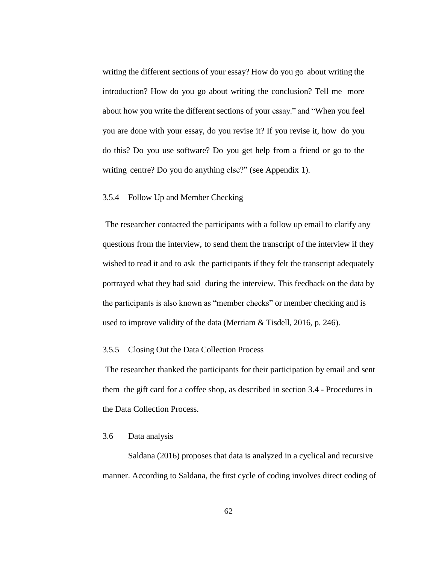writing the different sections of your essay? How do you go about writing the introduction? How do you go about writing the conclusion? Tell me more about how you write the different sections of your essay." and "When you feel you are done with your essay, do you revise it? If you revise it, how do you do this? Do you use software? Do you get help from a friend or go to the writing centre? Do you do anything else?" (see Appendix 1).

### 3.5.4 Follow Up and Member Checking

The researcher contacted the participants with a follow up email to clarify any questions from the interview, to send them the transcript of the interview if they wished to read it and to ask the participants if they felt the transcript adequately portrayed what they had said during the interview. This feedback on the data by the participants is also known as "member checks" or member checking and is used to improve validity of the data (Merriam & Tisdell, 2016, p. 246).

#### 3.5.5 Closing Out the Data Collection Process

The researcher thanked the participants for their participation by email and sent them the gift card for a coffee shop, as described in section 3.4 - Procedures in the Data Collection Process.

## 3.6 Data analysis

Saldana (2016) proposes that data is analyzed in a cyclical and recursive manner. According to Saldana, the first cycle of coding involves direct coding of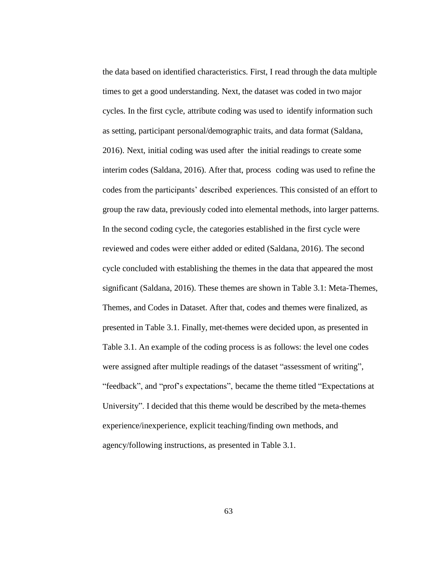the data based on identified characteristics. First, I read through the data multiple times to get a good understanding. Next, the dataset was coded in two major cycles. In the first cycle, attribute coding was used to identify information such as setting, participant personal/demographic traits, and data format (Saldana, 2016). Next, initial coding was used after the initial readings to create some interim codes (Saldana, 2016). After that, process coding was used to refine the codes from the participants' described experiences. This consisted of an effort to group the raw data, previously coded into elemental methods, into larger patterns. In the second coding cycle, the categories established in the first cycle were reviewed and codes were either added or edited (Saldana, 2016). The second cycle concluded with establishing the themes in the data that appeared the most significant (Saldana, 2016). These themes are shown in Table 3.1: Meta-Themes, Themes, and Codes in Dataset. After that, codes and themes were finalized, as presented in Table 3.1. Finally, met-themes were decided upon, as presented in Table 3.1. An example of the coding process is as follows: the level one codes were assigned after multiple readings of the dataset "assessment of writing", "feedback", and "prof's expectations", became the theme titled "Expectations at University". I decided that this theme would be described by the meta-themes experience/inexperience, explicit teaching/finding own methods, and agency/following instructions, as presented in Table 3.1.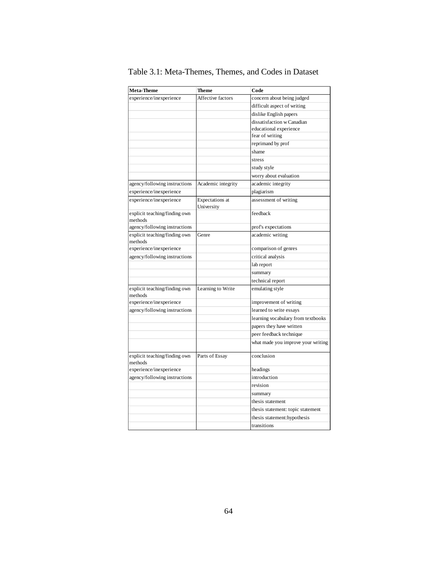| <b>Meta-Theme</b>                        | <b>Theme</b>                  | Code                               |  |
|------------------------------------------|-------------------------------|------------------------------------|--|
| experience/inexperience                  | Affective factors             | concern about being judged         |  |
|                                          |                               | difficult aspect of writing        |  |
|                                          |                               | dislike English papers             |  |
|                                          |                               | dissatisfaction w Canadian         |  |
|                                          |                               | educational experience             |  |
|                                          |                               | fear of writing                    |  |
|                                          |                               | reprimand by prof                  |  |
|                                          |                               | shame                              |  |
|                                          |                               | stress                             |  |
|                                          |                               | study style                        |  |
|                                          |                               | worry about evaluation             |  |
| agency/following instructions            | Academic integrity            | academic integrity                 |  |
| experience/inexperience                  |                               | plagiarism                         |  |
| experience/inexperience                  | Expectations at<br>University | assessment of writing              |  |
| explicit teaching/finding own<br>methods |                               | feedback                           |  |
| agency/following instructions            |                               | prof's expectations                |  |
| explicit teaching/finding own<br>methods | Genre                         | academic writing                   |  |
| experience/inexperience                  |                               | comparison of genres               |  |
| agency/following instructions            |                               | critical analysis                  |  |
|                                          |                               | lab report                         |  |
|                                          |                               | summary                            |  |
|                                          |                               | technical report                   |  |
| explicit teaching/finding own<br>methods | Learning to Write             | emulating style                    |  |
| experience/inexperience                  |                               | improvement of writing             |  |
| agency/following instructions            |                               | learned to write essays            |  |
|                                          |                               | learning vocabulary from textbooks |  |
|                                          |                               | papers they have written           |  |
|                                          |                               | peer feedback technique            |  |
|                                          |                               | what made you improve your writing |  |
| explicit teaching/finding own            | Parts of Essay                | conclusion                         |  |
| methods<br>experience/inexperience       |                               | headings                           |  |
|                                          |                               |                                    |  |
| agency/following instructions            |                               | introduction                       |  |
|                                          |                               | revision                           |  |
|                                          |                               | summary                            |  |
|                                          |                               | thesis statement                   |  |
|                                          |                               | thesis statement: topic statement  |  |
|                                          |                               | thesis statement:hypothesis        |  |
|                                          |                               | transitions                        |  |

Table 3.1: Meta-Themes, Themes, and Codes in Dataset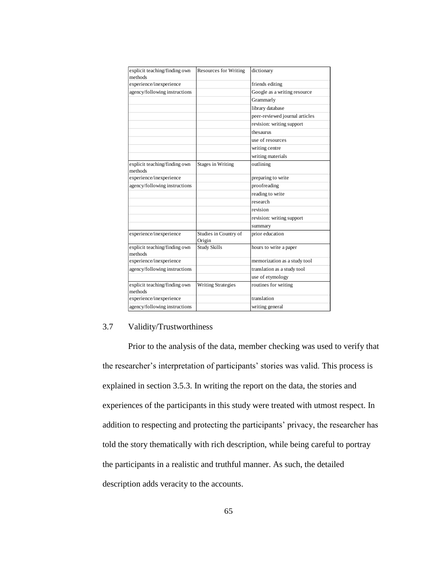| explicit teaching/finding own<br>methods | <b>Resources for Writing</b>    | dictionary                     |  |  |
|------------------------------------------|---------------------------------|--------------------------------|--|--|
| experience/inexperience                  |                                 | friends editing                |  |  |
| agency/following instructions            |                                 | Google as a writing resource   |  |  |
|                                          |                                 | Grammarly                      |  |  |
|                                          |                                 | library database               |  |  |
|                                          |                                 | peer-reviewed journal articles |  |  |
|                                          |                                 | revision: writing support      |  |  |
|                                          |                                 | thesaurus                      |  |  |
|                                          |                                 | use of resources               |  |  |
|                                          |                                 | writing centre                 |  |  |
|                                          |                                 | writing materials              |  |  |
| explicit teaching/finding own<br>methods | <b>Stages in Writing</b>        | outlining                      |  |  |
| experience/inexperience                  |                                 | preparing to write             |  |  |
| agency/following instructions            |                                 | proofreading                   |  |  |
|                                          |                                 | reading to write               |  |  |
|                                          |                                 | research                       |  |  |
|                                          |                                 | revision                       |  |  |
|                                          |                                 | revision: writing support      |  |  |
|                                          |                                 | summary                        |  |  |
| experience/inexperience                  | Studies in Country of<br>Origin | prior education                |  |  |
| explicit teaching/finding own<br>methods | <b>Study Skills</b>             | hours to write a paper         |  |  |
| experience/inexperience                  |                                 | memorization as a study tool   |  |  |
| agency/following instructions            |                                 | translation as a study tool    |  |  |
|                                          |                                 | use of etymology               |  |  |
| explicit teaching/finding own<br>methods | <b>Writing Strategies</b>       | routines for writing           |  |  |
| experience/inexperience                  |                                 | translation                    |  |  |
| agency/following instructions            |                                 | writing general                |  |  |

# 3.7 Validity/Trustworthiness

Prior to the analysis of the data, member checking was used to verify that the researcher's interpretation of participants' stories was valid. This process is explained in section 3.5.3. In writing the report on the data, the stories and experiences of the participants in this study were treated with utmost respect. In addition to respecting and protecting the participants' privacy, the researcher has told the story thematically with rich description, while being careful to portray the participants in a realistic and truthful manner. As such, the detailed description adds veracity to the accounts.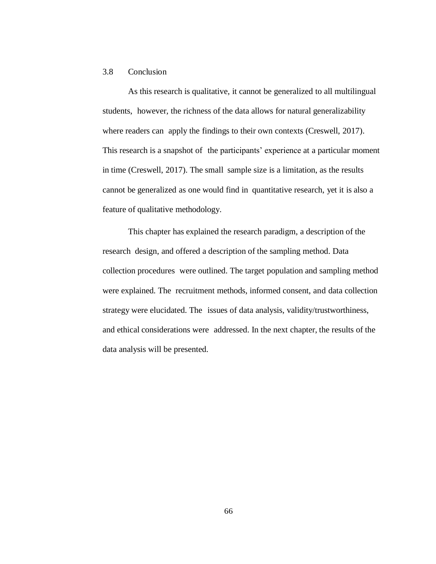# 3.8 Conclusion

As this research is qualitative, it cannot be generalized to all multilingual students, however, the richness of the data allows for natural generalizability where readers can apply the findings to their own contexts (Creswell, 2017). This research is a snapshot of the participants' experience at a particular moment in time (Creswell, 2017). The small sample size is a limitation, as the results cannot be generalized as one would find in quantitative research, yet it is also a feature of qualitative methodology.

This chapter has explained the research paradigm, a description of the research design, and offered a description of the sampling method. Data collection procedures were outlined. The target population and sampling method were explained. The recruitment methods, informed consent, and data collection strategy were elucidated. The issues of data analysis, validity/trustworthiness, and ethical considerations were addressed. In the next chapter, the results of the data analysis will be presented.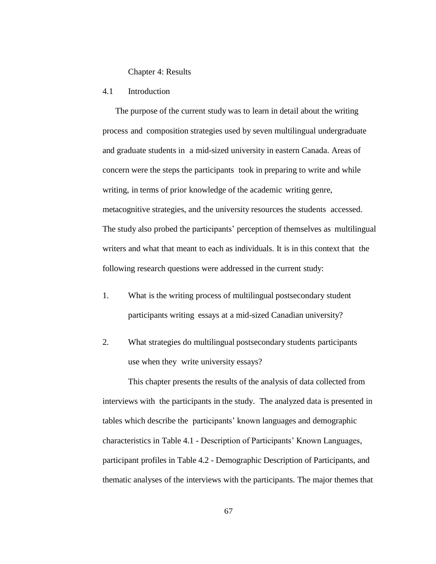### Chapter 4: Results

# 4.1 Introduction

The purpose of the current study was to learn in detail about the writing process and composition strategies used by seven multilingual undergraduate and graduate students in a mid-sized university in eastern Canada. Areas of concern were the steps the participants took in preparing to write and while writing, in terms of prior knowledge of the academic writing genre, metacognitive strategies, and the university resources the students accessed. The study also probed the participants' perception of themselves as multilingual writers and what that meant to each as individuals. It is in this context that the following research questions were addressed in the current study:

- 1. What is the writing process of multilingual postsecondary student participants writing essays at a mid-sized Canadian university?
- 2. What strategies do multilingual postsecondary students participants use when they write university essays?

This chapter presents the results of the analysis of data collected from interviews with the participants in the study. The analyzed data is presented in tables which describe the participants' known languages and demographic characteristics in Table 4.1 - Description of Participants' Known Languages, participant profiles in Table 4.2 - Demographic Description of Participants, and thematic analyses of the interviews with the participants. The major themes that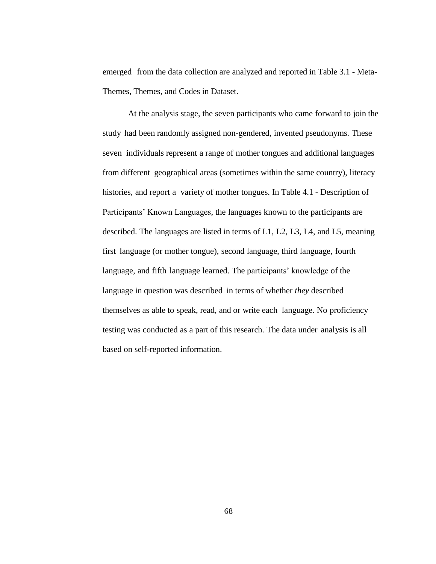emerged from the data collection are analyzed and reported in Table 3.1 - Meta-Themes, Themes, and Codes in Dataset.

At the analysis stage, the seven participants who came forward to join the study had been randomly assigned non-gendered, invented pseudonyms. These seven individuals represent a range of mother tongues and additional languages from different geographical areas (sometimes within the same country), literacy histories, and report a variety of mother tongues. In Table 4.1 - Description of Participants' Known Languages, the languages known to the participants are described. The languages are listed in terms of L1, L2, L3, L4, and L5, meaning first language (or mother tongue), second language, third language, fourth language, and fifth language learned. The participants' knowledge of the language in question was described in terms of whether *they* described themselves as able to speak, read, and or write each language. No proficiency testing was conducted as a part of this research. The data under analysis is all based on self-reported information.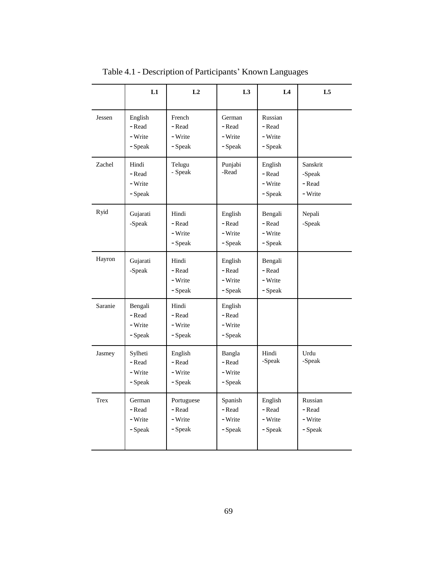|             | L1                                      | L2                                         | L3                                      | L4                                      | L <sub>5</sub>                          |
|-------------|-----------------------------------------|--------------------------------------------|-----------------------------------------|-----------------------------------------|-----------------------------------------|
| Jessen      | English<br>- Read<br>- Write<br>- Speak | French<br>- Read<br>- Write<br>- Speak     | German<br>- Read<br>- Write<br>- Speak  | Russian<br>- Read<br>- Write<br>- Speak |                                         |
| Zachel      | Hindi<br>- Read<br>- Write<br>- Speak   | Telugu<br>- Speak                          | Punjabi<br>-Read                        | English<br>- Read<br>- Write<br>- Speak | Sanskrit<br>-Speak<br>- Read<br>- Write |
| Ryid        | Gujarati<br>-Speak                      | Hindi<br>- Read<br>- Write<br>- Speak      | English<br>- Read<br>- Write<br>- Speak | Bengali<br>- Read<br>- Write<br>- Speak | Nepali<br>-Speak                        |
| Hayron      | Gujarati<br>-Speak                      | Hindi<br>- Read<br>- Write<br>- Speak      | English<br>- Read<br>- Write<br>- Speak | Bengali<br>- Read<br>- Write<br>- Speak |                                         |
| Saranie     | Bengali<br>- Read<br>- Write<br>- Speak | Hindi<br>- Read<br>- Write<br>- Speak      | English<br>- Read<br>- Write<br>- Speak |                                         |                                         |
| Jasmey      | Sylheti<br>- Read<br>- Write<br>- Speak | English<br>- Read<br>- Write<br>- Speak    | Bangla<br>- Read<br>- Write<br>- Speak  | Hindi<br>-Speak                         | Urdu<br>$-Speak$                        |
| <b>Trex</b> | German<br>- Read<br>- Write<br>- Speak  | Portuguese<br>- Read<br>- Write<br>- Speak | Spanish<br>- Read<br>- Write<br>- Speak | English<br>- Read<br>- Write<br>- Speak | Russian<br>- Read<br>- Write<br>- Speak |

Table 4.1 - Description of Participants' Known Languages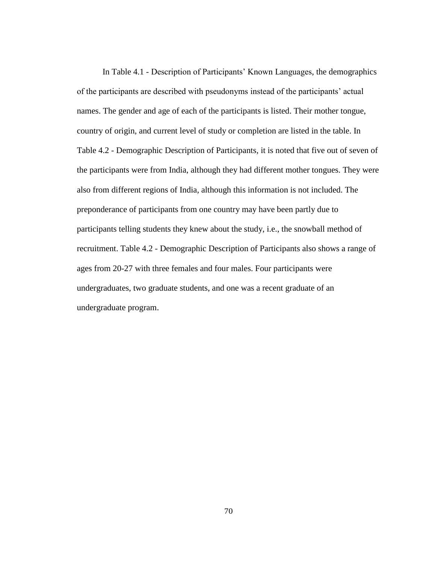In Table 4.1 - Description of Participants' Known Languages, the demographics of the participants are described with pseudonyms instead of the participants' actual names. The gender and age of each of the participants is listed. Their mother tongue, country of origin, and current level of study or completion are listed in the table. In Table 4.2 - Demographic Description of Participants, it is noted that five out of seven of the participants were from India, although they had different mother tongues. They were also from different regions of India, although this information is not included. The preponderance of participants from one country may have been partly due to participants telling students they knew about the study, i.e., the snowball method of recruitment. Table 4.2 - Demographic Description of Participants also shows a range of ages from 20-27 with three females and four males. Four participants were undergraduates, two graduate students, and one was a recent graduate of an undergraduate program.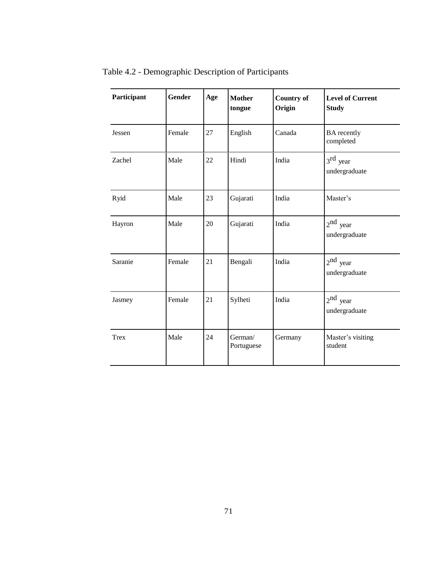| Participant | <b>Gender</b> | Age | <b>Mother</b><br>tongue | <b>Country of</b><br>Origin | <b>Level of Current</b><br><b>Study</b> |
|-------------|---------------|-----|-------------------------|-----------------------------|-----------------------------------------|
| Jessen      | Female        | 27  | English                 | Canada                      | <b>BA</b> recently<br>completed         |
| Zachel      | Male          | 22  | Hindi                   | India                       | $3rd$ year<br>undergraduate             |
| Ryid        | Male          | 23  | Gujarati                | India                       | Master's                                |
| Hayron      | Male          | 20  | Gujarati                | India                       | $2^{nd}$ year<br>undergraduate          |
| Saranie     | Female        | 21  | Bengali                 | India                       | $2nd$ year<br>undergraduate             |
| Jasmey      | Female        | 21  | Sylheti                 | India                       | $2nd$ year<br>undergraduate             |
| <b>Trex</b> | Male          | 24  | German/<br>Portuguese   | Germany                     | Master's visiting<br>student            |

Table 4.2 - Demographic Description of Participants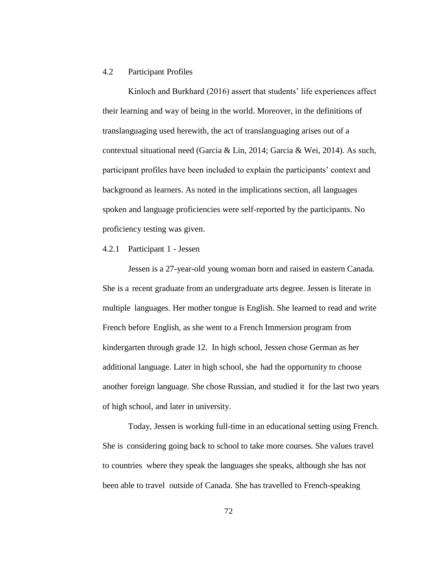# 4.2 Participant Profiles

Kinloch and Burkhard (2016) assert that students' life experiences affect their learning and way of being in the world. Moreover, in the definitions of translanguaging used herewith, the act of translanguaging arises out of a contextual situational need (Garcia & Lin, 2014; Garcia & Wei, 2014). As such, participant profiles have been included to explain the participants' context and background as learners. As noted in the implications section, all languages spoken and language proficiencies were self-reported by the participants. No proficiency testing was given.

### 4.2.1 Participant 1 - Jessen

Jessen is a 27-year-old young woman born and raised in eastern Canada. She is a recent graduate from an undergraduate arts degree. Jessen is literate in multiple languages. Her mother tongue is English. She learned to read and write French before English, as she went to a French Immersion program from kindergarten through grade 12. In high school, Jessen chose German as her additional language. Later in high school, she had the opportunity to choose another foreign language. She chose Russian, and studied it for the last two years of high school, and later in university.

Today, Jessen is working full-time in an educational setting using French. She is considering going back to school to take more courses. She values travel to countries where they speak the languages she speaks, although she has not been able to travel outside of Canada. She has travelled to French-speaking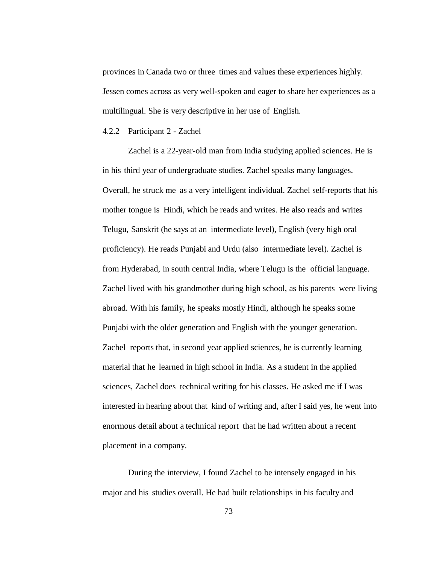provinces in Canada two or three times and values these experiences highly. Jessen comes across as very well-spoken and eager to share her experiences as a multilingual. She is very descriptive in her use of English.

#### 4.2.2 Participant 2 - Zachel

Zachel is a 22-year-old man from India studying applied sciences. He is in his third year of undergraduate studies. Zachel speaks many languages. Overall, he struck me as a very intelligent individual. Zachel self-reports that his mother tongue is Hindi, which he reads and writes. He also reads and writes Telugu, Sanskrit (he says at an intermediate level), English (very high oral proficiency). He reads Punjabi and Urdu (also intermediate level). Zachel is from Hyderabad, in south central India, where Telugu is the official language. Zachel lived with his grandmother during high school, as his parents were living abroad. With his family, he speaks mostly Hindi, although he speaks some Punjabi with the older generation and English with the younger generation. Zachel reports that, in second year applied sciences, he is currently learning material that he learned in high school in India. As a student in the applied sciences, Zachel does technical writing for his classes. He asked me if I was interested in hearing about that kind of writing and, after I said yes, he went into enormous detail about a technical report that he had written about a recent placement in a company.

During the interview, I found Zachel to be intensely engaged in his major and his studies overall. He had built relationships in his faculty and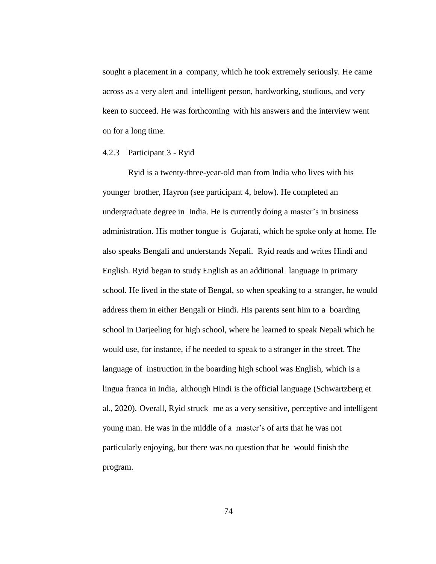sought a placement in a company, which he took extremely seriously. He came across as a very alert and intelligent person, hardworking, studious, and very keen to succeed. He was forthcoming with his answers and the interview went on for a long time.

4.2.3 Participant 3 - Ryid

Ryid is a twenty-three-year-old man from India who lives with his younger brother, Hayron (see participant 4, below). He completed an undergraduate degree in India. He is currently doing a master's in business administration. His mother tongue is Gujarati, which he spoke only at home. He also speaks Bengali and understands Nepali. Ryid reads and writes Hindi and English. Ryid began to study English as an additional language in primary school. He lived in the state of Bengal, so when speaking to a stranger, he would address them in either Bengali or Hindi. His parents sent him to a boarding school in Darjeeling for high school, where he learned to speak Nepali which he would use, for instance, if he needed to speak to a stranger in the street. The language of instruction in the boarding high school was English, which is a lingua franca in India, although Hindi is the official language (Schwartzberg et al., 2020). Overall, Ryid struck me as a very sensitive, perceptive and intelligent young man. He was in the middle of a master's of arts that he was not particularly enjoying, but there was no question that he would finish the program.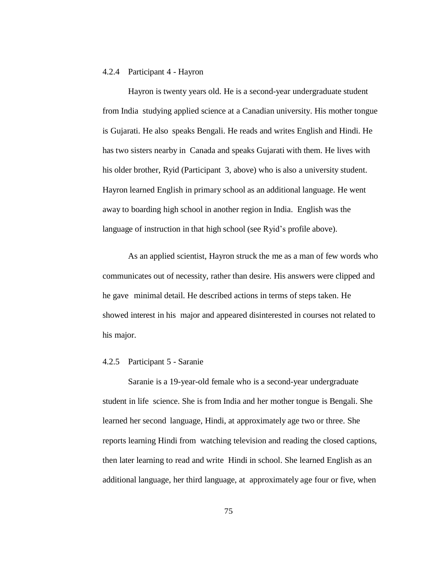## 4.2.4 Participant 4 - Hayron

Hayron is twenty years old. He is a second-year undergraduate student from India studying applied science at a Canadian university. His mother tongue is Gujarati. He also speaks Bengali. He reads and writes English and Hindi. He has two sisters nearby in Canada and speaks Gujarati with them. He lives with his older brother, Ryid (Participant 3, above) who is also a university student. Hayron learned English in primary school as an additional language. He went away to boarding high school in another region in India. English was the language of instruction in that high school (see Ryid's profile above).

As an applied scientist, Hayron struck the me as a man of few words who communicates out of necessity, rather than desire. His answers were clipped and he gave minimal detail. He described actions in terms of steps taken. He showed interest in his major and appeared disinterested in courses not related to his major.

## 4.2.5 Participant 5 - Saranie

Saranie is a 19-year-old female who is a second-year undergraduate student in life science. She is from India and her mother tongue is Bengali. She learned her second language, Hindi, at approximately age two or three. She reports learning Hindi from watching television and reading the closed captions, then later learning to read and write Hindi in school. She learned English as an additional language, her third language, at approximately age four or five, when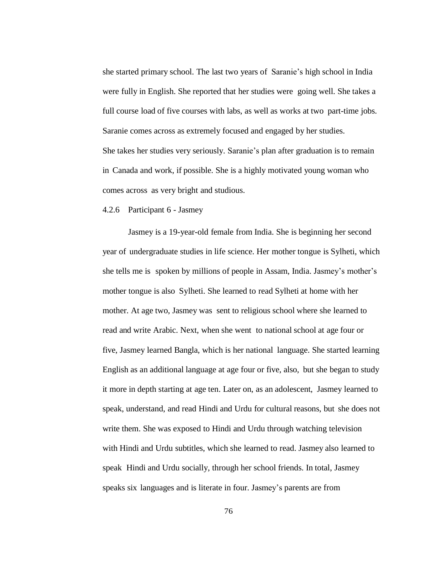she started primary school. The last two years of Saranie's high school in India were fully in English. She reported that her studies were going well. She takes a full course load of five courses with labs, as well as works at two part-time jobs. Saranie comes across as extremely focused and engaged by her studies. She takes her studies very seriously. Saranie's plan after graduation is to remain in Canada and work, if possible. She is a highly motivated young woman who comes across as very bright and studious.

#### 4.2.6 Participant 6 - Jasmey

Jasmey is a 19-year-old female from India. She is beginning her second year of undergraduate studies in life science. Her mother tongue is Sylheti, which she tells me is spoken by millions of people in Assam, India. Jasmey's mother's mother tongue is also Sylheti. She learned to read Sylheti at home with her mother. At age two, Jasmey was sent to religious school where she learned to read and write Arabic. Next, when she went to national school at age four or five, Jasmey learned Bangla, which is her national language. She started learning English as an additional language at age four or five, also, but she began to study it more in depth starting at age ten. Later on, as an adolescent, Jasmey learned to speak, understand, and read Hindi and Urdu for cultural reasons, but she does not write them. She was exposed to Hindi and Urdu through watching television with Hindi and Urdu subtitles, which she learned to read. Jasmey also learned to speak Hindi and Urdu socially, through her school friends. In total, Jasmey speaks six languages and is literate in four. Jasmey's parents are from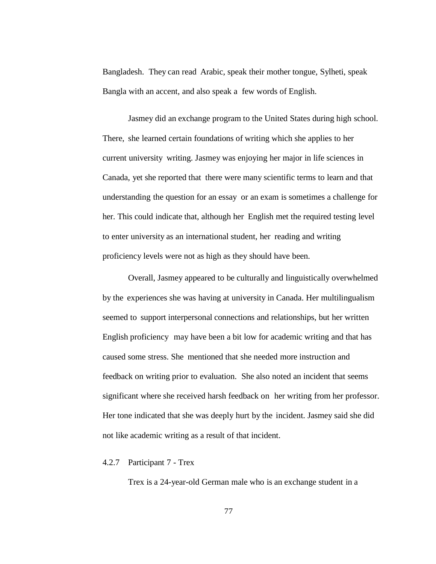Bangladesh. They can read Arabic, speak their mother tongue, Sylheti, speak Bangla with an accent, and also speak a few words of English.

Jasmey did an exchange program to the United States during high school. There, she learned certain foundations of writing which she applies to her current university writing. Jasmey was enjoying her major in life sciences in Canada, yet she reported that there were many scientific terms to learn and that understanding the question for an essay or an exam is sometimes a challenge for her. This could indicate that, although her English met the required testing level to enter university as an international student, her reading and writing proficiency levels were not as high as they should have been.

Overall, Jasmey appeared to be culturally and linguistically overwhelmed by the experiences she was having at university in Canada. Her multilingualism seemed to support interpersonal connections and relationships, but her written English proficiency may have been a bit low for academic writing and that has caused some stress. She mentioned that she needed more instruction and feedback on writing prior to evaluation. She also noted an incident that seems significant where she received harsh feedback on her writing from her professor. Her tone indicated that she was deeply hurt by the incident. Jasmey said she did not like academic writing as a result of that incident.

### 4.2.7 Participant 7 - Trex

Trex is a 24-year-old German male who is an exchange student in a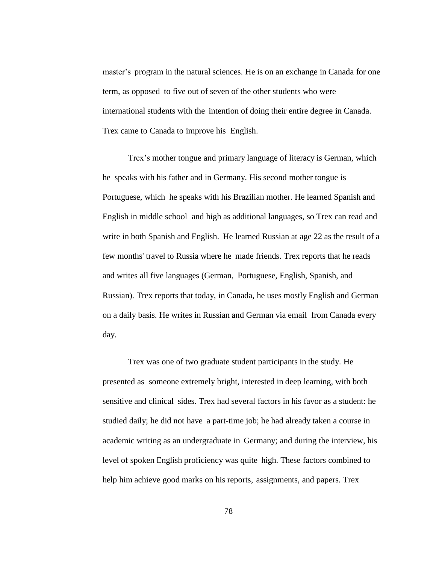master's program in the natural sciences. He is on an exchange in Canada for one term, as opposed to five out of seven of the other students who were international students with the intention of doing their entire degree in Canada. Trex came to Canada to improve his English.

Trex's mother tongue and primary language of literacy is German, which he speaks with his father and in Germany. His second mother tongue is Portuguese, which he speaks with his Brazilian mother. He learned Spanish and English in middle school and high as additional languages, so Trex can read and write in both Spanish and English. He learned Russian at age 22 as the result of a few months' travel to Russia where he made friends. Trex reports that he reads and writes all five languages (German, Portuguese, English, Spanish, and Russian). Trex reports that today, in Canada, he uses mostly English and German on a daily basis. He writes in Russian and German via email from Canada every day.

Trex was one of two graduate student participants in the study. He presented as someone extremely bright, interested in deep learning, with both sensitive and clinical sides. Trex had several factors in his favor as a student: he studied daily; he did not have a part-time job; he had already taken a course in academic writing as an undergraduate in Germany; and during the interview, his level of spoken English proficiency was quite high. These factors combined to help him achieve good marks on his reports, assignments, and papers. Trex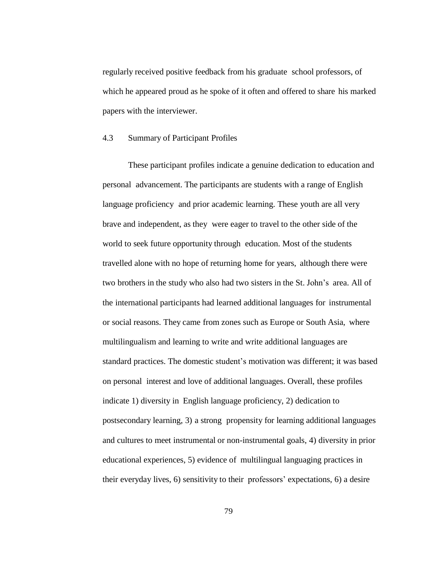regularly received positive feedback from his graduate school professors, of which he appeared proud as he spoke of it often and offered to share his marked papers with the interviewer.

# 4.3 Summary of Participant Profiles

These participant profiles indicate a genuine dedication to education and personal advancement. The participants are students with a range of English language proficiency and prior academic learning. These youth are all very brave and independent, as they were eager to travel to the other side of the world to seek future opportunity through education. Most of the students travelled alone with no hope of returning home for years, although there were two brothers in the study who also had two sisters in the St. John's area. All of the international participants had learned additional languages for instrumental or social reasons. They came from zones such as Europe or South Asia, where multilingualism and learning to write and write additional languages are standard practices. The domestic student's motivation was different; it was based on personal interest and love of additional languages. Overall, these profiles indicate 1) diversity in English language proficiency, 2) dedication to postsecondary learning, 3) a strong propensity for learning additional languages and cultures to meet instrumental or non-instrumental goals, 4) diversity in prior educational experiences, 5) evidence of multilingual languaging practices in their everyday lives, 6) sensitivity to their professors' expectations, 6) a desire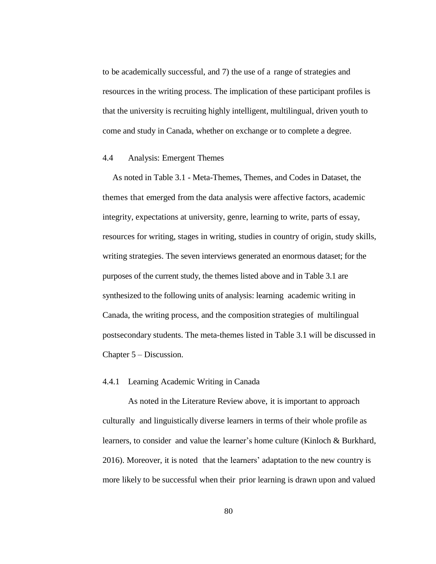to be academically successful, and 7) the use of a range of strategies and resources in the writing process. The implication of these participant profiles is that the university is recruiting highly intelligent, multilingual, driven youth to come and study in Canada, whether on exchange or to complete a degree.

## 4.4 Analysis: Emergent Themes

As noted in Table 3.1 - Meta-Themes, Themes, and Codes in Dataset, the themes that emerged from the data analysis were affective factors, academic integrity, expectations at university, genre, learning to write, parts of essay, resources for writing, stages in writing, studies in country of origin, study skills, writing strategies. The seven interviews generated an enormous dataset; for the purposes of the current study, the themes listed above and in Table 3.1 are synthesized to the following units of analysis: learning academic writing in Canada, the writing process, and the composition strategies of multilingual postsecondary students. The meta-themes listed in Table 3.1 will be discussed in Chapter 5 – Discussion.

## 4.4.1 Learning Academic Writing in Canada

As noted in the Literature Review above, it is important to approach culturally and linguistically diverse learners in terms of their whole profile as learners, to consider and value the learner's home culture (Kinloch & Burkhard, 2016). Moreover, it is noted that the learners' adaptation to the new country is more likely to be successful when their prior learning is drawn upon and valued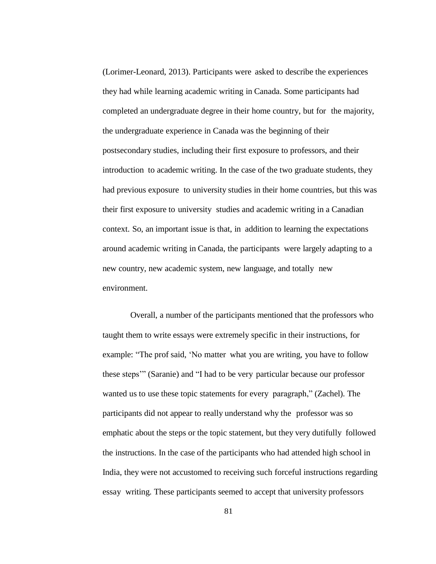(Lorimer-Leonard, 2013). Participants were asked to describe the experiences they had while learning academic writing in Canada. Some participants had completed an undergraduate degree in their home country, but for the majority, the undergraduate experience in Canada was the beginning of their postsecondary studies, including their first exposure to professors, and their introduction to academic writing. In the case of the two graduate students, they had previous exposure to university studies in their home countries, but this was their first exposure to university studies and academic writing in a Canadian context. So, an important issue is that, in addition to learning the expectations around academic writing in Canada, the participants were largely adapting to a new country, new academic system, new language, and totally new environment.

Overall, a number of the participants mentioned that the professors who taught them to write essays were extremely specific in their instructions, for example: "The prof said, 'No matter what you are writing, you have to follow these steps'" (Saranie) and "I had to be very particular because our professor wanted us to use these topic statements for every paragraph," (Zachel). The participants did not appear to really understand why the professor was so emphatic about the steps or the topic statement, but they very dutifully followed the instructions. In the case of the participants who had attended high school in India, they were not accustomed to receiving such forceful instructions regarding essay writing. These participants seemed to accept that university professors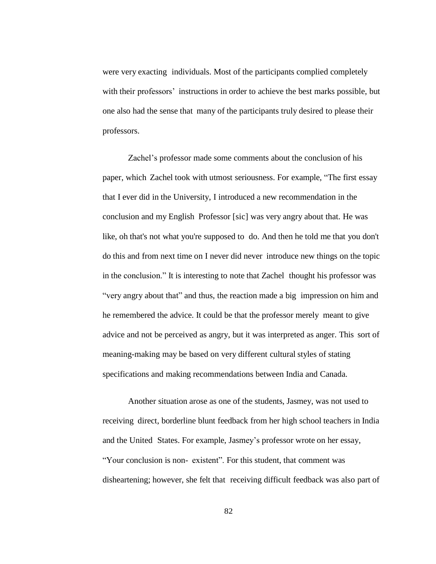were very exacting individuals. Most of the participants complied completely with their professors' instructions in order to achieve the best marks possible, but one also had the sense that many of the participants truly desired to please their professors.

Zachel's professor made some comments about the conclusion of his paper, which Zachel took with utmost seriousness. For example, "The first essay that I ever did in the University, I introduced a new recommendation in the conclusion and my English Professor [sic] was very angry about that. He was like, oh that's not what you're supposed to do. And then he told me that you don't do this and from next time on I never did never introduce new things on the topic in the conclusion." It is interesting to note that Zachel thought his professor was "very angry about that" and thus, the reaction made a big impression on him and he remembered the advice. It could be that the professor merely meant to give advice and not be perceived as angry, but it was interpreted as anger. This sort of meaning-making may be based on very different cultural styles of stating specifications and making recommendations between India and Canada.

Another situation arose as one of the students, Jasmey, was not used to receiving direct, borderline blunt feedback from her high school teachers in India and the United States. For example, Jasmey's professor wrote on her essay, "Your conclusion is non- existent". For this student, that comment was disheartening; however, she felt that receiving difficult feedback was also part of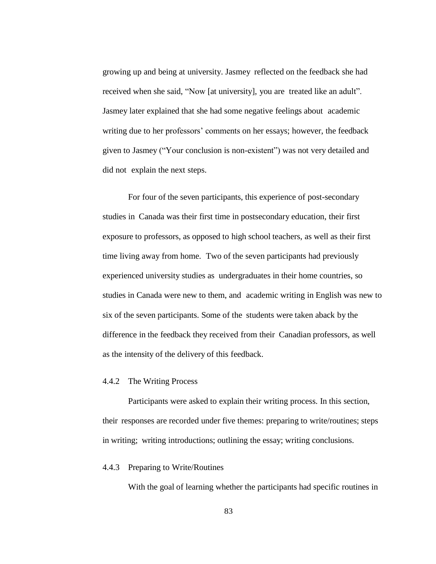growing up and being at university. Jasmey reflected on the feedback she had received when she said, "Now [at university], you are treated like an adult". Jasmey later explained that she had some negative feelings about academic writing due to her professors' comments on her essays; however, the feedback given to Jasmey ("Your conclusion is non-existent") was not very detailed and did not explain the next steps.

For four of the seven participants, this experience of post-secondary studies in Canada was their first time in postsecondary education, their first exposure to professors, as opposed to high school teachers, as well as their first time living away from home. Two of the seven participants had previously experienced university studies as undergraduates in their home countries, so studies in Canada were new to them, and academic writing in English was new to six of the seven participants. Some of the students were taken aback by the difference in the feedback they received from their Canadian professors, as well as the intensity of the delivery of this feedback.

#### 4.4.2 The Writing Process

Participants were asked to explain their writing process. In this section, their responses are recorded under five themes: preparing to write/routines; steps in writing; writing introductions; outlining the essay; writing conclusions.

## 4.4.3 Preparing to Write/Routines

With the goal of learning whether the participants had specific routines in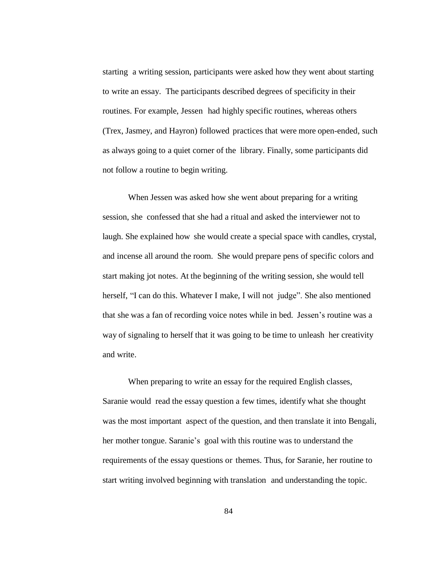starting a writing session, participants were asked how they went about starting to write an essay. The participants described degrees of specificity in their routines. For example, Jessen had highly specific routines, whereas others (Trex, Jasmey, and Hayron) followed practices that were more open-ended, such as always going to a quiet corner of the library. Finally, some participants did not follow a routine to begin writing.

When Jessen was asked how she went about preparing for a writing session, she confessed that she had a ritual and asked the interviewer not to laugh. She explained how she would create a special space with candles, crystal, and incense all around the room. She would prepare pens of specific colors and start making jot notes. At the beginning of the writing session, she would tell herself, "I can do this. Whatever I make, I will not judge". She also mentioned that she was a fan of recording voice notes while in bed. Jessen's routine was a way of signaling to herself that it was going to be time to unleash her creativity and write.

When preparing to write an essay for the required English classes, Saranie would read the essay question a few times, identify what she thought was the most important aspect of the question, and then translate it into Bengali, her mother tongue. Saranie's goal with this routine was to understand the requirements of the essay questions or themes. Thus, for Saranie, her routine to start writing involved beginning with translation and understanding the topic.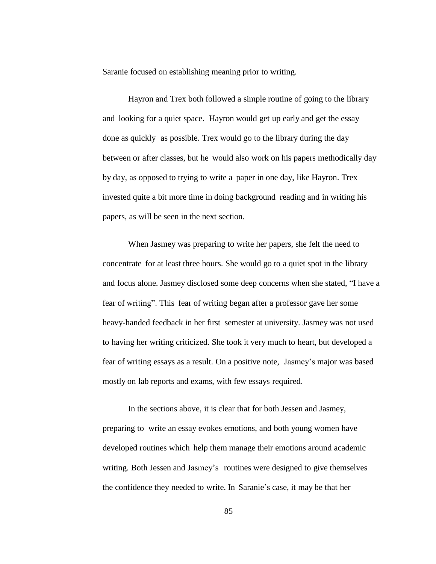Saranie focused on establishing meaning prior to writing.

Hayron and Trex both followed a simple routine of going to the library and looking for a quiet space. Hayron would get up early and get the essay done as quickly as possible. Trex would go to the library during the day between or after classes, but he would also work on his papers methodically day by day, as opposed to trying to write a paper in one day, like Hayron. Trex invested quite a bit more time in doing background reading and in writing his papers, as will be seen in the next section.

When Jasmey was preparing to write her papers, she felt the need to concentrate for at least three hours. She would go to a quiet spot in the library and focus alone. Jasmey disclosed some deep concerns when she stated, "I have a fear of writing". This fear of writing began after a professor gave her some heavy-handed feedback in her first semester at university. Jasmey was not used to having her writing criticized. She took it very much to heart, but developed a fear of writing essays as a result. On a positive note, Jasmey's major was based mostly on lab reports and exams, with few essays required.

In the sections above, it is clear that for both Jessen and Jasmey, preparing to write an essay evokes emotions, and both young women have developed routines which help them manage their emotions around academic writing. Both Jessen and Jasmey's routines were designed to give themselves the confidence they needed to write. In Saranie's case, it may be that her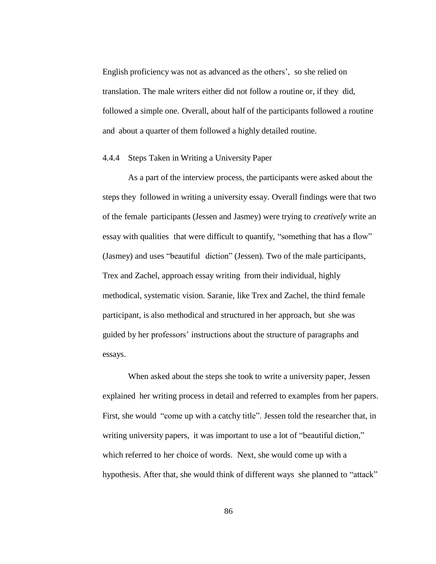English proficiency was not as advanced as the others', so she relied on translation. The male writers either did not follow a routine or, if they did, followed a simple one. Overall, about half of the participants followed a routine and about a quarter of them followed a highly detailed routine.

### 4.4.4 Steps Taken in Writing a University Paper

As a part of the interview process, the participants were asked about the steps they followed in writing a university essay. Overall findings were that two of the female participants (Jessen and Jasmey) were trying to *creatively* write an essay with qualities that were difficult to quantify, "something that has a flow" (Jasmey) and uses "beautiful diction" (Jessen). Two of the male participants, Trex and Zachel, approach essay writing from their individual, highly methodical, systematic vision. Saranie, like Trex and Zachel, the third female participant, is also methodical and structured in her approach, but she was guided by her professors' instructions about the structure of paragraphs and essays.

When asked about the steps she took to write a university paper, Jessen explained her writing process in detail and referred to examples from her papers. First, she would "come up with a catchy title". Jessen told the researcher that, in writing university papers, it was important to use a lot of "beautiful diction," which referred to her choice of words. Next, she would come up with a hypothesis. After that, she would think of different ways she planned to "attack"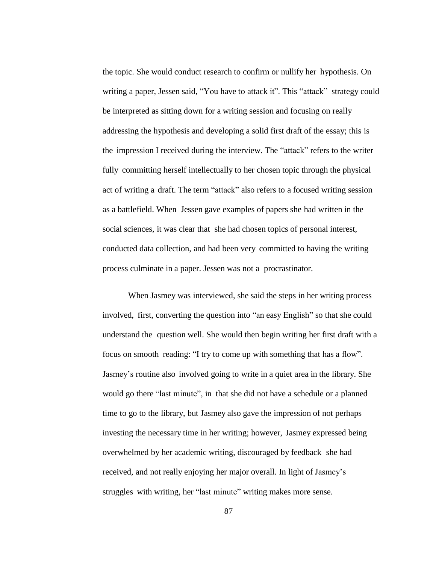the topic. She would conduct research to confirm or nullify her hypothesis. On writing a paper, Jessen said, "You have to attack it". This "attack" strategy could be interpreted as sitting down for a writing session and focusing on really addressing the hypothesis and developing a solid first draft of the essay; this is the impression I received during the interview. The "attack" refers to the writer fully committing herself intellectually to her chosen topic through the physical act of writing a draft. The term "attack" also refers to a focused writing session as a battlefield. When Jessen gave examples of papers she had written in the social sciences, it was clear that she had chosen topics of personal interest, conducted data collection, and had been very committed to having the writing process culminate in a paper. Jessen was not a procrastinator.

When Jasmey was interviewed, she said the steps in her writing process involved, first, converting the question into "an easy English" so that she could understand the question well. She would then begin writing her first draft with a focus on smooth reading: "I try to come up with something that has a flow". Jasmey's routine also involved going to write in a quiet area in the library. She would go there "last minute", in that she did not have a schedule or a planned time to go to the library, but Jasmey also gave the impression of not perhaps investing the necessary time in her writing; however, Jasmey expressed being overwhelmed by her academic writing, discouraged by feedback she had received, and not really enjoying her major overall. In light of Jasmey's struggles with writing, her "last minute" writing makes more sense.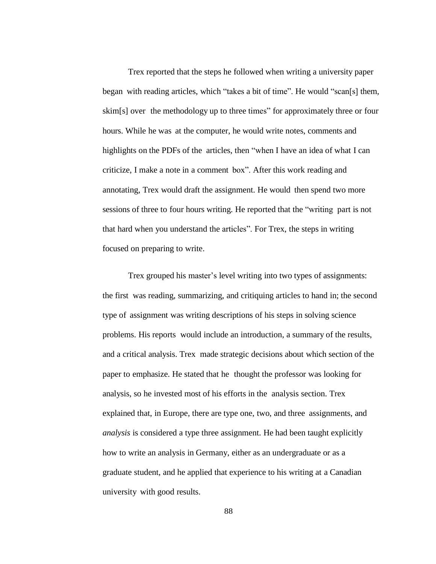Trex reported that the steps he followed when writing a university paper began with reading articles, which "takes a bit of time". He would "scan[s] them, skim[s] over the methodology up to three times" for approximately three or four hours. While he was at the computer, he would write notes, comments and highlights on the PDFs of the articles, then "when I have an idea of what I can criticize, I make a note in a comment box". After this work reading and annotating, Trex would draft the assignment. He would then spend two more sessions of three to four hours writing. He reported that the "writing part is not that hard when you understand the articles". For Trex, the steps in writing focused on preparing to write.

Trex grouped his master's level writing into two types of assignments: the first was reading, summarizing, and critiquing articles to hand in; the second type of assignment was writing descriptions of his steps in solving science problems. His reports would include an introduction, a summary of the results, and a critical analysis. Trex made strategic decisions about which section of the paper to emphasize. He stated that he thought the professor was looking for analysis, so he invested most of his efforts in the analysis section. Trex explained that, in Europe, there are type one, two, and three assignments, and *analysis* is considered a type three assignment. He had been taught explicitly how to write an analysis in Germany, either as an undergraduate or as a graduate student, and he applied that experience to his writing at a Canadian university with good results.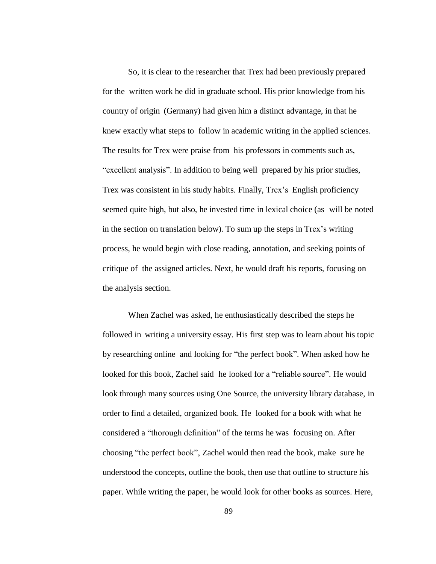So, it is clear to the researcher that Trex had been previously prepared for the written work he did in graduate school. His prior knowledge from his country of origin (Germany) had given him a distinct advantage, in that he knew exactly what steps to follow in academic writing in the applied sciences. The results for Trex were praise from his professors in comments such as, "excellent analysis". In addition to being well prepared by his prior studies, Trex was consistent in his study habits. Finally, Trex's English proficiency seemed quite high, but also, he invested time in lexical choice (as will be noted in the section on translation below). To sum up the steps in Trex's writing process, he would begin with close reading, annotation, and seeking points of critique of the assigned articles. Next, he would draft his reports, focusing on the analysis section.

When Zachel was asked, he enthusiastically described the steps he followed in writing a university essay. His first step was to learn about his topic by researching online and looking for "the perfect book". When asked how he looked for this book, Zachel said he looked for a "reliable source". He would look through many sources using One Source, the university library database, in order to find a detailed, organized book. He looked for a book with what he considered a "thorough definition" of the terms he was focusing on. After choosing "the perfect book", Zachel would then read the book, make sure he understood the concepts, outline the book, then use that outline to structure his paper. While writing the paper, he would look for other books as sources. Here,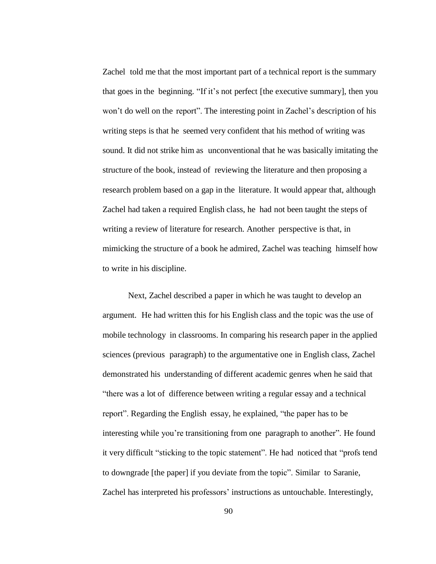Zachel told me that the most important part of a technical report is the summary that goes in the beginning. "If it's not perfect [the executive summary], then you won't do well on the report". The interesting point in Zachel's description of his writing steps is that he seemed very confident that his method of writing was sound. It did not strike him as unconventional that he was basically imitating the structure of the book, instead of reviewing the literature and then proposing a research problem based on a gap in the literature. It would appear that, although Zachel had taken a required English class, he had not been taught the steps of writing a review of literature for research. Another perspective is that, in mimicking the structure of a book he admired, Zachel was teaching himself how to write in his discipline.

Next, Zachel described a paper in which he was taught to develop an argument. He had written this for his English class and the topic was the use of mobile technology in classrooms. In comparing his research paper in the applied sciences (previous paragraph) to the argumentative one in English class, Zachel demonstrated his understanding of different academic genres when he said that "there was a lot of difference between writing a regular essay and a technical report". Regarding the English essay, he explained, "the paper has to be interesting while you're transitioning from one paragraph to another". He found it very difficult "sticking to the topic statement". He had noticed that "profs tend to downgrade [the paper] if you deviate from the topic". Similar to Saranie, Zachel has interpreted his professors' instructions as untouchable. Interestingly,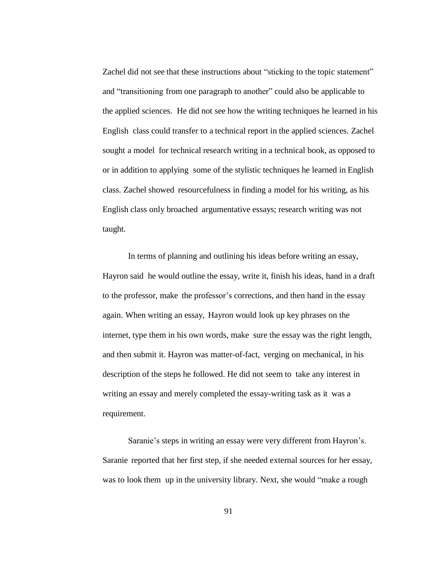Zachel did not see that these instructions about "sticking to the topic statement" and "transitioning from one paragraph to another" could also be applicable to the applied sciences. He did not see how the writing techniques he learned in his English class could transfer to a technical report in the applied sciences. Zachel sought a model for technical research writing in a technical book, as opposed to or in addition to applying some of the stylistic techniques he learned in English class. Zachel showed resourcefulness in finding a model for his writing, as his English class only broached argumentative essays; research writing was not taught.

In terms of planning and outlining his ideas before writing an essay, Hayron said he would outline the essay, write it, finish his ideas, hand in a draft to the professor, make the professor's corrections, and then hand in the essay again. When writing an essay, Hayron would look up key phrases on the internet, type them in his own words, make sure the essay was the right length, and then submit it. Hayron was matter-of-fact, verging on mechanical, in his description of the steps he followed. He did not seem to take any interest in writing an essay and merely completed the essay-writing task as it was a requirement.

Saranie's steps in writing an essay were very different from Hayron's. Saranie reported that her first step, if she needed external sources for her essay, was to look them up in the university library. Next, she would "make a rough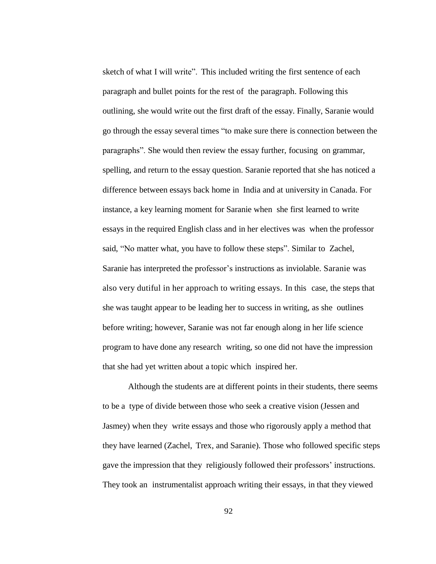sketch of what I will write". This included writing the first sentence of each paragraph and bullet points for the rest of the paragraph. Following this outlining, she would write out the first draft of the essay. Finally, Saranie would go through the essay several times "to make sure there is connection between the paragraphs". She would then review the essay further, focusing on grammar, spelling, and return to the essay question. Saranie reported that she has noticed a difference between essays back home in India and at university in Canada. For instance, a key learning moment for Saranie when she first learned to write essays in the required English class and in her electives was when the professor said, "No matter what, you have to follow these steps". Similar to Zachel, Saranie has interpreted the professor's instructions as inviolable. Saranie was also very dutiful in her approach to writing essays. In this case, the steps that she was taught appear to be leading her to success in writing, as she outlines before writing; however, Saranie was not far enough along in her life science program to have done any research writing, so one did not have the impression that she had yet written about a topic which inspired her.

Although the students are at different points in their students, there seems to be a type of divide between those who seek a creative vision (Jessen and Jasmey) when they write essays and those who rigorously apply a method that they have learned (Zachel, Trex, and Saranie). Those who followed specific steps gave the impression that they religiously followed their professors' instructions. They took an instrumentalist approach writing their essays, in that they viewed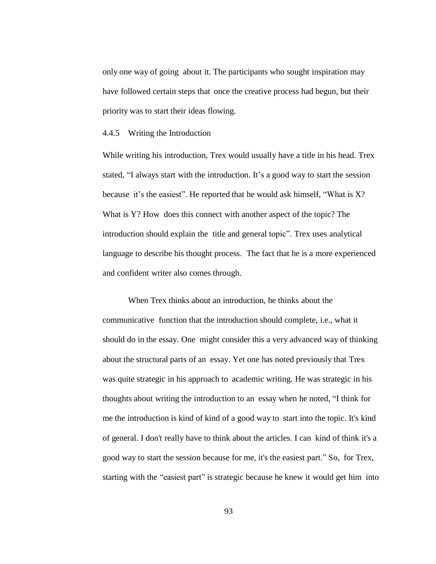only one way of going about it. The participants who sought inspiration may have followed certain steps that once the creative process had begun, but their priority was to start their ideas flowing.

## 4.4.5 Writing the Introduction

While writing his introduction, Trex would usually have a title in his head. Trex stated, "I always start with the introduction. It's a good way to start the session because it's the easiest". He reported that he would ask himself, "What is  $X$ ? What is Y? How does this connect with another aspect of the topic? The introduction should explain the title and general topic". Trex uses analytical language to describe his thought process. The fact that he is a more experienced and confident writer also comes through.

When Trex thinks about an introduction, he thinks about the communicative function that the introduction should complete, i.e., what it should do in the essay. One might consider this a very advanced way of thinking about the structural parts of an essay. Yet one has noted previously that Trex was quite strategic in his approach to academic writing. He was strategic in his thoughts about writing the introduction to an essay when he noted, "I think for me the introduction is kind of kind of a good way to start into the topic. It's kind of general. I don't really have to think about the articles. I can kind of think it's a good way to start the session because for me, it's the easiest part." So, for Trex, starting with the "easiest part" is strategic because he knew it would get him into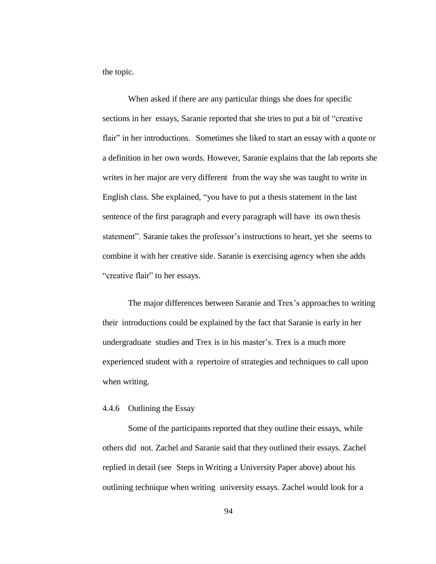the topic.

When asked if there are any particular things she does for specific sections in her essays, Saranie reported that she tries to put a bit of "creative flair" in her introductions. Sometimes she liked to start an essay with a quote or a definition in her own words. However, Saranie explains that the lab reports she writes in her major are very different from the way she was taught to write in English class. She explained, "you have to put a thesis statement in the last sentence of the first paragraph and every paragraph will have its own thesis statement". Saranie takes the professor's instructions to heart, yet she seems to combine it with her creative side. Saranie is exercising agency when she adds "creative flair" to her essays.

The major differences between Saranie and Trex's approaches to writing their introductions could be explained by the fact that Saranie is early in her undergraduate studies and Trex is in his master's. Trex is a much more experienced student with a repertoire of strategies and techniques to call upon when writing.

## 4.4.6 Outlining the Essay

Some of the participants reported that they outline their essays, while others did not. Zachel and Saranie said that they outlined their essays. Zachel replied in detail (see Steps in Writing a University Paper above) about his outlining technique when writing university essays. Zachel would look for a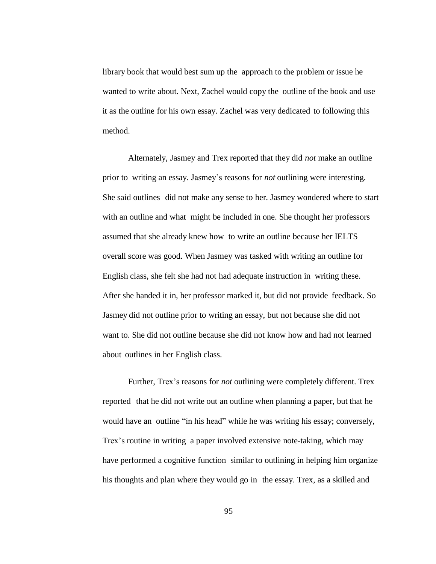library book that would best sum up the approach to the problem or issue he wanted to write about. Next, Zachel would copy the outline of the book and use it as the outline for his own essay. Zachel was very dedicated to following this method.

Alternately, Jasmey and Trex reported that they did *not* make an outline prior to writing an essay. Jasmey's reasons for *not* outlining were interesting. She said outlines did not make any sense to her. Jasmey wondered where to start with an outline and what might be included in one. She thought her professors assumed that she already knew how to write an outline because her IELTS overall score was good. When Jasmey was tasked with writing an outline for English class, she felt she had not had adequate instruction in writing these. After she handed it in, her professor marked it, but did not provide feedback. So Jasmey did not outline prior to writing an essay, but not because she did not want to. She did not outline because she did not know how and had not learned about outlines in her English class.

Further, Trex's reasons for *not* outlining were completely different. Trex reported that he did not write out an outline when planning a paper, but that he would have an outline "in his head" while he was writing his essay; conversely, Trex's routine in writing a paper involved extensive note-taking, which may have performed a cognitive function similar to outlining in helping him organize his thoughts and plan where they would go in the essay. Trex, as a skilled and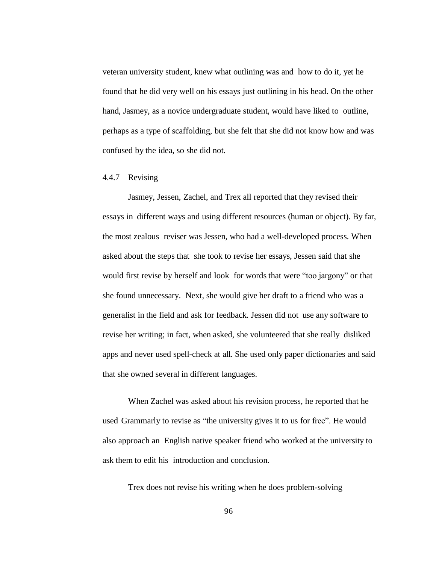veteran university student, knew what outlining was and how to do it, yet he found that he did very well on his essays just outlining in his head. On the other hand, Jasmey, as a novice undergraduate student, would have liked to outline, perhaps as a type of scaffolding, but she felt that she did not know how and was confused by the idea, so she did not.

## 4.4.7 Revising

Jasmey, Jessen, Zachel, and Trex all reported that they revised their essays in different ways and using different resources (human or object). By far, the most zealous reviser was Jessen, who had a well-developed process. When asked about the steps that she took to revise her essays, Jessen said that she would first revise by herself and look for words that were "too jargony" or that she found unnecessary. Next, she would give her draft to a friend who was a generalist in the field and ask for feedback. Jessen did not use any software to revise her writing; in fact, when asked, she volunteered that she really disliked apps and never used spell-check at all. She used only paper dictionaries and said that she owned several in different languages.

When Zachel was asked about his revision process, he reported that he used Grammarly to revise as "the university gives it to us for free". He would also approach an English native speaker friend who worked at the university to ask them to edit his introduction and conclusion.

Trex does not revise his writing when he does problem-solving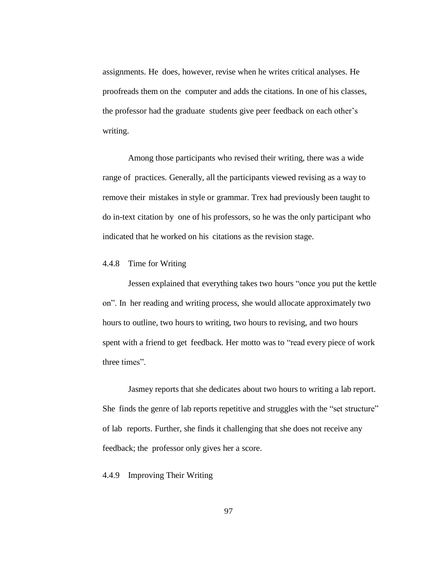assignments. He does, however, revise when he writes critical analyses. He proofreads them on the computer and adds the citations. In one of his classes, the professor had the graduate students give peer feedback on each other's writing.

Among those participants who revised their writing, there was a wide range of practices. Generally, all the participants viewed revising as a way to remove their mistakes in style or grammar. Trex had previously been taught to do in-text citation by one of his professors, so he was the only participant who indicated that he worked on his citations as the revision stage.

## 4.4.8 Time for Writing

Jessen explained that everything takes two hours "once you put the kettle on". In her reading and writing process, she would allocate approximately two hours to outline, two hours to writing, two hours to revising, and two hours spent with a friend to get feedback. Her motto was to "read every piece of work three times".

Jasmey reports that she dedicates about two hours to writing a lab report. She finds the genre of lab reports repetitive and struggles with the "set structure" of lab reports. Further, she finds it challenging that she does not receive any feedback; the professor only gives her a score.

## 4.4.9 Improving Their Writing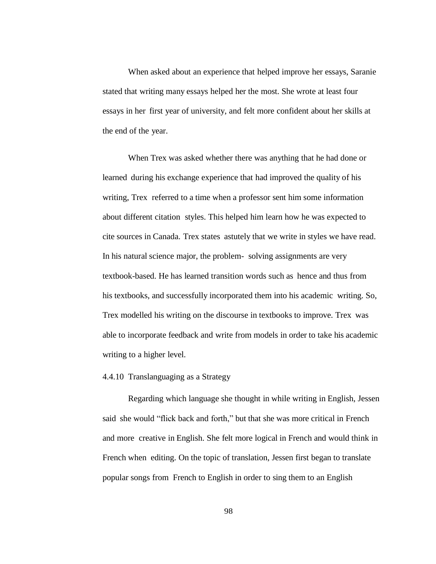When asked about an experience that helped improve her essays, Saranie stated that writing many essays helped her the most. She wrote at least four essays in her first year of university, and felt more confident about her skills at the end of the year.

When Trex was asked whether there was anything that he had done or learned during his exchange experience that had improved the quality of his writing, Trex referred to a time when a professor sent him some information about different citation styles. This helped him learn how he was expected to cite sources in Canada. Trex states astutely that we write in styles we have read. In his natural science major, the problem- solving assignments are very textbook-based. He has learned transition words such as hence and thus from his textbooks, and successfully incorporated them into his academic writing. So, Trex modelled his writing on the discourse in textbooks to improve. Trex was able to incorporate feedback and write from models in order to take his academic writing to a higher level.

## 4.4.10 Translanguaging as a Strategy

Regarding which language she thought in while writing in English, Jessen said she would "flick back and forth," but that she was more critical in French and more creative in English. She felt more logical in French and would think in French when editing. On the topic of translation, Jessen first began to translate popular songs from French to English in order to sing them to an English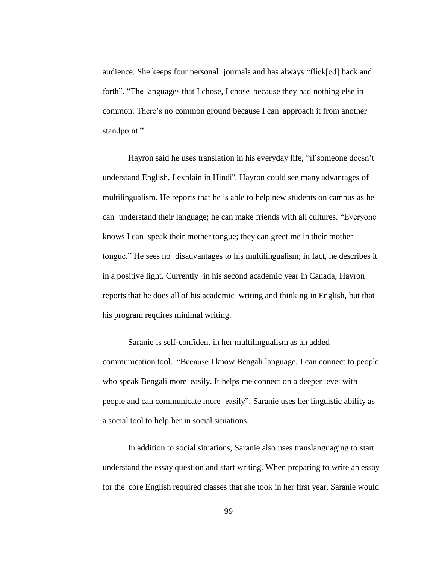audience. She keeps four personal journals and has always "flick[ed] back and forth". "The languages that I chose, I chose because they had nothing else in common. There's no common ground because I can approach it from another standpoint."

Hayron said he uses translation in his everyday life, "if someone doesn't understand English, I explain in Hindi''. Hayron could see many advantages of multilingualism. He reports that he is able to help new students on campus as he can understand their language; he can make friends with all cultures. "Everyone knows I can speak their mother tongue; they can greet me in their mother tongue." He sees no disadvantages to his multilingualism; in fact, he describes it in a positive light. Currently in his second academic year in Canada, Hayron reports that he does all of his academic writing and thinking in English, but that his program requires minimal writing.

Saranie is self-confident in her multilingualism as an added communication tool. "Because I know Bengali language, I can connect to people who speak Bengali more easily. It helps me connect on a deeper level with people and can communicate more easily". Saranie uses her linguistic ability as a social tool to help her in social situations.

In addition to social situations, Saranie also uses translanguaging to start understand the essay question and start writing. When preparing to write an essay for the core English required classes that she took in her first year, Saranie would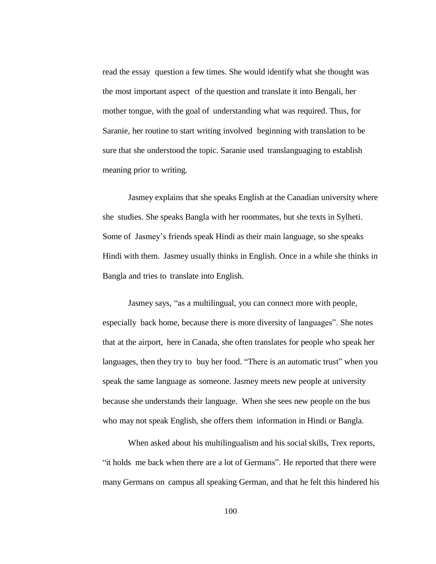read the essay question a few times. She would identify what she thought was the most important aspect of the question and translate it into Bengali, her mother tongue, with the goal of understanding what was required. Thus, for Saranie, her routine to start writing involved beginning with translation to be sure that she understood the topic. Saranie used translanguaging to establish meaning prior to writing.

Jasmey explains that she speaks English at the Canadian university where she studies. She speaks Bangla with her roommates, but she texts in Sylheti. Some of Jasmey's friends speak Hindi as their main language, so she speaks Hindi with them. Jasmey usually thinks in English. Once in a while she thinks in Bangla and tries to translate into English.

Jasmey says, "as a multilingual, you can connect more with people, especially back home, because there is more diversity of languages". She notes that at the airport, here in Canada, she often translates for people who speak her languages, then they try to buy her food. "There is an automatic trust" when you speak the same language as someone. Jasmey meets new people at university because she understands their language. When she sees new people on the bus who may not speak English, she offers them information in Hindi or Bangla.

When asked about his multilingualism and his social skills, Trex reports, "it holds me back when there are a lot of Germans". He reported that there were many Germans on campus all speaking German, and that he felt this hindered his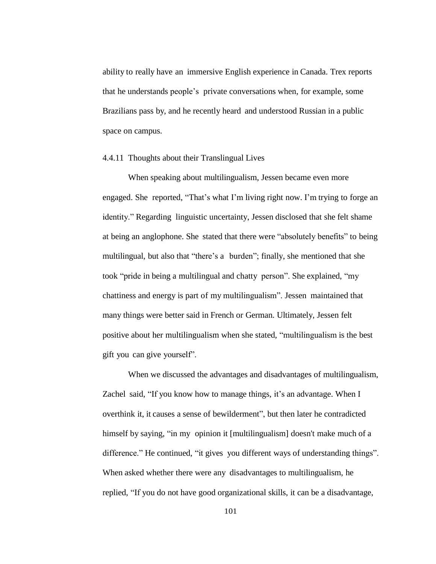ability to really have an immersive English experience in Canada. Trex reports that he understands people's private conversations when, for example, some Brazilians pass by, and he recently heard and understood Russian in a public space on campus.

#### 4.4.11 Thoughts about their Translingual Lives

When speaking about multilingualism, Jessen became even more engaged. She reported, "That's what I'm living right now. I'm trying to forge an identity." Regarding linguistic uncertainty, Jessen disclosed that she felt shame at being an anglophone. She stated that there were "absolutely benefits" to being multilingual, but also that "there's a burden"; finally, she mentioned that she took "pride in being a multilingual and chatty person". She explained, "my chattiness and energy is part of my multilingualism". Jessen maintained that many things were better said in French or German. Ultimately, Jessen felt positive about her multilingualism when she stated, "multilingualism is the best gift you can give yourself".

When we discussed the advantages and disadvantages of multilingualism, Zachel said, "If you know how to manage things, it's an advantage. When I overthink it, it causes a sense of bewilderment", but then later he contradicted himself by saying, "in my opinion it [multilingualism] doesn't make much of a difference." He continued, "it gives you different ways of understanding things". When asked whether there were any disadvantages to multilingualism, he replied, "If you do not have good organizational skills, it can be a disadvantage,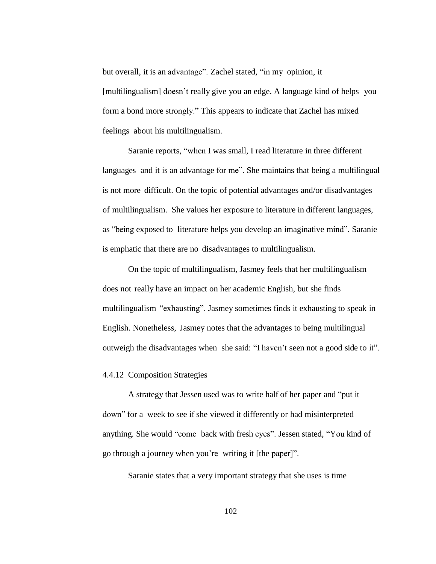but overall, it is an advantage". Zachel stated, "in my opinion, it [multilingualism] doesn't really give you an edge. A language kind of helps you form a bond more strongly." This appears to indicate that Zachel has mixed feelings about his multilingualism.

Saranie reports, "when I was small, I read literature in three different languages and it is an advantage for me". She maintains that being a multilingual is not more difficult. On the topic of potential advantages and/or disadvantages of multilingualism. She values her exposure to literature in different languages, as "being exposed to literature helps you develop an imaginative mind". Saranie is emphatic that there are no disadvantages to multilingualism.

On the topic of multilingualism, Jasmey feels that her multilingualism does not really have an impact on her academic English, but she finds multilingualism "exhausting". Jasmey sometimes finds it exhausting to speak in English. Nonetheless, Jasmey notes that the advantages to being multilingual outweigh the disadvantages when she said: "I haven't seen not a good side to it".

#### 4.4.12 Composition Strategies

A strategy that Jessen used was to write half of her paper and "put it down" for a week to see if she viewed it differently or had misinterpreted anything. She would "come back with fresh eyes". Jessen stated, "You kind of go through a journey when you're writing it [the paper]".

Saranie states that a very important strategy that she uses is time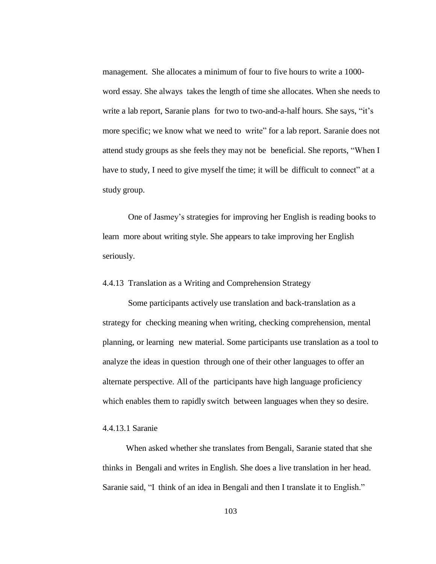management. She allocates a minimum of four to five hours to write a 1000 word essay. She always takes the length of time she allocates. When she needs to write a lab report, Saranie plans for two to two-and-a-half hours. She says, "it's more specific; we know what we need to write" for a lab report. Saranie does not attend study groups as she feels they may not be beneficial. She reports, "When I have to study, I need to give myself the time; it will be difficult to connect" at a study group.

One of Jasmey's strategies for improving her English is reading books to learn more about writing style. She appears to take improving her English seriously.

# 4.4.13 Translation as a Writing and Comprehension Strategy

Some participants actively use translation and back-translation as a strategy for checking meaning when writing, checking comprehension, mental planning, or learning new material. Some participants use translation as a tool to analyze the ideas in question through one of their other languages to offer an alternate perspective. All of the participants have high language proficiency which enables them to rapidly switch between languages when they so desire.

### 4.4.13.1 Saranie

When asked whether she translates from Bengali, Saranie stated that she thinks in Bengali and writes in English. She does a live translation in her head. Saranie said, "I think of an idea in Bengali and then I translate it to English."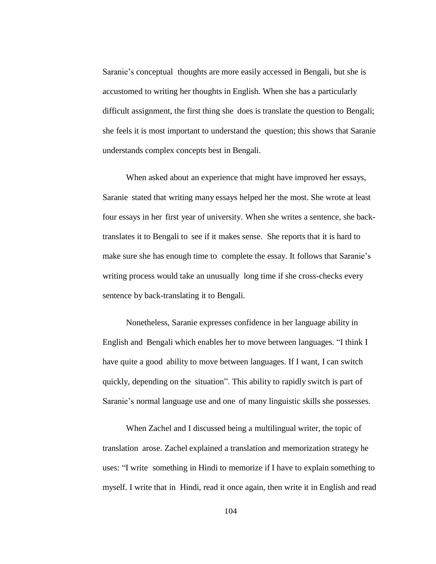Saranie's conceptual thoughts are more easily accessed in Bengali, but she is accustomed to writing her thoughts in English. When she has a particularly difficult assignment, the first thing she does is translate the question to Bengali; she feels it is most important to understand the question; this shows that Saranie understands complex concepts best in Bengali.

When asked about an experience that might have improved her essays, Saranie stated that writing many essays helped her the most. She wrote at least four essays in her first year of university. When she writes a sentence, she backtranslates it to Bengali to see if it makes sense. She reports that it is hard to make sure she has enough time to complete the essay. It follows that Saranie's writing process would take an unusually long time if she cross-checks every sentence by back-translating it to Bengali.

Nonetheless, Saranie expresses confidence in her language ability in English and Bengali which enables her to move between languages. "I think I have quite a good ability to move between languages. If I want, I can switch quickly, depending on the situation". This ability to rapidly switch is part of Saranie's normal language use and one of many linguistic skills she possesses.

When Zachel and I discussed being a multilingual writer, the topic of translation arose. Zachel explained a translation and memorization strategy he uses: "I write something in Hindi to memorize if I have to explain something to myself. I write that in Hindi, read it once again, then write it in English and read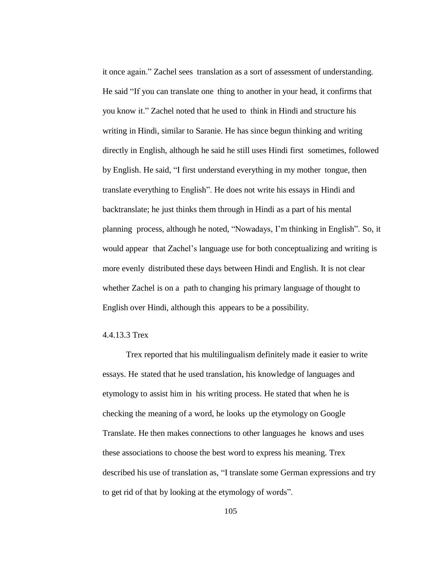it once again." Zachel sees translation as a sort of assessment of understanding. He said "If you can translate one thing to another in your head, it confirms that you know it." Zachel noted that he used to think in Hindi and structure his writing in Hindi, similar to Saranie. He has since begun thinking and writing directly in English, although he said he still uses Hindi first sometimes, followed by English. He said, "I first understand everything in my mother tongue, then translate everything to English". He does not write his essays in Hindi and backtranslate; he just thinks them through in Hindi as a part of his mental planning process, although he noted, "Nowadays, I'm thinking in English". So, it would appear that Zachel's language use for both conceptualizing and writing is more evenly distributed these days between Hindi and English. It is not clear whether Zachel is on a path to changing his primary language of thought to English over Hindi, although this appears to be a possibility.

#### 4.4.13.3 Trex

Trex reported that his multilingualism definitely made it easier to write essays. He stated that he used translation, his knowledge of languages and etymology to assist him in his writing process. He stated that when he is checking the meaning of a word, he looks up the etymology on Google Translate. He then makes connections to other languages he knows and uses these associations to choose the best word to express his meaning. Trex described his use of translation as, "I translate some German expressions and try to get rid of that by looking at the etymology of words".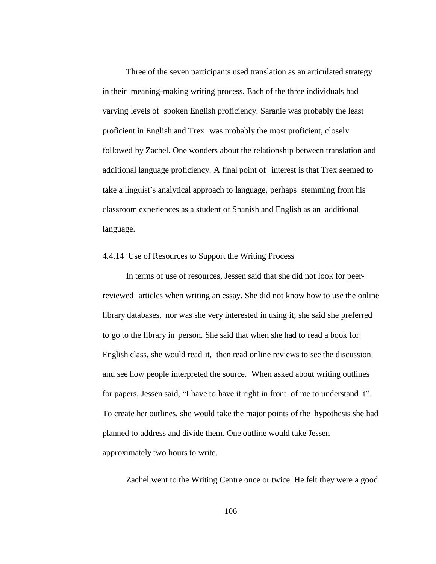Three of the seven participants used translation as an articulated strategy in their meaning-making writing process. Each of the three individuals had varying levels of spoken English proficiency. Saranie was probably the least proficient in English and Trex was probably the most proficient, closely followed by Zachel. One wonders about the relationship between translation and additional language proficiency. A final point of interest is that Trex seemed to take a linguist's analytical approach to language, perhaps stemming from his classroom experiences as a student of Spanish and English as an additional language.

# 4.4.14 Use of Resources to Support the Writing Process

In terms of use of resources, Jessen said that she did not look for peerreviewed articles when writing an essay. She did not know how to use the online library databases, nor was she very interested in using it; she said she preferred to go to the library in person. She said that when she had to read a book for English class, she would read it, then read online reviews to see the discussion and see how people interpreted the source. When asked about writing outlines for papers, Jessen said, "I have to have it right in front of me to understand it". To create her outlines, she would take the major points of the hypothesis she had planned to address and divide them. One outline would take Jessen approximately two hours to write.

Zachel went to the Writing Centre once or twice. He felt they were a good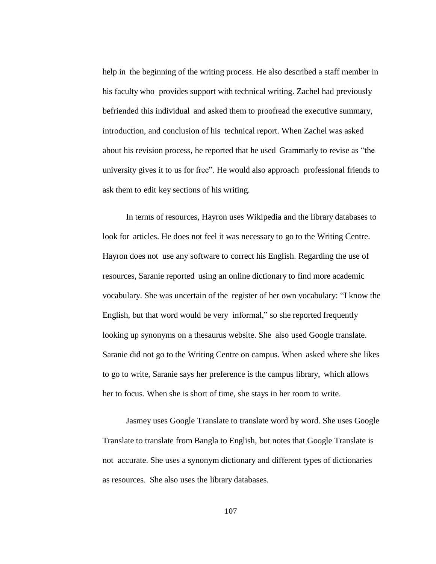help in the beginning of the writing process. He also described a staff member in his faculty who provides support with technical writing. Zachel had previously befriended this individual and asked them to proofread the executive summary, introduction, and conclusion of his technical report. When Zachel was asked about his revision process, he reported that he used Grammarly to revise as "the university gives it to us for free". He would also approach professional friends to ask them to edit key sections of his writing.

In terms of resources, Hayron uses Wikipedia and the library databases to look for articles. He does not feel it was necessary to go to the Writing Centre. Hayron does not use any software to correct his English. Regarding the use of resources, Saranie reported using an online dictionary to find more academic vocabulary. She was uncertain of the register of her own vocabulary: "I know the English, but that word would be very informal," so she reported frequently looking up synonyms on a thesaurus website. She also used Google translate. Saranie did not go to the Writing Centre on campus. When asked where she likes to go to write, Saranie says her preference is the campus library, which allows her to focus. When she is short of time, she stays in her room to write.

Jasmey uses Google Translate to translate word by word. She uses Google Translate to translate from Bangla to English, but notes that Google Translate is not accurate. She uses a synonym dictionary and different types of dictionaries as resources. She also uses the library databases.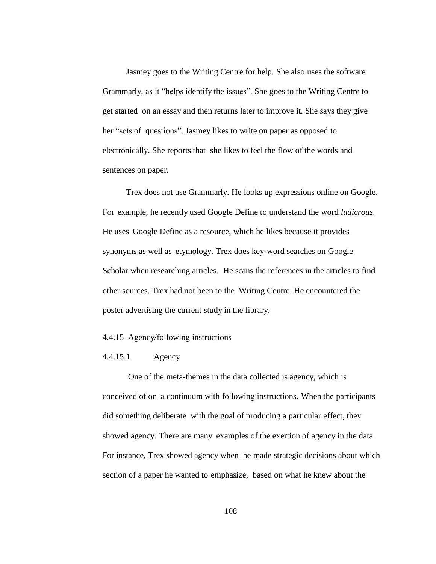Jasmey goes to the Writing Centre for help. She also uses the software Grammarly, as it "helps identify the issues". She goes to the Writing Centre to get started on an essay and then returns later to improve it. She says they give her "sets of questions". Jasmey likes to write on paper as opposed to electronically. She reports that she likes to feel the flow of the words and sentences on paper.

Trex does not use Grammarly. He looks up expressions online on Google. For example, he recently used Google Define to understand the word *ludicrous*. He uses Google Define as a resource, which he likes because it provides synonyms as well as etymology. Trex does key-word searches on Google Scholar when researching articles. He scans the references in the articles to find other sources. Trex had not been to the Writing Centre. He encountered the poster advertising the current study in the library.

### 4.4.15 Agency/following instructions

### 4.4.15.1 Agency

One of the meta-themes in the data collected is agency, which is conceived of on a continuum with following instructions. When the participants did something deliberate with the goal of producing a particular effect, they showed agency. There are many examples of the exertion of agency in the data. For instance, Trex showed agency when he made strategic decisions about which section of a paper he wanted to emphasize, based on what he knew about the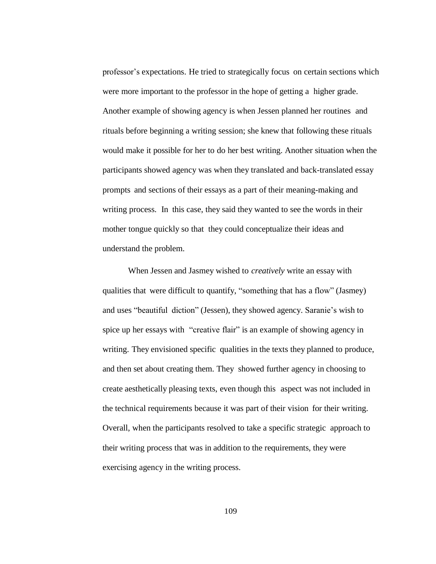professor's expectations. He tried to strategically focus on certain sections which were more important to the professor in the hope of getting a higher grade. Another example of showing agency is when Jessen planned her routines and rituals before beginning a writing session; she knew that following these rituals would make it possible for her to do her best writing. Another situation when the participants showed agency was when they translated and back-translated essay prompts and sections of their essays as a part of their meaning-making and writing process. In this case, they said they wanted to see the words in their mother tongue quickly so that they could conceptualize their ideas and understand the problem.

When Jessen and Jasmey wished to *creatively* write an essay with qualities that were difficult to quantify, "something that has a flow" (Jasmey) and uses "beautiful diction" (Jessen), they showed agency. Saranie's wish to spice up her essays with "creative flair" is an example of showing agency in writing. They envisioned specific qualities in the texts they planned to produce, and then set about creating them. They showed further agency in choosing to create aesthetically pleasing texts, even though this aspect was not included in the technical requirements because it was part of their vision for their writing. Overall, when the participants resolved to take a specific strategic approach to their writing process that was in addition to the requirements, they were exercising agency in the writing process.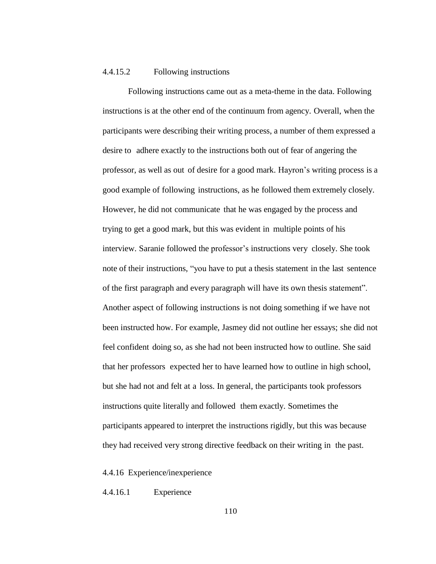#### 4.4.15.2 Following instructions

Following instructions came out as a meta-theme in the data. Following instructions is at the other end of the continuum from agency. Overall, when the participants were describing their writing process, a number of them expressed a desire to adhere exactly to the instructions both out of fear of angering the professor, as well as out of desire for a good mark. Hayron's writing process is a good example of following instructions, as he followed them extremely closely. However, he did not communicate that he was engaged by the process and trying to get a good mark, but this was evident in multiple points of his interview. Saranie followed the professor's instructions very closely. She took note of their instructions, "you have to put a thesis statement in the last sentence of the first paragraph and every paragraph will have its own thesis statement". Another aspect of following instructions is not doing something if we have not been instructed how. For example, Jasmey did not outline her essays; she did not feel confident doing so, as she had not been instructed how to outline. She said that her professors expected her to have learned how to outline in high school, but she had not and felt at a loss. In general, the participants took professors instructions quite literally and followed them exactly. Sometimes the participants appeared to interpret the instructions rigidly, but this was because they had received very strong directive feedback on their writing in the past.

4.4.16 Experience/inexperience

4.4.16.1 Experience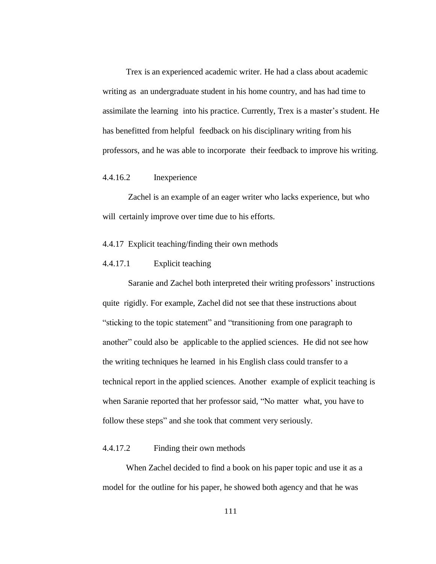Trex is an experienced academic writer. He had a class about academic writing as an undergraduate student in his home country, and has had time to assimilate the learning into his practice. Currently, Trex is a master's student. He has benefitted from helpful feedback on his disciplinary writing from his professors, and he was able to incorporate their feedback to improve his writing.

## 4.4.16.2 Inexperience

Zachel is an example of an eager writer who lacks experience, but who will certainly improve over time due to his efforts.

### 4.4.17 Explicit teaching/finding their own methods

## 4.4.17.1 Explicit teaching

Saranie and Zachel both interpreted their writing professors' instructions quite rigidly. For example, Zachel did not see that these instructions about "sticking to the topic statement" and "transitioning from one paragraph to another" could also be applicable to the applied sciences. He did not see how the writing techniques he learned in his English class could transfer to a technical report in the applied sciences. Another example of explicit teaching is when Saranie reported that her professor said, "No matter what, you have to follow these steps" and she took that comment very seriously.

#### 4.4.17.2 Finding their own methods

When Zachel decided to find a book on his paper topic and use it as a model for the outline for his paper, he showed both agency and that he was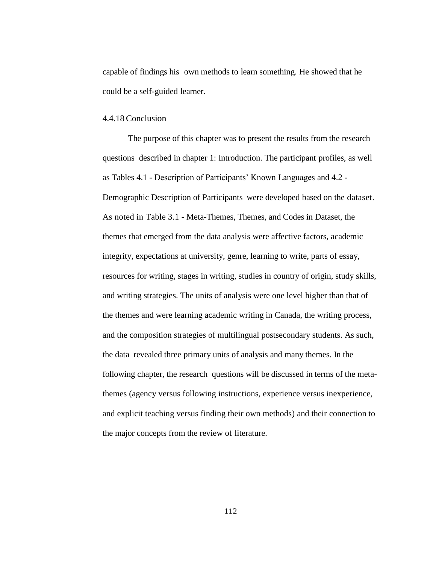capable of findings his own methods to learn something. He showed that he could be a self-guided learner.

#### 4.4.18Conclusion

The purpose of this chapter was to present the results from the research questions described in chapter 1: Introduction. The participant profiles, as well as Tables 4.1 - Description of Participants' Known Languages and 4.2 - Demographic Description of Participants were developed based on the dataset. As noted in Table 3.1 - Meta-Themes, Themes, and Codes in Dataset, the themes that emerged from the data analysis were affective factors, academic integrity, expectations at university, genre, learning to write, parts of essay, resources for writing, stages in writing, studies in country of origin, study skills, and writing strategies. The units of analysis were one level higher than that of the themes and were learning academic writing in Canada, the writing process, and the composition strategies of multilingual postsecondary students. As such, the data revealed three primary units of analysis and many themes. In the following chapter, the research questions will be discussed in terms of the metathemes (agency versus following instructions, experience versus inexperience, and explicit teaching versus finding their own methods) and their connection to the major concepts from the review of literature.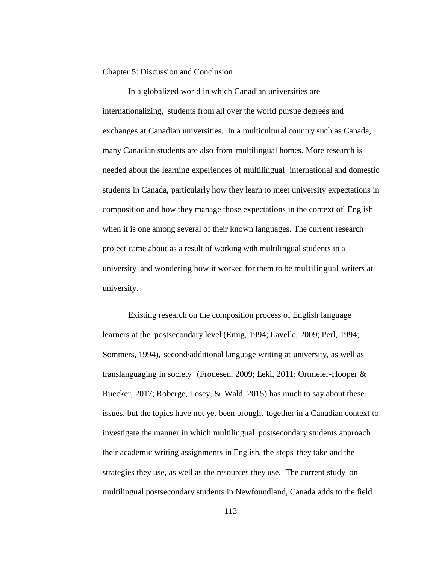Chapter 5: Discussion and Conclusion

In a globalized world in which Canadian universities are internationalizing, students from all over the world pursue degrees and exchanges at Canadian universities. In a multicultural country such as Canada, many Canadian students are also from multilingual homes. More research is needed about the learning experiences of multilingual international and domestic students in Canada, particularly how they learn to meet university expectations in composition and how they manage those expectations in the context of English when it is one among several of their known languages. The current research project came about as a result of working with multilingual students in a university and wondering how it worked for them to be multilingual writers at university.

Existing research on the composition process of English language learners at the postsecondary level (Emig, 1994; Lavelle, 2009; Perl, 1994; Sommers, 1994), second/additional language writing at university, as well as translanguaging in society (Frodesen, 2009; Leki, 2011; Ortmeier-Hooper & Ruecker, 2017; Roberge, Losey, & Wald, 2015) has much to say about these issues, but the topics have not yet been brought together in a Canadian context to investigate the manner in which multilingual postsecondary students approach their academic writing assignments in English, the steps they take and the strategies they use, as well as the resources they use. The current study on multilingual postsecondary students in Newfoundland, Canada adds to the field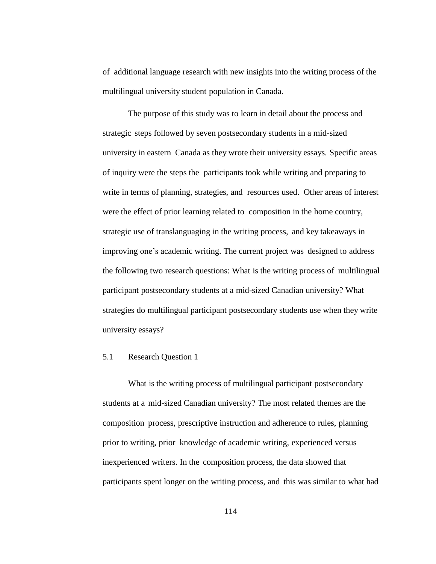of additional language research with new insights into the writing process of the multilingual university student population in Canada.

The purpose of this study was to learn in detail about the process and strategic steps followed by seven postsecondary students in a mid-sized university in eastern Canada as they wrote their university essays. Specific areas of inquiry were the steps the participants took while writing and preparing to write in terms of planning, strategies, and resources used. Other areas of interest were the effect of prior learning related to composition in the home country, strategic use of translanguaging in the writing process, and key takeaways in improving one's academic writing. The current project was designed to address the following two research questions: What is the writing process of multilingual participant postsecondary students at a mid-sized Canadian university? What strategies do multilingual participant postsecondary students use when they write university essays?

## 5.1 Research Question 1

What is the writing process of multilingual participant postsecondary students at a mid-sized Canadian university? The most related themes are the composition process, prescriptive instruction and adherence to rules, planning prior to writing, prior knowledge of academic writing, experienced versus inexperienced writers. In the composition process, the data showed that participants spent longer on the writing process, and this was similar to what had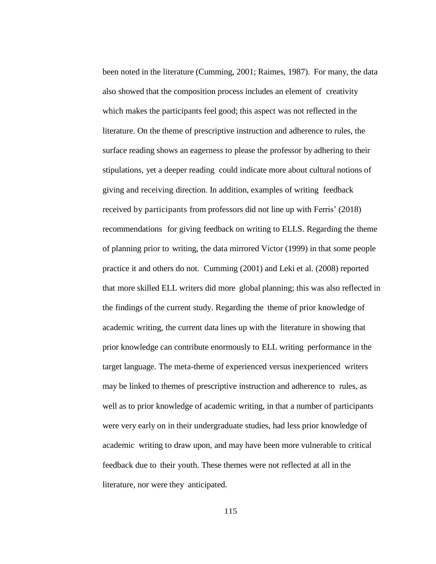been noted in the literature (Cumming, 2001; Raimes, 1987). For many, the data also showed that the composition process includes an element of creativity which makes the participants feel good; this aspect was not reflected in the literature. On the theme of prescriptive instruction and adherence to rules, the surface reading shows an eagerness to please the professor by adhering to their stipulations, yet a deeper reading could indicate more about cultural notions of giving and receiving direction. In addition, examples of writing feedback received by participants from professors did not line up with Ferris' (2018) recommendations for giving feedback on writing to ELLS. Regarding the theme of planning prior to writing, the data mirrored Victor (1999) in that some people practice it and others do not. Cumming (2001) and Leki et al. (2008) reported that more skilled ELL writers did more global planning; this was also reflected in the findings of the current study. Regarding the theme of prior knowledge of academic writing, the current data lines up with the literature in showing that prior knowledge can contribute enormously to ELL writing performance in the target language. The meta-theme of experienced versus inexperienced writers may be linked to themes of prescriptive instruction and adherence to rules, as well as to prior knowledge of academic writing, in that a number of participants were very early on in their undergraduate studies, had less prior knowledge of academic writing to draw upon, and may have been more vulnerable to critical feedback due to their youth. These themes were not reflected at all in the literature, nor were they anticipated.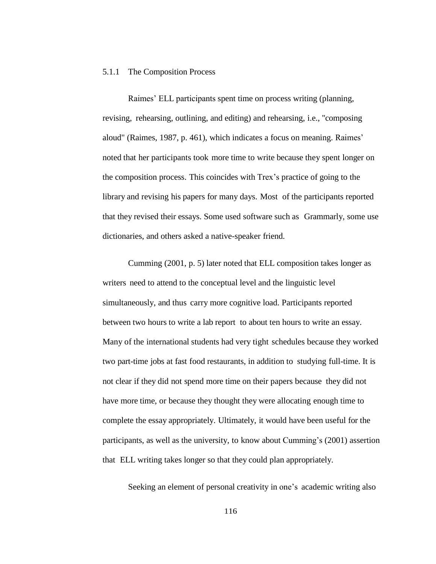#### 5.1.1 The Composition Process

Raimes' ELL participants spent time on process writing (planning, revising, rehearsing, outlining, and editing) and rehearsing, i.e., "composing aloud" (Raimes, 1987, p. 461), which indicates a focus on meaning. Raimes' noted that her participants took more time to write because they spent longer on the composition process. This coincides with Trex's practice of going to the library and revising his papers for many days. Most of the participants reported that they revised their essays. Some used software such as Grammarly, some use dictionaries, and others asked a native-speaker friend.

Cumming (2001, p. 5) later noted that ELL composition takes longer as writers need to attend to the conceptual level and the linguistic level simultaneously, and thus carry more cognitive load. Participants reported between two hours to write a lab report to about ten hours to write an essay. Many of the international students had very tight schedules because they worked two part-time jobs at fast food restaurants, in addition to studying full-time. It is not clear if they did not spend more time on their papers because they did not have more time, or because they thought they were allocating enough time to complete the essay appropriately. Ultimately, it would have been useful for the participants, as well as the university, to know about Cumming's (2001) assertion that ELL writing takes longer so that they could plan appropriately.

Seeking an element of personal creativity in one's academic writing also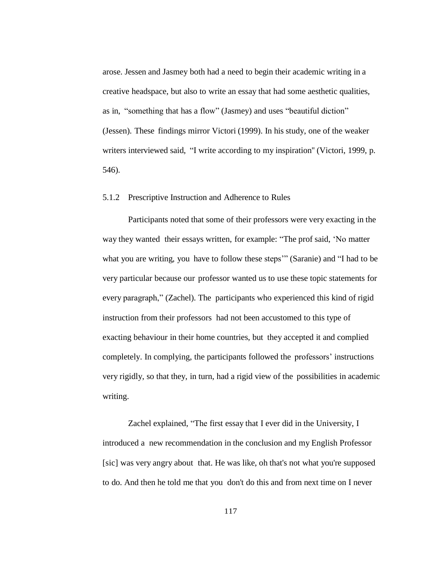arose. Jessen and Jasmey both had a need to begin their academic writing in a creative headspace, but also to write an essay that had some aesthetic qualities, as in, "something that has a flow" (Jasmey) and uses "beautiful diction" (Jessen). These findings mirror Victori (1999). In his study, one of the weaker writers interviewed said, "I write according to my inspiration'' (Victori, 1999, p. 546).

#### 5.1.2 Prescriptive Instruction and Adherence to Rules

Participants noted that some of their professors were very exacting in the way they wanted their essays written, for example: "The prof said, 'No matter what you are writing, you have to follow these steps" (Saranie) and "I had to be very particular because our professor wanted us to use these topic statements for every paragraph," (Zachel). The participants who experienced this kind of rigid instruction from their professors had not been accustomed to this type of exacting behaviour in their home countries, but they accepted it and complied completely. In complying, the participants followed the professors' instructions very rigidly, so that they, in turn, had a rigid view of the possibilities in academic writing.

Zachel explained, "The first essay that I ever did in the University, I introduced a new recommendation in the conclusion and my English Professor [sic] was very angry about that. He was like, oh that's not what you're supposed to do. And then he told me that you don't do this and from next time on I never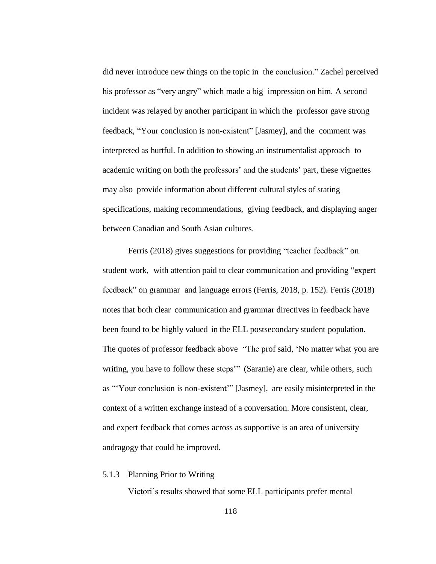did never introduce new things on the topic in the conclusion." Zachel perceived his professor as "very angry" which made a big impression on him. A second incident was relayed by another participant in which the professor gave strong feedback, "Your conclusion is non-existent" [Jasmey], and the comment was interpreted as hurtful. In addition to showing an instrumentalist approach to academic writing on both the professors' and the students' part, these vignettes may also provide information about different cultural styles of stating specifications, making recommendations, giving feedback, and displaying anger between Canadian and South Asian cultures.

Ferris (2018) gives suggestions for providing "teacher feedback" on student work, with attention paid to clear communication and providing "expert feedback" on grammar and language errors (Ferris, 2018, p. 152). Ferris (2018) notes that both clear communication and grammar directives in feedback have been found to be highly valued in the ELL postsecondary student population. The quotes of professor feedback above "The prof said, 'No matter what you are writing, you have to follow these steps" (Saranie) are clear, while others, such as "'Your conclusion is non-existent'" [Jasmey], are easily misinterpreted in the context of a written exchange instead of a conversation. More consistent, clear, and expert feedback that comes across as supportive is an area of university andragogy that could be improved.

#### 5.1.3 Planning Prior to Writing

Victori's results showed that some ELL participants prefer mental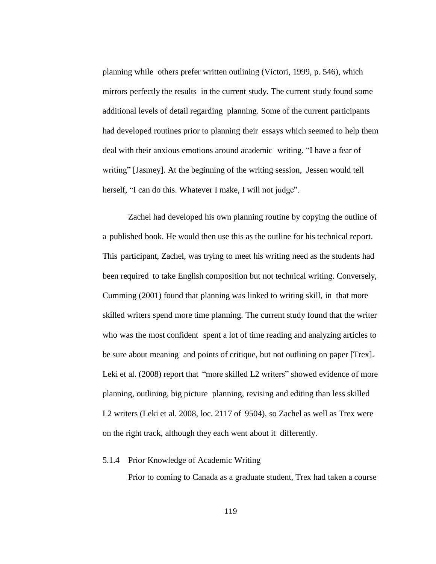planning while others prefer written outlining (Victori, 1999, p. 546), which mirrors perfectly the results in the current study. The current study found some additional levels of detail regarding planning. Some of the current participants had developed routines prior to planning their essays which seemed to help them deal with their anxious emotions around academic writing. "I have a fear of writing" [Jasmey]. At the beginning of the writing session, Jessen would tell herself, "I can do this. Whatever I make, I will not judge".

Zachel had developed his own planning routine by copying the outline of a published book. He would then use this as the outline for his technical report. This participant, Zachel, was trying to meet his writing need as the students had been required to take English composition but not technical writing. Conversely, Cumming (2001) found that planning was linked to writing skill, in that more skilled writers spend more time planning. The current study found that the writer who was the most confident spent a lot of time reading and analyzing articles to be sure about meaning and points of critique, but not outlining on paper [Trex]. Leki et al. (2008) report that "more skilled L2 writers" showed evidence of more planning, outlining, big picture planning, revising and editing than less skilled L2 writers (Leki et al. 2008, loc. 2117 of 9504), so Zachel as well as Trex were on the right track, although they each went about it differently.

### 5.1.4 Prior Knowledge of Academic Writing

Prior to coming to Canada as a graduate student, Trex had taken a course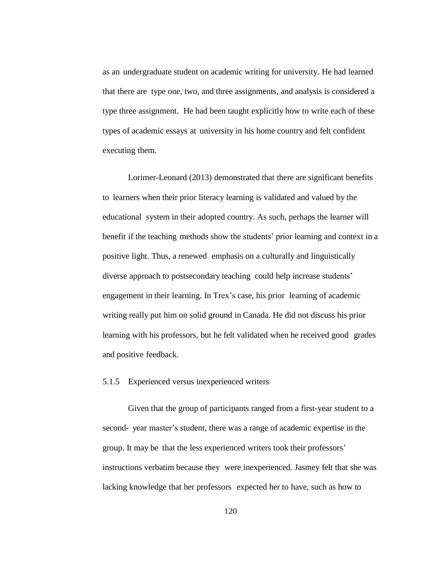as an undergraduate student on academic writing for university. He had learned that there are type one, two, and three assignments, and analysis is considered a type three assignment. He had been taught explicitly how to write each of these types of academic essays at university in his home country and felt confident executing them.

Lorimer-Leonard (2013) demonstrated that there are significant benefits to learners when their prior literacy learning is validated and valued by the educational system in their adopted country. As such, perhaps the learner will benefit if the teaching methods show the students' prior learning and context in a positive light. Thus, a renewed emphasis on a culturally and linguistically diverse approach to postsecondary teaching could help increase students' engagement in their learning. In Trex's case, his prior learning of academic writing really put him on solid ground in Canada. He did not discuss his prior learning with his professors, but he felt validated when he received good grades and positive feedback.

# 5.1.5 Experienced versus inexperienced writers

Given that the group of participants ranged from a first-year student to a second- year master's student, there was a range of academic expertise in the group. It may be that the less experienced writers took their professors' instructions verbatim because they were inexperienced. Jasmey felt that she was lacking knowledge that her professors expected her to have, such as how to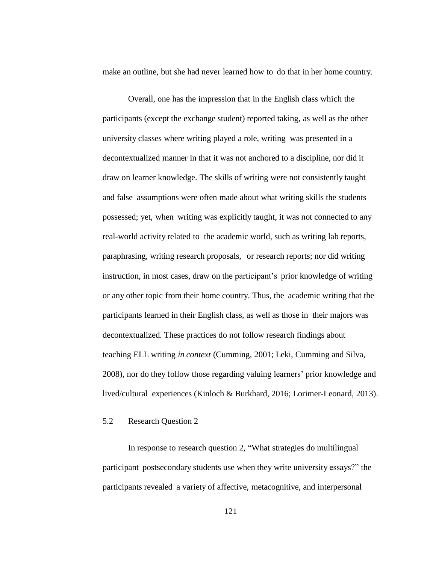make an outline, but she had never learned how to do that in her home country.

Overall, one has the impression that in the English class which the participants (except the exchange student) reported taking, as well as the other university classes where writing played a role, writing was presented in a decontextualized manner in that it was not anchored to a discipline, nor did it draw on learner knowledge. The skills of writing were not consistently taught and false assumptions were often made about what writing skills the students possessed; yet, when writing was explicitly taught, it was not connected to any real-world activity related to the academic world, such as writing lab reports, paraphrasing, writing research proposals, or research reports; nor did writing instruction, in most cases, draw on the participant's prior knowledge of writing or any other topic from their home country. Thus, the academic writing that the participants learned in their English class, as well as those in their majors was decontextualized. These practices do not follow research findings about teaching ELL writing *in context* (Cumming, 2001; Leki, Cumming and Silva, 2008), nor do they follow those regarding valuing learners' prior knowledge and lived/cultural experiences (Kinloch & Burkhard, 2016; Lorimer-Leonard, 2013).

#### 5.2 Research Question 2

In response to research question 2, "What strategies do multilingual participant postsecondary students use when they write university essays?" the participants revealed a variety of affective, metacognitive, and interpersonal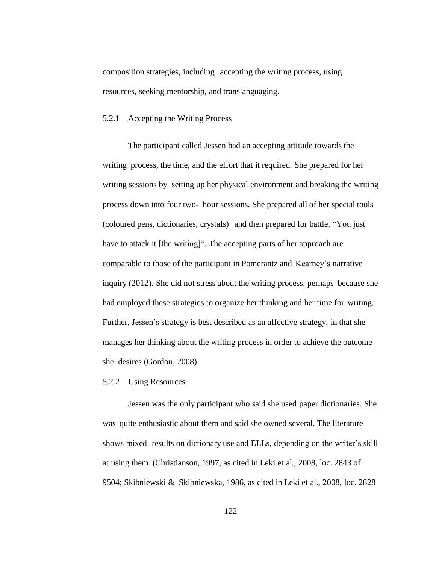composition strategies, including accepting the writing process, using resources, seeking mentorship, and translanguaging.

#### 5.2.1 Accepting the Writing Process

The participant called Jessen had an accepting attitude towards the writing process, the time, and the effort that it required. She prepared for her writing sessions by setting up her physical environment and breaking the writing process down into four two- hour sessions. She prepared all of her special tools (coloured pens, dictionaries, crystals) and then prepared for battle, "You just have to attack it [the writing]". The accepting parts of her approach are comparable to those of the participant in Pomerantz and Kearney's narrative inquiry (2012). She did not stress about the writing process, perhaps because she had employed these strategies to organize her thinking and her time for writing. Further, Jessen's strategy is best described as an affective strategy, in that she manages her thinking about the writing process in order to achieve the outcome she desires (Gordon, 2008).

#### 5.2.2 Using Resources

Jessen was the only participant who said she used paper dictionaries. She was quite enthusiastic about them and said she owned several. The literature shows mixed results on dictionary use and ELLs, depending on the writer's skill at using them (Christianson, 1997, as cited in Leki et al., 2008, loc. 2843 of 9504; Skibniewski & Skibniewska, 1986, as cited in Leki et al., 2008, loc. 2828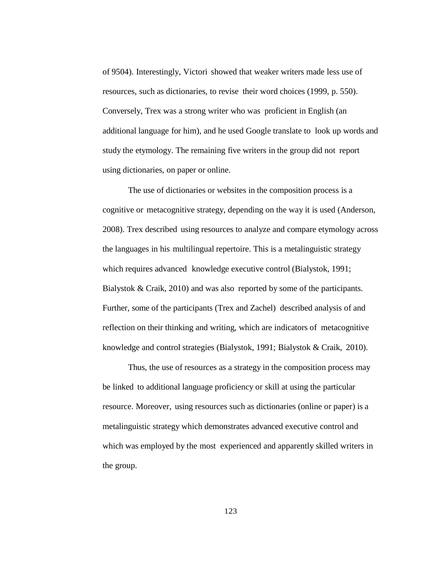of 9504). Interestingly, Victori showed that weaker writers made less use of resources, such as dictionaries, to revise their word choices (1999, p. 550). Conversely, Trex was a strong writer who was proficient in English (an additional language for him), and he used Google translate to look up words and study the etymology. The remaining five writers in the group did not report using dictionaries, on paper or online.

The use of dictionaries or websites in the composition process is a cognitive or metacognitive strategy, depending on the way it is used (Anderson, 2008). Trex described using resources to analyze and compare etymology across the languages in his multilingual repertoire. This is a metalinguistic strategy which requires advanced knowledge executive control (Bialystok, 1991; Bialystok & Craik, 2010) and was also reported by some of the participants. Further, some of the participants (Trex and Zachel) described analysis of and reflection on their thinking and writing, which are indicators of metacognitive knowledge and control strategies (Bialystok, 1991; Bialystok & Craik, 2010).

Thus, the use of resources as a strategy in the composition process may be linked to additional language proficiency or skill at using the particular resource. Moreover, using resources such as dictionaries (online or paper) is a metalinguistic strategy which demonstrates advanced executive control and which was employed by the most experienced and apparently skilled writers in the group.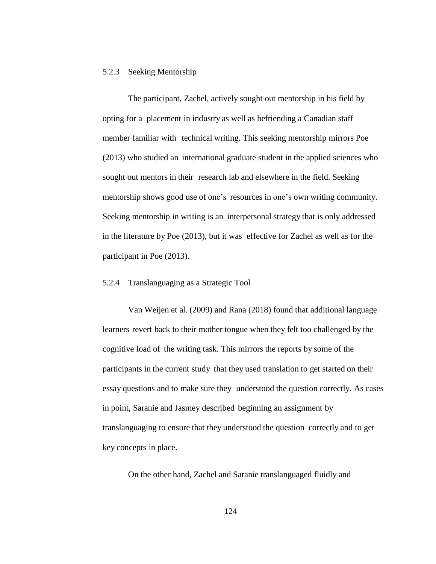#### 5.2.3 Seeking Mentorship

The participant, Zachel, actively sought out mentorship in his field by opting for a placement in industry as well as befriending a Canadian staff member familiar with technical writing. This seeking mentorship mirrors Poe (2013) who studied an international graduate student in the applied sciences who sought out mentors in their research lab and elsewhere in the field. Seeking mentorship shows good use of one's resources in one's own writing community. Seeking mentorship in writing is an interpersonal strategy that is only addressed in the literature by Poe (2013), but it was effective for Zachel as well as for the participant in Poe (2013).

#### 5.2.4 Translanguaging as a Strategic Tool

Van Weijen et al. (2009) and Rana (2018) found that additional language learners revert back to their mother tongue when they felt too challenged by the cognitive load of the writing task. This mirrors the reports by some of the participants in the current study that they used translation to get started on their essay questions and to make sure they understood the question correctly. As cases in point, Saranie and Jasmey described beginning an assignment by translanguaging to ensure that they understood the question correctly and to get key concepts in place.

On the other hand, Zachel and Saranie translanguaged fluidly and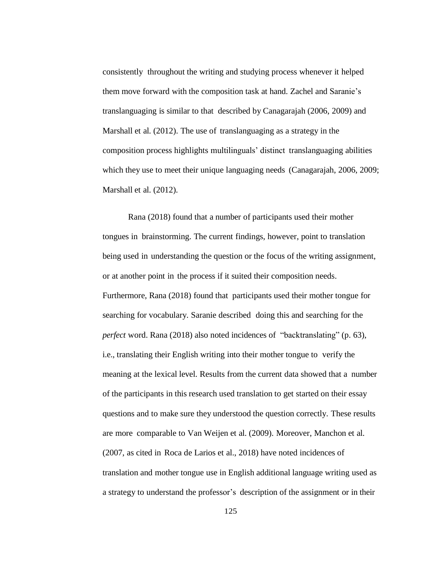consistently throughout the writing and studying process whenever it helped them move forward with the composition task at hand. Zachel and Saranie's translanguaging is similar to that described by Canagarajah (2006, 2009) and Marshall et al. (2012). The use of translanguaging as a strategy in the composition process highlights multilinguals' distinct translanguaging abilities which they use to meet their unique languaging needs (Canagarajah, 2006, 2009; Marshall et al. (2012).

Rana (2018) found that a number of participants used their mother tongues in brainstorming. The current findings, however, point to translation being used in understanding the question or the focus of the writing assignment, or at another point in the process if it suited their composition needs. Furthermore, Rana (2018) found that participants used their mother tongue for searching for vocabulary. Saranie described doing this and searching for the *perfect* word. Rana (2018) also noted incidences of "backtranslating" (p. 63), i.e., translating their English writing into their mother tongue to verify the meaning at the lexical level. Results from the current data showed that a number of the participants in this research used translation to get started on their essay questions and to make sure they understood the question correctly. These results are more comparable to Van Weijen et al. (2009). Moreover, Manchon et al. (2007, as cited in Roca de Larios et al., 2018) have noted incidences of translation and mother tongue use in English additional language writing used as a strategy to understand the professor's description of the assignment or in their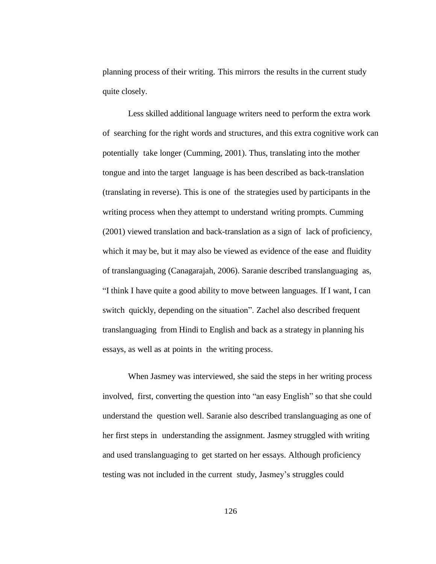planning process of their writing. This mirrors the results in the current study quite closely.

Less skilled additional language writers need to perform the extra work of searching for the right words and structures, and this extra cognitive work can potentially take longer (Cumming, 2001). Thus, translating into the mother tongue and into the target language is has been described as back-translation (translating in reverse). This is one of the strategies used by participants in the writing process when they attempt to understand writing prompts. Cumming (2001) viewed translation and back-translation as a sign of lack of proficiency, which it may be, but it may also be viewed as evidence of the ease and fluidity of translanguaging (Canagarajah, 2006). Saranie described translanguaging as, "I think I have quite a good ability to move between languages. If I want, I can switch quickly, depending on the situation". Zachel also described frequent translanguaging from Hindi to English and back as a strategy in planning his essays, as well as at points in the writing process.

When Jasmey was interviewed, she said the steps in her writing process involved, first, converting the question into "an easy English" so that she could understand the question well. Saranie also described translanguaging as one of her first steps in understanding the assignment. Jasmey struggled with writing and used translanguaging to get started on her essays. Although proficiency testing was not included in the current study, Jasmey's struggles could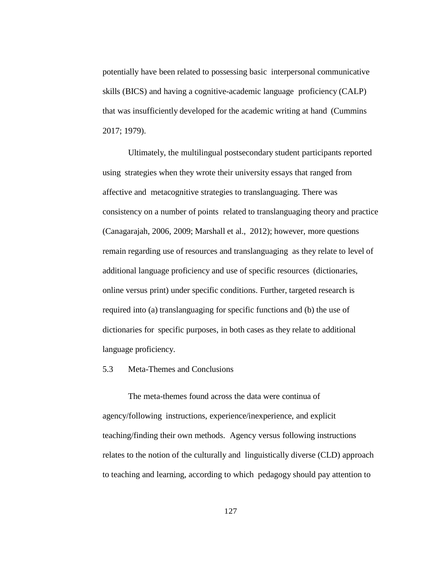potentially have been related to possessing basic interpersonal communicative skills (BICS) and having a cognitive-academic language proficiency (CALP) that was insufficiently developed for the academic writing at hand (Cummins 2017; 1979).

Ultimately, the multilingual postsecondary student participants reported using strategies when they wrote their university essays that ranged from affective and metacognitive strategies to translanguaging. There was consistency on a number of points related to translanguaging theory and practice (Canagarajah, 2006, 2009; Marshall et al., 2012); however, more questions remain regarding use of resources and translanguaging as they relate to level of additional language proficiency and use of specific resources (dictionaries, online versus print) under specific conditions. Further, targeted research is required into (a) translanguaging for specific functions and (b) the use of dictionaries for specific purposes, in both cases as they relate to additional language proficiency.

## 5.3 Meta-Themes and Conclusions

The meta-themes found across the data were continua of agency/following instructions, experience/inexperience, and explicit teaching/finding their own methods. Agency versus following instructions relates to the notion of the culturally and linguistically diverse (CLD) approach to teaching and learning, according to which pedagogy should pay attention to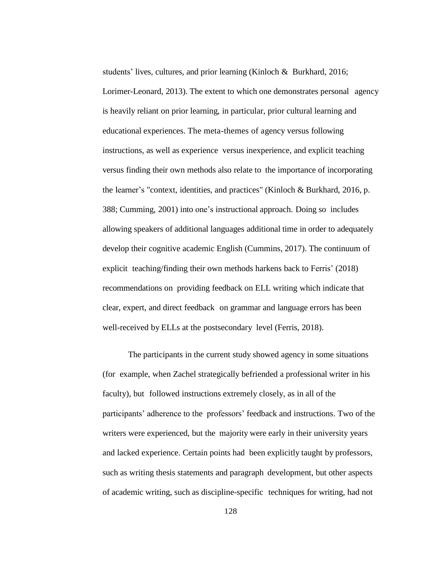students' lives, cultures, and prior learning (Kinloch & Burkhard, 2016; Lorimer-Leonard, 2013). The extent to which one demonstrates personal agency is heavily reliant on prior learning, in particular, prior cultural learning and educational experiences. The meta-themes of agency versus following instructions, as well as experience versus inexperience, and explicit teaching versus finding their own methods also relate to the importance of incorporating the learner's "context, identities, and practices" (Kinloch & Burkhard, 2016, p. 388; Cumming, 2001) into one's instructional approach. Doing so includes allowing speakers of additional languages additional time in order to adequately develop their cognitive academic English (Cummins, 2017). The continuum of explicit teaching/finding their own methods harkens back to Ferris' (2018) recommendations on providing feedback on ELL writing which indicate that clear, expert, and direct feedback on grammar and language errors has been well-received by ELLs at the postsecondary level (Ferris, 2018).

The participants in the current study showed agency in some situations (for example, when Zachel strategically befriended a professional writer in his faculty), but followed instructions extremely closely, as in all of the participants' adherence to the professors' feedback and instructions. Two of the writers were experienced, but the majority were early in their university years and lacked experience. Certain points had been explicitly taught by professors, such as writing thesis statements and paragraph development, but other aspects of academic writing, such as discipline-specific techniques for writing, had not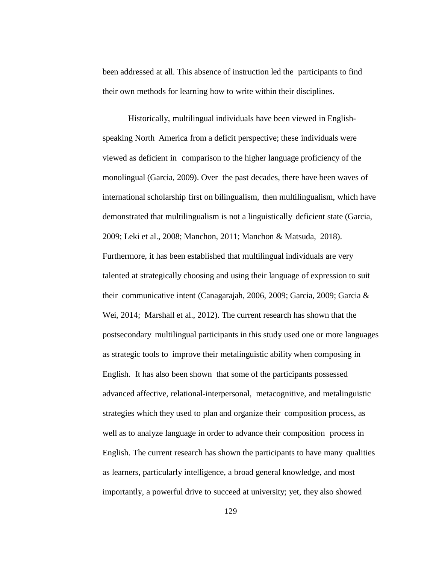been addressed at all. This absence of instruction led the participants to find their own methods for learning how to write within their disciplines.

Historically, multilingual individuals have been viewed in Englishspeaking North America from a deficit perspective; these individuals were viewed as deficient in comparison to the higher language proficiency of the monolingual (Garcia, 2009). Over the past decades, there have been waves of international scholarship first on bilingualism, then multilingualism, which have demonstrated that multilingualism is not a linguistically deficient state (Garcia, 2009; Leki et al., 2008; Manchon, 2011; Manchon & Matsuda, 2018). Furthermore, it has been established that multilingual individuals are very talented at strategically choosing and using their language of expression to suit their communicative intent (Canagarajah, 2006, 2009; Garcia, 2009; Garcia & Wei, 2014; Marshall et al., 2012). The current research has shown that the postsecondary multilingual participants in this study used one or more languages as strategic tools to improve their metalinguistic ability when composing in English. It has also been shown that some of the participants possessed advanced affective, relational-interpersonal, metacognitive, and metalinguistic strategies which they used to plan and organize their composition process, as well as to analyze language in order to advance their composition process in English. The current research has shown the participants to have many qualities as learners, particularly intelligence, a broad general knowledge, and most importantly, a powerful drive to succeed at university; yet, they also showed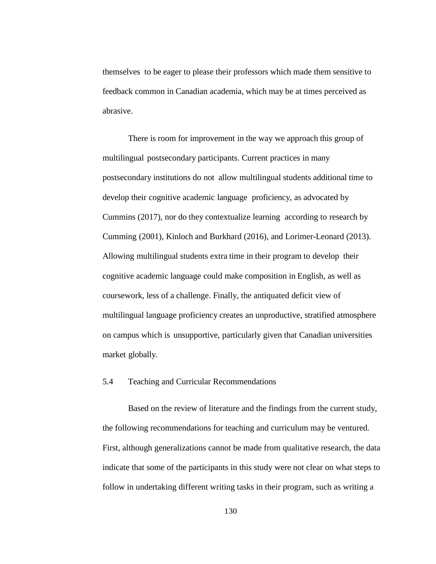themselves to be eager to please their professors which made them sensitive to feedback common in Canadian academia, which may be at times perceived as abrasive.

There is room for improvement in the way we approach this group of multilingual postsecondary participants. Current practices in many postsecondary institutions do not allow multilingual students additional time to develop their cognitive academic language proficiency, as advocated by Cummins (2017), nor do they contextualize learning according to research by Cumming (2001), Kinloch and Burkhard (2016), and Lorimer-Leonard (2013). Allowing multilingual students extra time in their program to develop their cognitive academic language could make composition in English, as well as coursework, less of a challenge. Finally, the antiquated deficit view of multilingual language proficiency creates an unproductive, stratified atmosphere on campus which is unsupportive, particularly given that Canadian universities market globally.

### 5.4 Teaching and Curricular Recommendations

Based on the review of literature and the findings from the current study, the following recommendations for teaching and curriculum may be ventured. First, although generalizations cannot be made from qualitative research, the data indicate that some of the participants in this study were not clear on what steps to follow in undertaking different writing tasks in their program, such as writing a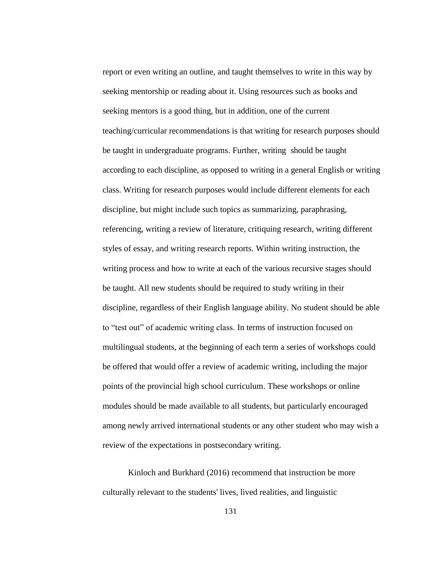report or even writing an outline, and taught themselves to write in this way by seeking mentorship or reading about it. Using resources such as books and seeking mentors is a good thing, but in addition, one of the current teaching/curricular recommendations is that writing for research purposes should be taught in undergraduate programs. Further, writing should be taught according to each discipline, as opposed to writing in a general English or writing class. Writing for research purposes would include different elements for each discipline, but might include such topics as summarizing, paraphrasing, referencing, writing a review of literature, critiquing research, writing different styles of essay, and writing research reports. Within writing instruction, the writing process and how to write at each of the various recursive stages should be taught. All new students should be required to study writing in their discipline, regardless of their English language ability. No student should be able to "test out" of academic writing class. In terms of instruction focused on multilingual students, at the beginning of each term a series of workshops could be offered that would offer a review of academic writing, including the major points of the provincial high school curriculum. These workshops or online modules should be made available to all students, but particularly encouraged among newly arrived international students or any other student who may wish a review of the expectations in postsecondary writing.

Kinloch and Burkhard (2016) recommend that instruction be more culturally relevant to the students' lives, lived realities, and linguistic

131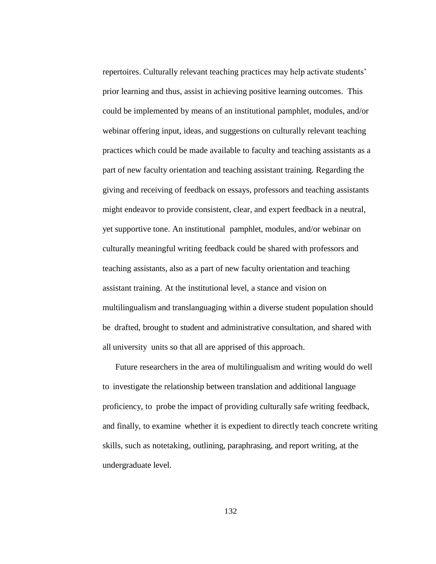repertoires. Culturally relevant teaching practices may help activate students' prior learning and thus, assist in achieving positive learning outcomes. This could be implemented by means of an institutional pamphlet, modules, and/or webinar offering input, ideas, and suggestions on culturally relevant teaching practices which could be made available to faculty and teaching assistants as a part of new faculty orientation and teaching assistant training. Regarding the giving and receiving of feedback on essays, professors and teaching assistants might endeavor to provide consistent, clear, and expert feedback in a neutral, yet supportive tone. An institutional pamphlet, modules, and/or webinar on culturally meaningful writing feedback could be shared with professors and teaching assistants, also as a part of new faculty orientation and teaching assistant training. At the institutional level, a stance and vision on multilingualism and translanguaging within a diverse student population should be drafted, brought to student and administrative consultation, and shared with all university units so that all are apprised of this approach.

Future researchers in the area of multilingualism and writing would do well to investigate the relationship between translation and additional language proficiency, to probe the impact of providing culturally safe writing feedback, and finally, to examine whether it is expedient to directly teach concrete writing skills, such as notetaking, outlining, paraphrasing, and report writing, at the undergraduate level.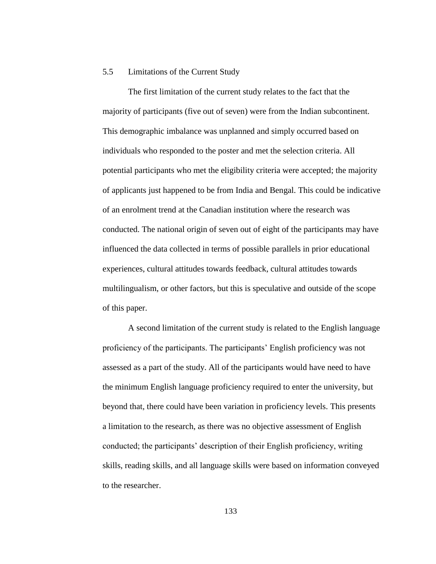#### 5.5 Limitations of the Current Study

The first limitation of the current study relates to the fact that the majority of participants (five out of seven) were from the Indian subcontinent. This demographic imbalance was unplanned and simply occurred based on individuals who responded to the poster and met the selection criteria. All potential participants who met the eligibility criteria were accepted; the majority of applicants just happened to be from India and Bengal. This could be indicative of an enrolment trend at the Canadian institution where the research was conducted. The national origin of seven out of eight of the participants may have influenced the data collected in terms of possible parallels in prior educational experiences, cultural attitudes towards feedback, cultural attitudes towards multilingualism, or other factors, but this is speculative and outside of the scope of this paper.

A second limitation of the current study is related to the English language proficiency of the participants. The participants' English proficiency was not assessed as a part of the study. All of the participants would have need to have the minimum English language proficiency required to enter the university, but beyond that, there could have been variation in proficiency levels. This presents a limitation to the research, as there was no objective assessment of English conducted; the participants' description of their English proficiency, writing skills, reading skills, and all language skills were based on information conveyed to the researcher.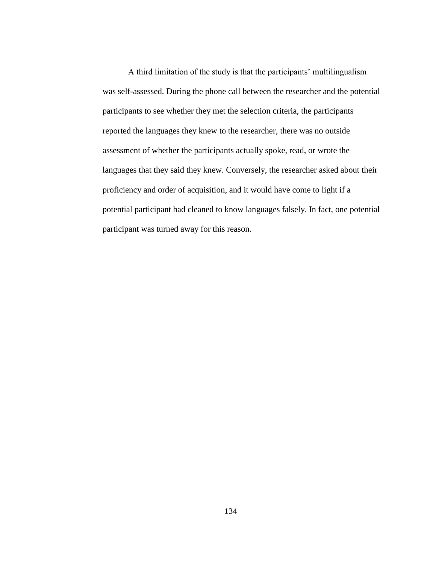A third limitation of the study is that the participants' multilingualism was self-assessed. During the phone call between the researcher and the potential participants to see whether they met the selection criteria, the participants reported the languages they knew to the researcher, there was no outside assessment of whether the participants actually spoke, read, or wrote the languages that they said they knew. Conversely, the researcher asked about their proficiency and order of acquisition, and it would have come to light if a potential participant had cleaned to know languages falsely. In fact, one potential participant was turned away for this reason.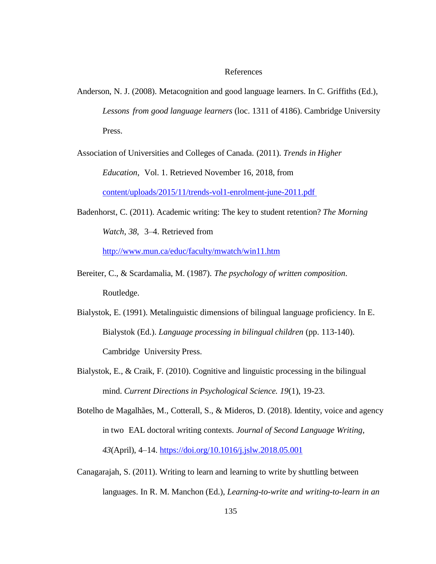#### References

- Anderson, N. J. (2008). Metacognition and good language learners. In C. Griffiths (Ed.), *Lessons from good language learners* (loc. 1311 of 4186). Cambridge University Press.
- Association of Universities and Colleges of Canada. (2011). *Trends in Higher*

*Education*, Vol. 1. Retrieved November 16, 2018, from

[content/uploads/2015/11/trends-vol1-enrolment-june-2011.pdf](https://www.univcan.ca/wp-content/uploads/2015/11/trends-vol1-enrolment-june-2011.pdf)

Badenhorst, C. (2011). Academic writing: The key to student retention? *The Morning Watch*, *38*, 3–4. Retrieved from

<http://www.mun.ca/educ/faculty/mwatch/win11.htm>

- Bereiter, C., & Scardamalia, M. (1987). *The psychology of written composition*. Routledge.
- Bialystok, E. (1991). Metalinguistic dimensions of bilingual language proficiency. In E. Bialystok (Ed.). *Language processing in bilingual children* (pp. 113-140). Cambridge University Press.
- Bialystok, E., & Craik, F. (2010). Cognitive and linguistic processing in the bilingual mind. *Current Directions in Psychological Science. 19*(1), 19-23.

Botelho de Magalhães, M., Cotterall, S., & Mideros, D. (2018). Identity, voice and agency in two EAL doctoral writing contexts. *Journal of Second Language Writing*, *43*(April), 4–14. <https://doi.org/10.1016/j.jslw.2018.05.001>

Canagarajah, S. (2011). Writing to learn and learning to write by shuttling between languages. In R. M. Manchon (Ed.), *Learning-to-write and writing-to-learn in an*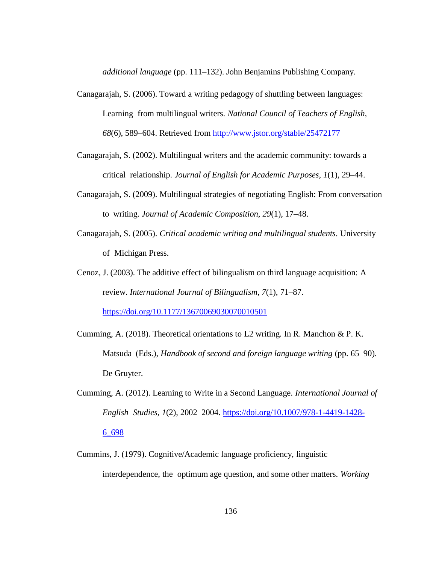*additional language* (pp. 111–132). John Benjamins Publishing Company.

- Canagarajah, S. (2006). Toward a writing pedagogy of shuttling between languages: Learning from multilingual writers. *National Council of Teachers of English*, *68*(6), 589–604. Retrieved from <http://www.jstor.org/stable/25472177>
- Canagarajah, S. (2002). Multilingual writers and the academic community: towards a critical relationship. *Journal of English for Academic Purposes, 1*(1), 29–44.
- Canagarajah, S. (2009). Multilingual strategies of negotiating English: From conversation to writing. *Journal of Academic Composition*, *29*(1), 17–48.
- Canagarajah, S. (2005). *Critical academic writing and multilingual students*. University of Michigan Press.
- Cenoz, J. (2003). The additive effect of bilingualism on third language acquisition: A review. *International Journal of Bilingualism*, *7*(1), 71–87. <https://doi.org/10.1177/13670069030070010501>
- Cumming, A. (2018). Theoretical orientations to L2 writing. In R. Manchon & P. K. Matsuda (Eds.), *Handbook of second and foreign language writing* (pp. 65–90). De Gruyter.
- Cumming, A. (2012). Learning to Write in a Second Language. *International Journal of English Studies*, *1*(2), 2002–2004. [https://doi.org/10.1007/978-1-4419-1428-](https://doi.org/10.1007/978-1-4419-1428-6_698) [6\\_698](https://doi.org/10.1007/978-1-4419-1428-6_698)
- Cummins, J. (1979). Cognitive/Academic language proficiency, linguistic interdependence, the optimum age question, and some other matters. *Working*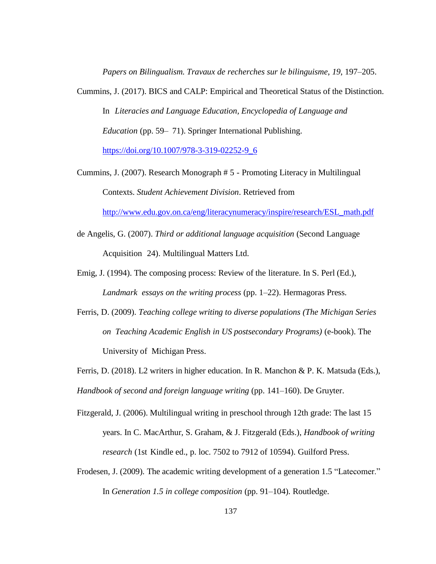*Papers on Bilingualism. Travaux de recherches sur le bilinguisme*, *19*, 197–205.

- Cummins, J. (2017). BICS and CALP: Empirical and Theoretical Status of the Distinction. In *Literacies and Language Education, Encyclopedia of Language and Education* (pp. 59– 71). Springer International Publishing. [https://doi.org/10.1007/978-3-319-02252-9\\_6](https://doi.org/10.1007/978-3-319-02252-9_6)
- Cummins, J. (2007). Research Monograph # 5 Promoting Literacy in Multilingual Contexts. *Student Achievement Division*. Retrieved from

[http://www.edu.gov.on.ca/eng/literacynumeracy/inspire/research/ESL\\_math.pdf](http://www.edu.gov.on.ca/eng/literacynumeracy/inspire/research/ESL_math.pdf)

- de Angelis, G. (2007). *Third or additional language acquisition* (Second Language Acquisition 24). Multilingual Matters Ltd.
- Emig, J. (1994). The composing process: Review of the literature. In S. Perl (Ed.), *Landmark essays on the writing process* (pp. 1–22). Hermagoras Press.
- Ferris, D. (2009). *Teaching college writing to diverse populations (The Michigan Series on Teaching Academic English in US postsecondary Programs)* (e-book). The University of Michigan Press.
- Ferris, D. (2018). L2 writers in higher education. In R. Manchon & P. K. Matsuda (Eds.), *Handbook of second and foreign language writing* (pp. 141–160). De Gruyter.
- Fitzgerald, J. (2006). Multilingual writing in preschool through 12th grade: The last 15 years. In C. MacArthur, S. Graham, & J. Fitzgerald (Eds.), *Handbook of writing research* (1st Kindle ed., p. loc. 7502 to 7912 of 10594). Guilford Press.
- Frodesen, J. (2009). The academic writing development of a generation 1.5 "Latecomer." In *Generation 1.5 in college composition* (pp. 91–104). Routledge.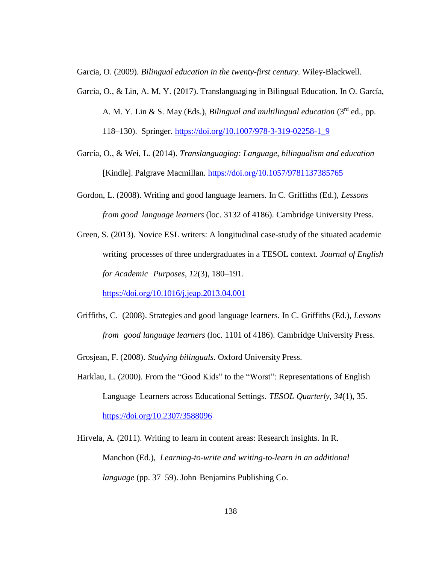Garcia, O. (2009). *Bilingual education in the twenty-first century*. Wiley-Blackwell.

- Garcia, O., & Lin, A. M. Y. (2017). Translanguaging in Bilingual Education. In O. García, A. M. Y. Lin & S. May (Eds.), *Bilingual and multilingual education* (3rd ed., pp. 118–130). Springer. [https://doi.org/10.1007/978-3-319-02258-1\\_9](https://doi.org/10.1007/978-3-319-02258-1_9)
- García, O., & Wei, L. (2014). *Translanguaging: Language, bilingualism and education* [Kindle]. Palgrave Macmillan. <https://doi.org/10.1057/9781137385765>
- Gordon, L. (2008). Writing and good language learners. In C. Griffiths (Ed.), *Lessons from good language learners* (loc. 3132 of 4186). Cambridge University Press.
- Green, S. (2013). Novice ESL writers: A longitudinal case-study of the situated academic writing processes of three undergraduates in a TESOL context. *Journal of English for Academic Purposes*, *12*(3), 180–191.

<https://doi.org/10.1016/j.jeap.2013.04.001>

Griffiths, C. (2008). Strategies and good language learners. In C. Griffiths (Ed.), *Lessons from good language learners* (loc. 1101 of 4186). Cambridge University Press.

Grosjean, F. (2008). *Studying bilinguals*. Oxford University Press.

Harklau, L. (2000). From the "Good Kids" to the "Worst": Representations of English Language Learners across Educational Settings. *TESOL Quarterly*, *34*(1), 35. <https://doi.org/10.2307/3588096>

Hirvela, A. (2011). Writing to learn in content areas: Research insights. In R. Manchon (Ed.), *Learning-to-write and writing-to-learn in an additional language* (pp. 37–59). John Benjamins Publishing Co.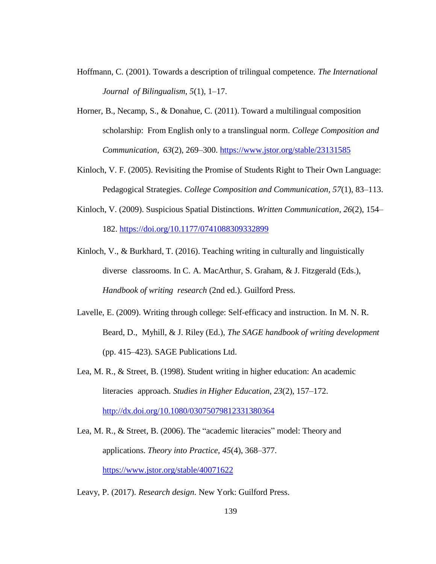- Hoffmann, C. (2001). Towards a description of trilingual competence. *The International Journal of Bilingualism*, *5*(1), 1–17.
- Horner, B., Necamp, S., & Donahue, C. (2011). Toward a multilingual composition scholarship: From English only to a translingual norm. *College Composition and Communication*, *63*(2), 269–300.<https://www.jstor.org/stable/23131585>
- Kinloch, V. F. (2005). Revisiting the Promise of Students Right to Their Own Language: Pedagogical Strategies. *College Composition and Communication, 57*(1), 83–113.
- Kinloch, V. (2009). Suspicious Spatial Distinctions. *Written Communication*, *26*(2), 154– 182.<https://doi.org/10.1177/0741088309332899>
- Kinloch, V., & Burkhard, T. (2016). Teaching writing in culturally and linguistically diverse classrooms. In C. A. MacArthur, S. Graham, & J. Fitzgerald (Eds.), *Handbook of writing research* (2nd ed.). Guilford Press.
- Lavelle, E. (2009). Writing through college: Self-efficacy and instruction. In M. N. R. Beard, D., Myhill, & J. Riley (Ed.), *The SAGE handbook of writing development* (pp. 415–423). SAGE Publications Ltd.
- Lea, M. R., & Street, B. (1998). Student writing in higher education: An academic literacies approach. *Studies in Higher Education*, *23*(2), 157–172. <http://dx.doi.org/10.1080/03075079812331380364>
- Lea, M. R., & Street, B. (2006). The "academic literacies" model: Theory and applications. *Theory into Practice*, *45*(4), 368–377. <https://www.jstor.org/stable/40071622>
- Leavy, P. (2017). *Research design*. New York: Guilford Press.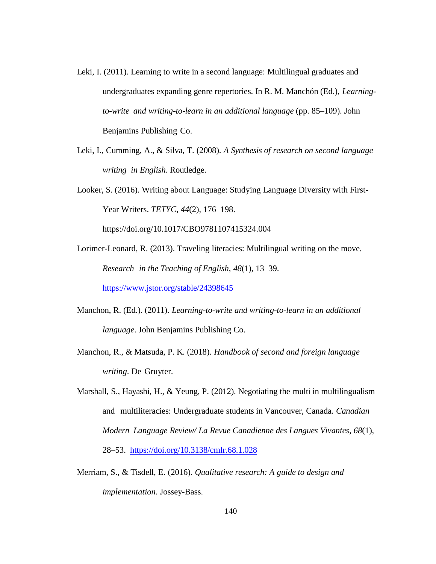- Leki, I. (2011). Learning to write in a second language: Multilingual graduates and undergraduates expanding genre repertories. In R. M. Manchón (Ed.), *Learningto-write and writing-to-learn in an additional language* (pp. 85–109). John Benjamins Publishing Co.
- Leki, I., Cumming, A., & Silva, T. (2008). *A Synthesis of research on second language writing in English*. Routledge.
- Looker, S. (2016). Writing about Language: Studying Language Diversity with First-Year Writers. *TETYC*, *44*(2), 176–198.

https://doi.org/10.1017/CBO9781107415324.004

- Lorimer-Leonard, R. (2013). Traveling literacies: Multilingual writing on the move. *Research in the Teaching of English*, *48*(1), 13–39. <https://www.jstor.org/stable/24398645>
- Manchon, R. (Ed.). (2011). *Learning-to-write and writing-to-learn in an additional language*. John Benjamins Publishing Co.
- Manchon, R., & Matsuda, P. K. (2018). *Handbook of second and foreign language writing*. De Gruyter.
- Marshall, S., Hayashi, H., & Yeung, P. (2012). Negotiating the multi in multilingualism and multiliteracies: Undergraduate students in Vancouver, Canada. *Canadian Modern Language Review/ La Revue Canadienne des Langues Vivantes*, *68*(1), 28–53. <https://doi.org/10.3138/cmlr.68.1.028>
- Merriam, S., & Tisdell, E. (2016). *Qualitative research: A guide to design and implementation*. Jossey-Bass.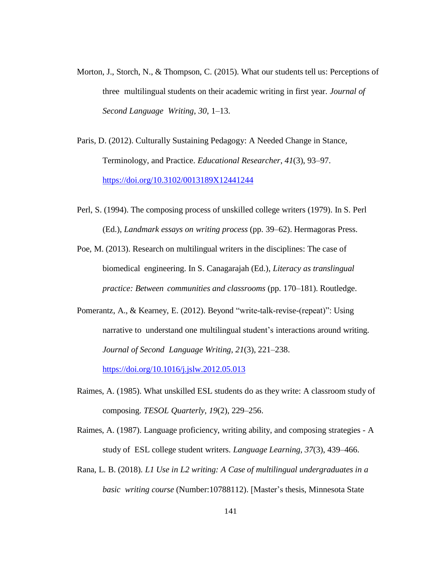- Morton, J., Storch, N., & Thompson, C. (2015). What our students tell us: Perceptions of three multilingual students on their academic writing in first year. *Journal of Second Language Writing*, *30*, 1–13.
- Paris, D. (2012). Culturally Sustaining Pedagogy: A Needed Change in Stance, Terminology, and Practice. *Educational Researcher*, *41*(3), 93–97. <https://doi.org/10.3102/0013189X12441244>
- Perl, S. (1994). The composing process of unskilled college writers (1979). In S. Perl (Ed.), *Landmark essays on writing process* (pp. 39–62). Hermagoras Press.
- Poe, M. (2013). Research on multilingual writers in the disciplines: The case of biomedical engineering. In S. Canagarajah (Ed.), *Literacy as translingual practice: Between communities and classrooms* (pp. 170–181). Routledge.
- Pomerantz, A., & Kearney, E. (2012). Beyond "write-talk-revise-(repeat)": Using narrative to understand one multilingual student's interactions around writing. *Journal of Second Language Writing*, *21*(3), 221–238. <https://doi.org/10.1016/j.jslw.2012.05.013>
- Raimes, A. (1985). What unskilled ESL students do as they write: A classroom study of composing. *TESOL Quarterly*, *19*(2), 229–256.
- Raimes, A. (1987). Language proficiency, writing ability, and composing strategies A study of ESL college student writers. *Language Learning*, *37*(3), 439–466.
- Rana, L. B. (2018). *L1 Use in L2 writing: A Case of multilingual undergraduates in a basic writing course* (Number:10788112). [Master's thesis, Minnesota State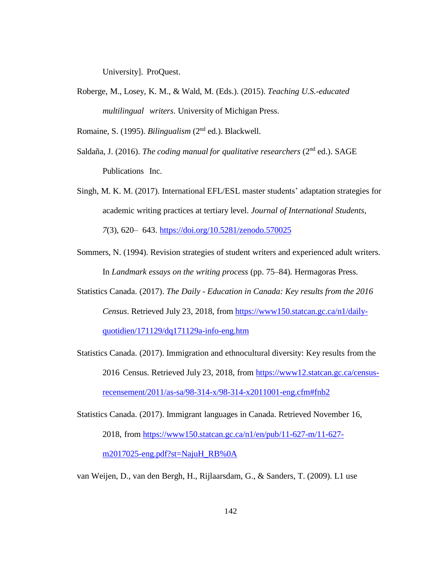University]. ProQuest.

Roberge, M., Losey, K. M., & Wald, M. (Eds.). (2015). *Teaching U.S.-educated multilingual writers*. University of Michigan Press.

Romaine, S. (1995). *Bilingualism* (2nd ed.). Blackwell.

- Saldaña, J. (2016). *The coding manual for qualitative researchers* (2nd ed.). SAGE Publications Inc.
- Singh, M. K. M. (2017). International EFL/ESL master students' adaptation strategies for academic writing practices at tertiary level. *Journal of International Students*, *7*(3), 620– 643. <https://doi.org/10.5281/zenodo.570025>
- Sommers, N. (1994). Revision strategies of student writers and experienced adult writers. In *Landmark essays on the writing process* (pp. 75–84). Hermagoras Press.
- Statistics Canada. (2017). *The Daily - Education in Canada: Key results from the 2016 Census*. Retrieved July 23, 2018, from [https://www150.statcan.gc.ca/n1/daily](https://www150.statcan.gc.ca/n1/daily-quotidien/171129/dq171129a-info-eng.htm)[quotidien/171129/dq171129a-info-eng.htm](https://www150.statcan.gc.ca/n1/daily-quotidien/171129/dq171129a-info-eng.htm)
- Statistics Canada. (2017). Immigration and ethnocultural diversity: Key results from the 2016 Census. Retrieved July 23, 2018, from [https://www12.statcan.gc.ca/census](https://www12.statcan.gc.ca/census-recensement/2011/as-sa/98-314-x/98-314-x2011001-eng.cfm#fnb2)[recensement/2011/as-sa/98-314-x/98-314-x2011001-eng.cfm#fnb2](https://www12.statcan.gc.ca/census-recensement/2011/as-sa/98-314-x/98-314-x2011001-eng.cfm#fnb2)

Statistics Canada. (2017). Immigrant languages in Canada. Retrieved November 16, 2018, from [https://www150.statcan.gc.ca/n1/en/pub/11-627-m/11-627](https://www150.statcan.gc.ca/n1/en/pub/11-627-m/11-627-m2017025-) [m2017025-](https://www150.statcan.gc.ca/n1/en/pub/11-627-m/11-627-m2017025-)[eng.pdf?st=NajuH\\_RB%0A](https://www150.statcan.gc.ca/n1/en/pub/11-627-m/11-627-m2017025-eng.pdf?st=NajuH_RB%0A)

van Weijen, D., van den Bergh, H., Rijlaarsdam, G., & Sanders, T. (2009). L1 use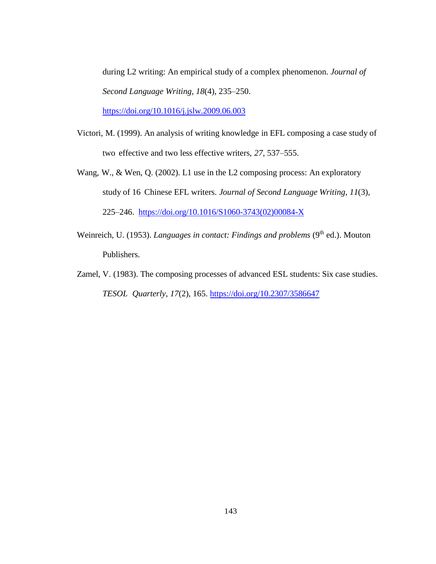during L2 writing: An empirical study of a complex phenomenon. *Journal of Second Language Writing, 18*(4), 235–250. <https://doi.org/10.1016/j.jslw.2009.06.003>

- Victori, M. (1999). An analysis of writing knowledge in EFL composing a case study of two effective and two less effective writers, *27*, 537–555.
- Wang, W., & Wen, Q. (2002). L1 use in the L2 composing process: An exploratory study of 16 Chinese EFL writers. *Journal of Second Language Writing*, *11*(3), 225–246. [https://doi.org/10.1016/S1060-3743\(02\)00084-X](https://doi.org/10.1016/S1060-3743(02)00084-X)
- Weinreich, U. (1953). *Languages in contact: Findings and problems* (9<sup>th</sup> ed.). Mouton Publishers.
- Zamel, V. (1983). The composing processes of advanced ESL students: Six case studies. *TESOL Quarterly*, *17*(2), 165. <https://doi.org/10.2307/3586647>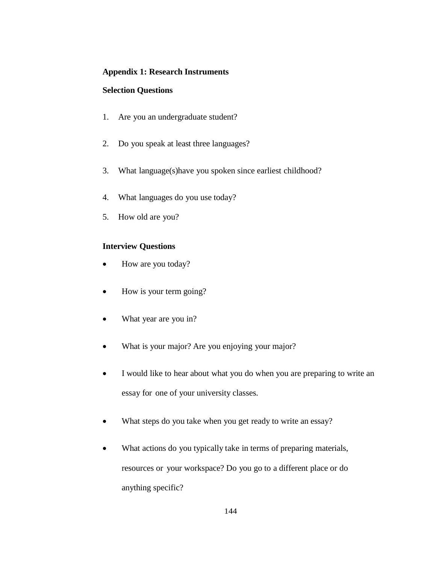## **Appendix 1: Research Instruments**

## **Selection Questions**

- 1. Are you an undergraduate student?
- 2. Do you speak at least three languages?
- 3. What language(s)have you spoken since earliest childhood?
- 4. What languages do you use today?
- 5. How old are you?

## **Interview Questions**

- How are you today?
- How is your term going?
- What year are you in?
- What is your major? Are you enjoying your major?
- I would like to hear about what you do when you are preparing to write an essay for one of your university classes.
- What steps do you take when you get ready to write an essay?
- What actions do you typically take in terms of preparing materials, resources or your workspace? Do you go to a different place or do anything specific?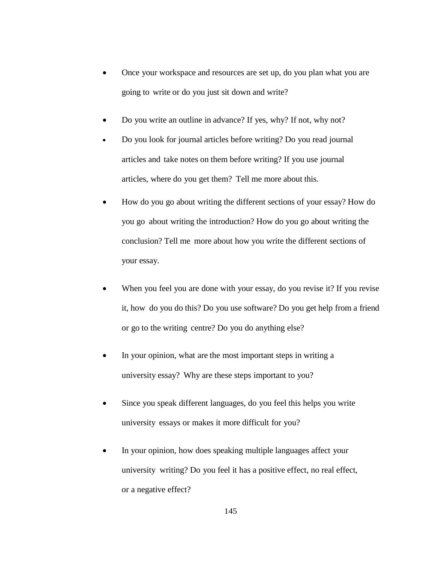- Once your workspace and resources are set up, do you plan what you are going to write or do you just sit down and write?
- Do you write an outline in advance? If yes, why? If not, why not?
- Do you look for journal articles before writing? Do you read journal articles and take notes on them before writing? If you use journal articles, where do you get them? Tell me more about this.
- How do you go about writing the different sections of your essay? How do you go about writing the introduction? How do you go about writing the conclusion? Tell me more about how you write the different sections of your essay.
- When you feel you are done with your essay, do you revise it? If you revise it, how do you do this? Do you use software? Do you get help from a friend or go to the writing centre? Do you do anything else?
- In your opinion, what are the most important steps in writing a university essay? Why are these steps important to you?
- Since you speak different languages, do you feel this helps you write university essays or makes it more difficult for you?
- In your opinion, how does speaking multiple languages affect your university writing? Do you feel it has a positive effect, no real effect, or a negative effect?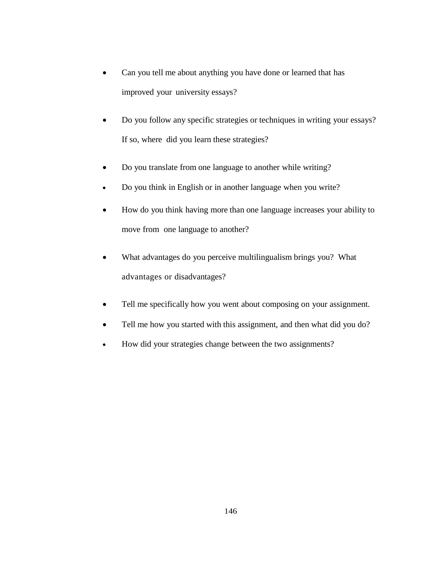- Can you tell me about anything you have done or learned that has improved your university essays?
- Do you follow any specific strategies or techniques in writing your essays? If so, where did you learn these strategies?
- Do you translate from one language to another while writing?
- Do you think in English or in another language when you write?
- How do you think having more than one language increases your ability to move from one language to another?
- What advantages do you perceive multilingualism brings you? What advantages or disadvantages?
- Tell me specifically how you went about composing on your assignment.
- Tell me how you started with this assignment, and then what did you do?
- How did your strategies change between the two assignments?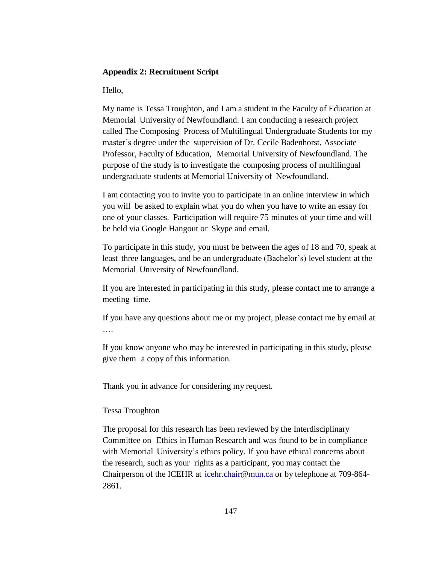### **Appendix 2: Recruitment Script**

Hello,

My name is Tessa Troughton, and I am a student in the Faculty of Education at Memorial University of Newfoundland. I am conducting a research project called The Composing Process of Multilingual Undergraduate Students for my master's degree under the supervision of Dr. Cecile Badenhorst, Associate Professor, Faculty of Education, Memorial University of Newfoundland. The purpose of the study is to investigate the composing process of multilingual undergraduate students at Memorial University of Newfoundland.

I am contacting you to invite you to participate in an online interview in which you will be asked to explain what you do when you have to write an essay for one of your classes. Participation will require 75 minutes of your time and will be held via Google Hangout or Skype and email.

To participate in this study, you must be between the ages of 18 and 70, speak at least three languages, and be an undergraduate (Bachelor's) level student at the Memorial University of Newfoundland.

If you are interested in participating in this study, please contact me to arrange a meeting time.

If you have any questions about me or my project, please contact me by email at ….

If you know anyone who may be interested in participating in this study, please give them a copy of this information.

Thank you in advance for considering my request.

## Tessa Troughton

The proposal for this research has been reviewed by the Interdisciplinary Committee on Ethics in Human Research and was found to be in compliance with Memorial University's ethics policy. If you have ethical concerns about the research, such as your rights as a participant, you may contact the Chairperson of the ICEHR at [icehr.chair@mun.ca](mailto:%20icehr.chair@mun.ca) or by telephone at 709-864- 2861.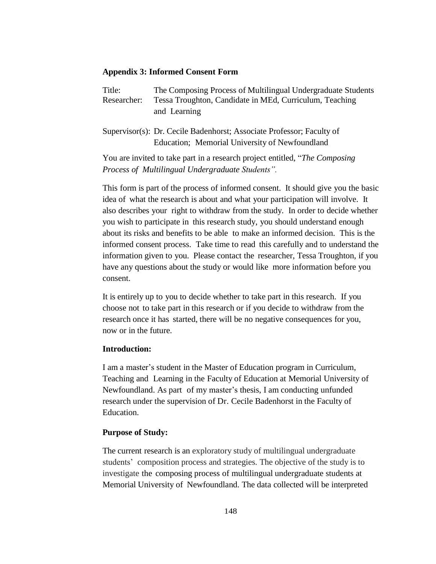### **Appendix 3: Informed Consent Form**

Title: The Composing Process of Multilingual Undergraduate Students Researcher: Tessa Troughton, Candidate in MEd, Curriculum, Teaching and Learning

Supervisor(s): Dr. Cecile Badenhorst; Associate Professor; Faculty of Education; Memorial University of Newfoundland

You are invited to take part in a research project entitled, "*The Composing Process of Multilingual Undergraduate Students".*

This form is part of the process of informed consent. It should give you the basic idea of what the research is about and what your participation will involve. It also describes your right to withdraw from the study. In order to decide whether you wish to participate in this research study, you should understand enough about its risks and benefits to be able to make an informed decision. This is the informed consent process. Take time to read this carefully and to understand the information given to you. Please contact the researcher, Tessa Troughton, if you have any questions about the study or would like more information before you consent.

It is entirely up to you to decide whether to take part in this research. If you choose not to take part in this research or if you decide to withdraw from the research once it has started, there will be no negative consequences for you, now or in the future.

### **Introduction:**

I am a master's student in the Master of Education program in Curriculum, Teaching and Learning in the Faculty of Education at Memorial University of Newfoundland. As part of my master's thesis, I am conducting unfunded research under the supervision of Dr. Cecile Badenhorst in the Faculty of Education.

#### **Purpose of Study:**

The current research is an exploratory study of multilingual undergraduate students' composition process and strategies. The objective of the study is to investigate the composing process of multilingual undergraduate students at Memorial University of Newfoundland. The data collected will be interpreted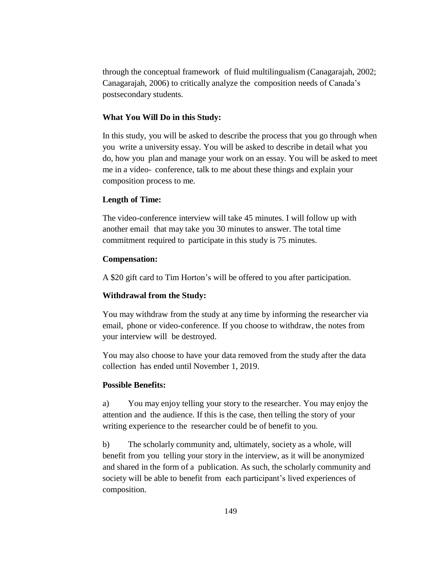through the conceptual framework of fluid multilingualism (Canagarajah, 2002; Canagarajah, 2006) to critically analyze the composition needs of Canada's postsecondary students.

### **What You Will Do in this Study:**

In this study, you will be asked to describe the process that you go through when you write a university essay. You will be asked to describe in detail what you do, how you plan and manage your work on an essay. You will be asked to meet me in a video- conference, talk to me about these things and explain your composition process to me.

### **Length of Time:**

The video-conference interview will take 45 minutes. I will follow up with another email that may take you 30 minutes to answer. The total time commitment required to participate in this study is 75 minutes.

### **Compensation:**

A \$20 gift card to Tim Horton's will be offered to you after participation.

## **Withdrawal from the Study:**

You may withdraw from the study at any time by informing the researcher via email, phone or video-conference. If you choose to withdraw, the notes from your interview will be destroyed.

You may also choose to have your data removed from the study after the data collection has ended until November 1, 2019.

### **Possible Benefits:**

a) You may enjoy telling your story to the researcher. You may enjoy the attention and the audience. If this is the case, then telling the story of your writing experience to the researcher could be of benefit to you.

b) The scholarly community and, ultimately, society as a whole, will benefit from you telling your story in the interview, as it will be anonymized and shared in the form of a publication. As such, the scholarly community and society will be able to benefit from each participant's lived experiences of composition.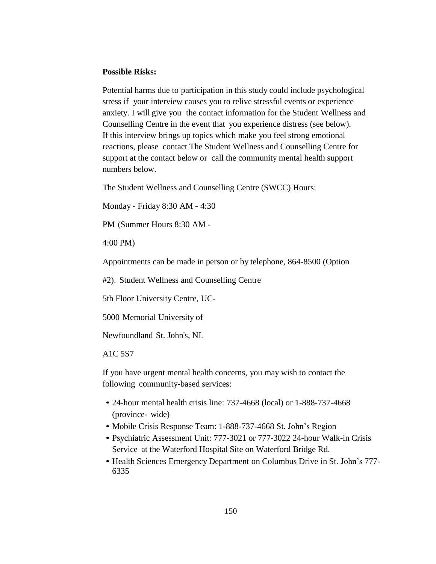### **Possible Risks:**

Potential harms due to participation in this study could include psychological stress if your interview causes you to relive stressful events or experience anxiety. I will give you the contact information for the Student Wellness and Counselling Centre in the event that you experience distress (see below). If this interview brings up topics which make you feel strong emotional reactions, please contact The Student Wellness and Counselling Centre for support at the contact below or call the community mental health support numbers below.

The Student Wellness and Counselling Centre (SWCC) Hours:

Monday - Friday 8:30 AM - 4:30

PM (Summer Hours 8:30 AM -

4:00 PM)

Appointments can be made in person or by telephone, 864-8500 (Option

#2). Student Wellness and Counselling Centre

5th Floor University Centre, UC-

5000 Memorial University of

Newfoundland St. John's, NL

A1C 5S7

If you have urgent mental health concerns, you may wish to contact the following community-based services:

- 24-hour mental health crisis line: 737-4668 (local) or 1-888-737-4668 (province- wide)
- Mobile Crisis Response Team: 1-888-737-4668 St. John's Region
- Psychiatric Assessment Unit: 777-3021 or 777-3022 24-hour Walk-in Crisis Service at the Waterford Hospital Site on Waterford Bridge Rd.
- Health Sciences Emergency Department on Columbus Drive in St. John's 777- 6335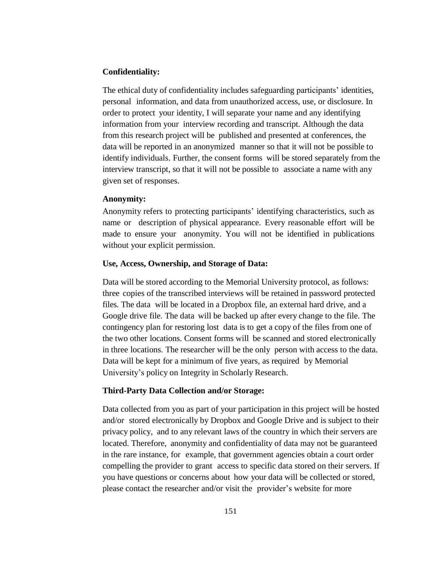### **Confidentiality:**

The ethical duty of confidentiality includes safeguarding participants' identities, personal information, and data from unauthorized access, use, or disclosure. In order to protect your identity, I will separate your name and any identifying information from your interview recording and transcript. Although the data from this research project will be published and presented at conferences, the data will be reported in an anonymized manner so that it will not be possible to identify individuals. Further, the consent forms will be stored separately from the interview transcript, so that it will not be possible to associate a name with any given set of responses.

#### **Anonymity:**

Anonymity refers to protecting participants' identifying characteristics, such as name or description of physical appearance. Every reasonable effort will be made to ensure your anonymity. You will not be identified in publications without your explicit permission.

#### **Use, Access, Ownership, and Storage of Data:**

Data will be stored according to the Memorial University protocol, as follows: three copies of the transcribed interviews will be retained in password protected files. The data will be located in a Dropbox file, an external hard drive, and a Google drive file. The data will be backed up after every change to the file. The contingency plan for restoring lost data is to get a copy of the files from one of the two other locations. Consent forms will be scanned and stored electronically in three locations. The researcher will be the only person with access to the data. Data will be kept for a minimum of five years, as required by Memorial University's policy on Integrity in Scholarly Research.

#### **Third-Party Data Collection and/or Storage:**

Data collected from you as part of your participation in this project will be hosted and/or stored electronically by Dropbox and Google Drive and is subject to their privacy policy, and to any relevant laws of the country in which their servers are located. Therefore, anonymity and confidentiality of data may not be guaranteed in the rare instance, for example, that government agencies obtain a court order compelling the provider to grant access to specific data stored on their servers. If you have questions or concerns about how your data will be collected or stored, please contact the researcher and/or visit the provider's website for more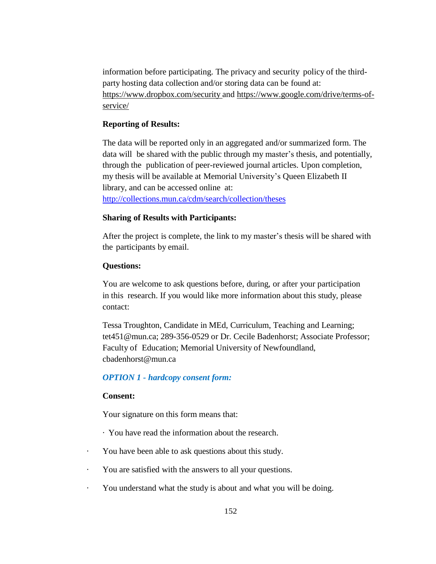information before participating. The privacy and security policy of the thirdparty hosting data collection and/or storing data can be found at: <https://www.dropbox.com/security> and [https://www.google.com/drive/terms-of](https://www.google.com/drive/terms-of-service/)[service/](https://www.google.com/drive/terms-of-service/)

## **Reporting of Results:**

The data will be reported only in an aggregated and/or summarized form. The data will be shared with the public through my master's thesis, and potentially, through the publication of peer-reviewed journal articles. Upon completion, my thesis will be available at Memorial University's Queen Elizabeth II library, and can be accessed online at: <http://collections.mun.ca/cdm/search/collection/theses>

## **Sharing of Results with Participants:**

After the project is complete, the link to my master's thesis will be shared with the participants by email.

## **Questions:**

You are welcome to ask questions before, during, or after your participation in this research. If you would like more information about this study, please contact:

Tessa Troughton, Candidate in MEd, Curriculum, Teaching and Learning; tet451@mun.ca; 289-356-0529 or Dr. Cecile Badenhorst; Associate Professor; Faculty of Education; Memorial University of Newfoundland, [cbadenhorst@mun.ca](mailto:cbadenhorst@mun.ca)

# *OPTION 1 - hardcopy consent form:*

## **Consent:**

Your signature on this form means that:

- · You have read the information about the research.
- · You have been able to ask questions about this study.
- · You are satisfied with the answers to all your questions.
- · You understand what the study is about and what you will be doing.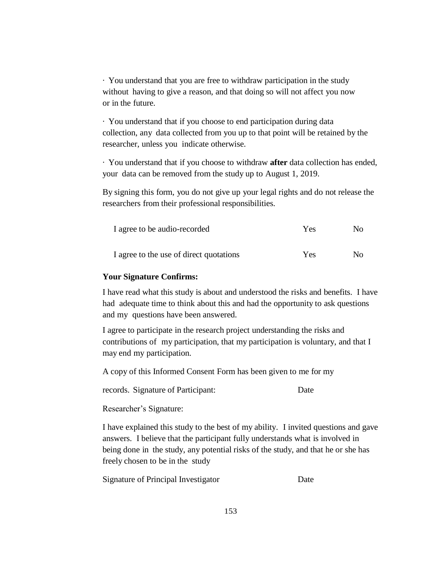· You understand that you are free to withdraw participation in the study without having to give a reason, and that doing so will not affect you now or in the future.

· You understand that if you choose to end participation during data collection, any data collected from you up to that point will be retained by the researcher, unless you indicate otherwise.

· You understand that if you choose to withdraw **after** data collection has ended, your data can be removed from the study up to August 1, 2019.

By signing this form, you do not give up your legal rights and do not release the researchers from their professional responsibilities.

| I agree to be audio-recorded            | Yes | No. |
|-----------------------------------------|-----|-----|
| I agree to the use of direct quotations | Yes | No. |

### **Your Signature Confirms:**

I have read what this study is about and understood the risks and benefits. I have had adequate time to think about this and had the opportunity to ask questions and my questions have been answered.

I agree to participate in the research project understanding the risks and contributions of my participation, that my participation is voluntary, and that I may end my participation.

A copy of this Informed Consent Form has been given to me for my

records. Signature of Participant: Date

Researcher's Signature:

I have explained this study to the best of my ability. I invited questions and gave answers. I believe that the participant fully understands what is involved in being done in the study, any potential risks of the study, and that he or she has freely chosen to be in the study

Signature of Principal Investigator Date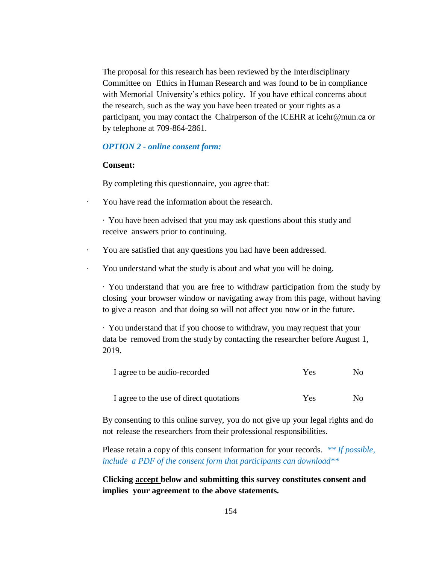The proposal for this research has been reviewed by the Interdisciplinary Committee on Ethics in Human Research and was found to be in compliance with Memorial University's ethics policy. If you have ethical concerns about the research, such as the way you have been treated or your rights as a participant, you may contact the Chairperson of the ICEHR at [icehr@mun.ca](mailto:icehr@mun.ca) or by telephone at 709-864-2861.

#### *OPTION 2 - online consent form:*

### **Consent:**

By completing this questionnaire, you agree that:

- · You have read the information about the research.
	- · You have been advised that you may ask questions about this study and receive answers prior to continuing.
- · You are satisfied that any questions you had have been addressed.
- · You understand what the study is about and what you will be doing.

· You understand that you are free to withdraw participation from the study by closing your browser window or navigating away from this page, without having to give a reason and that doing so will not affect you now or in the future.

· You understand that if you choose to withdraw, you may request that your data be removed from the study by contacting the researcher before August 1, 2019.

| I agree to be audio-recorded            | Yes | $N_{\Omega}$ |  |
|-----------------------------------------|-----|--------------|--|
| I agree to the use of direct quotations | Yes | No.          |  |

By consenting to this online survey, you do not give up your legal rights and do not release the researchers from their professional responsibilities.

Please retain a copy of this consent information for your records. *\*\* If possible, include a PDF of the consent form that participants can download\*\**

# **Clicking accept below and submitting this survey constitutes consent and implies your agreement to the above statements.**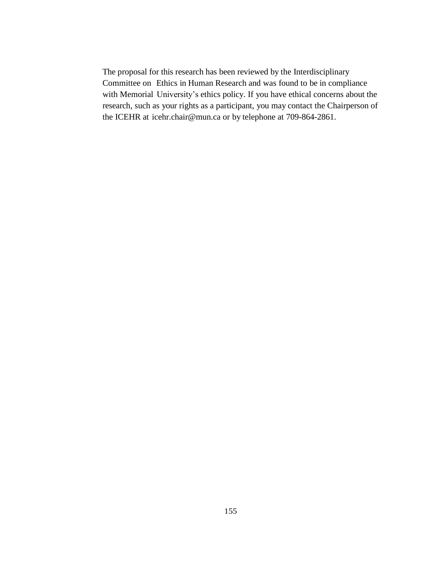The proposal for this research has been reviewed by the Interdisciplinary Committee on Ethics in Human Research and was found to be in compliance with Memorial University's ethics policy. If you have ethical concerns about the research, such as your rights as a participant, you may contact the Chairperson of the ICEHR at [icehr.chair@mun.ca](mailto:icehr.chair@mun.ca) or by telephone at 709-864-2861.